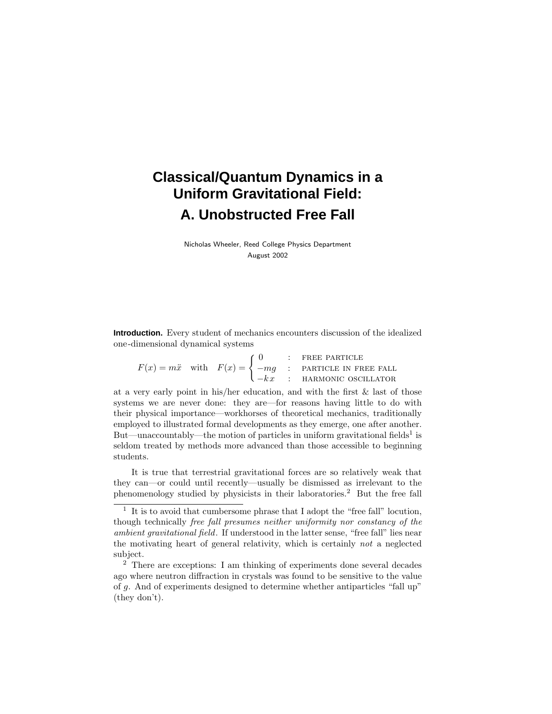# **Classical/Quantum Dynamics in a Uniform Gravitational Field: A. Unobstructed Free Fall**

Nicholas Wheeler, Reed College Physics Department August 2002

**Introduction.** Every student of mechanics encounters discussion of the idealized one-dimensional dynamical systems

|  |  | $\int 0$ : FREE PARTICLE                                                                                |
|--|--|---------------------------------------------------------------------------------------------------------|
|  |  | $F(x) = m\ddot{x}$ with $F(x) = \begin{cases} -mg & \text{:} \text{ PARTICE IN FRE E FALL} \end{cases}$ |
|  |  | $\bigcup -kx$ : HARMONIC OSCILLATOR                                                                     |

at a very early point in his/her education, and with the first & last of those systems we are never done: they are—for reasons having little to do with their physical importance—workhorses of theoretical mechanics, traditionally employed to illustrated formal developments as they emerge, one after another. But—unaccountably—the motion of particles in uniform gravitational fields<sup>1</sup> is seldom treated by methods more advanced than those accessible to beginning students.

It is true that terrestrial gravitational forces are so relatively weak that they can—or could until recently—usually be dismissed as irrelevant to the phenomenology studied by physicists in their laboratories.<sup>2</sup> But the free fall

 $\frac{1}{1}$  It is to avoid that cumbersome phrase that I adopt the "free fall" locution, though technically free fall presumes neither uniformity nor constancy of the ambient gravitational field. If understood in the latter sense, "free fall" lies near the motivating heart of general relativity, which is certainly not a neglected subject.

<sup>2</sup> There are exceptions: I am thinking of experiments done several decades ago where neutron diffraction in crystals was found to be sensitive to the value of *g*. And of experiments designed to determine whether antiparticles "fall up" (they don't).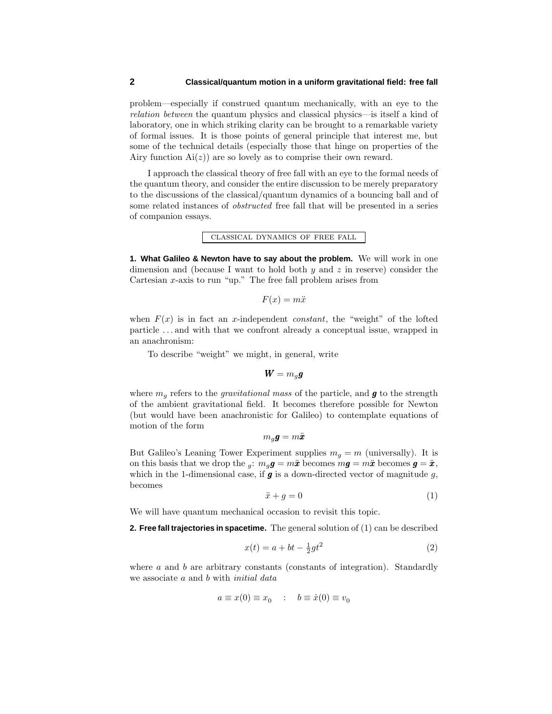problem—especially if construed quantum mechanically, with an eye to the relation between the quantum physics and classical physics—is itself a kind of laboratory, one in which striking clarity can be brought to a remarkable variety of formal issues. It is those points of general principle that interest me, but some of the technical details (especially those that hinge on properties of the Airy function  $Ai(z)$  are so lovely as to comprise their own reward.

I approach the classical theory of free fall with an eye to the formal needs of the quantum theory, and consider the entire discussion to be merely preparatory to the discussions of the classical/quantum dynamics of a bouncing ball and of some related instances of obstructed free fall that will be presented in a series of companion essays.

classical dynamics of free fall

**1. What Galileo & Newton have to say about the problem.** We will work in one dimension and (because I want to hold both *y* and *z* in reserve) consider the Cartesian *x*-axis to run "up." The free fall problem arises from

 $F(x) = m\ddot{x}$ 

when  $F(x)$  is in fact an *x*-independent *constant*, the "weight" of the lofted particle *...* and with that we confront already a conceptual issue, wrapped in an anachronism:

To describe "weight" we might, in general, write

$$
\bm{W}=m_q\bm{g}
$$

where  $m_q$  refers to the *gravitational mass* of the particle, and **g** to the strength of the ambient gravitational field. It becomes therefore possible for Newton (but would have been anachronistic for Galileo) to contemplate equations of motion of the form

$$
m_g\bm{g}=m\ddot{\bm{x}}
$$

But Galileo's Leaning Tower Experiment supplies  $m<sub>g</sub> = m$  (universally). It is on this basis that we drop the *g*:  $m_g g = m\ddot{x}$  becomes  $m g = m\ddot{x}$  becomes  $g = \ddot{x}$ , which in the 1-dimensional case, if  $g$  is a down-directed vector of magnitude  $g$ , becomes

$$
\ddot{x} + g = 0 \tag{1}
$$

We will have quantum mechanical occasion to revisit this topic.

**2. Free fall trajectories in spacetime.** The general solution of (1) can be described

$$
x(t) = a + bt - \frac{1}{2}gt^2
$$
 (2)

where *a* and *b* are arbitrary constants (constants of integration). Standardly we associate *a* and *b* with initial data

$$
a \equiv x(0) \equiv x_0 \quad : \quad b \equiv \dot{x}(0) \equiv v_0
$$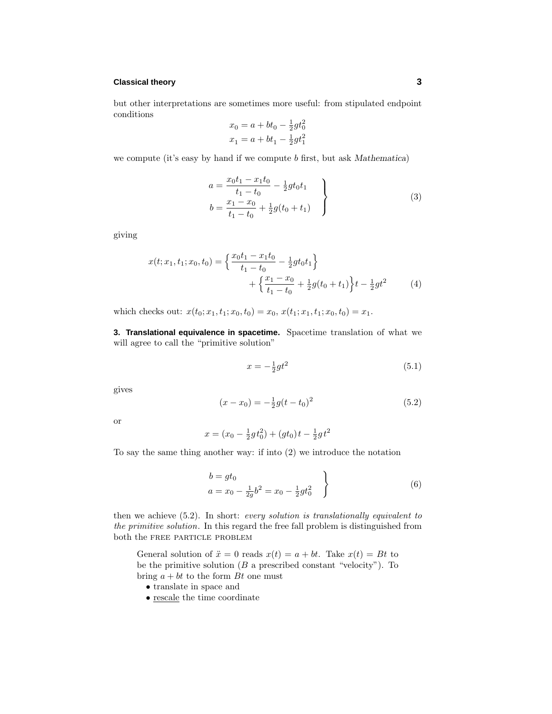## **Classical theory 3**

but other interpretations are sometimes more useful: from stipulated endpoint conditions

$$
x_0 = a + bt_0 - \frac{1}{2}gt_0^2
$$
  

$$
x_1 = a + bt_1 - \frac{1}{2}gt_1^2
$$

we compute (it's easy by hand if we compute *b* first, but ask *Mathematica*)

$$
a = \frac{x_0 t_1 - x_1 t_0}{t_1 - t_0} - \frac{1}{2}gt_0 t_1
$$
  
\n
$$
b = \frac{x_1 - x_0}{t_1 - t_0} + \frac{1}{2}g(t_0 + t_1)
$$
\n(3)

giving

$$
x(t; x_1, t_1; x_0, t_0) = \left\{ \frac{x_0 t_1 - x_1 t_0}{t_1 - t_0} - \frac{1}{2} g t_0 t_1 \right\} + \left\{ \frac{x_1 - x_0}{t_1 - t_0} + \frac{1}{2} g (t_0 + t_1) \right\} t - \frac{1}{2} g t^2 \tag{4}
$$

which checks out:  $x(t_0; x_1, t_1; x_0, t_0) = x_0, x(t_1; x_1, t_1; x_0, t_0) = x_1.$ 

**3. Translational equivalence in spacetime.** Spacetime translation of what we will agree to call the "primitive solution"

$$
x = -\frac{1}{2}gt^2\tag{5.1}
$$

gives

$$
(x - x_0) = -\frac{1}{2}g(t - t_0)^2
$$
\n(5.2)

or

$$
x = (x_0 - \frac{1}{2}gt_0^2) + (gt_0)t - \frac{1}{2}gt^2
$$

To say the same thing another way: if into (2) we introduce the notation

$$
\left.\begin{array}{c}\nb = gt_0 \\
a = x_0 - \frac{1}{2g}b^2 = x_0 - \frac{1}{2}gt_0^2\n\end{array}\right\}\n\tag{6}
$$

then we achieve (5.2). In short: every solution is translationally equivalent to the primitive solution. In this regard the free fall problem is distinguished from both the free particle problem

General solution of  $\ddot{x} = 0$  reads  $x(t) = a + bt$ . Take  $x(t) = Bt$  to be the primitive solution  $(B \text{ a prescribed constant "velocity").}$  To bring  $a + bt$  to the form  $Bt$  one must

- translate in space and
- rescale the time coordinate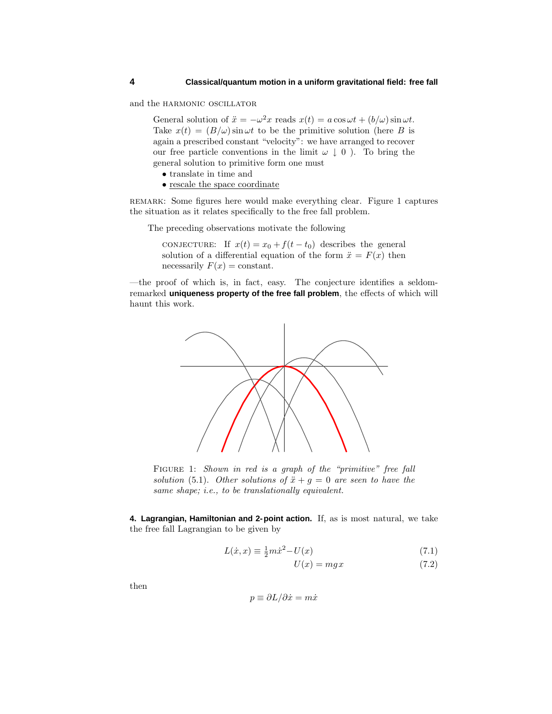and the HARMONIC OSCILLATOR

General solution of  $\ddot{x} = -\omega^2 x$  reads  $x(t) = a \cos \omega t + (b/\omega) \sin \omega t$ . Take  $x(t) = (B/\omega) \sin \omega t$  to be the primitive solution (here *B* is again a prescribed constant "velocity": we have arranged to recover our free particle conventions in the limit  $\omega \downarrow 0$ ). To bring the general solution to primitive form one must

- translate in time and
- rescale the space coordinate

remark: Some figures here would make everything clear. Figure 1 captures the situation as it relates specifically to the free fall problem.

The preceding observations motivate the following

conjecture: If  $x(t) = x_0 + f(t - t_0)$  describes the general solution of a differential equation of the form  $\ddot{x} = F(x)$  then necessarily  $F(x) = constant$ .

—the proof of which is, in fact, easy. The conjecture identifies a seldomremarked **uniqueness property of the free fall problem**, the effects of which will haunt this work.



FIGURE 1: Shown in red is a graph of the "primitive" free fall solution (5.1). Other solutions of  $\ddot{x} + g = 0$  are seen to have the same shape; i.e., to be translationally equivalent.

**4. Lagrangian, Hamiltonian and 2-point action.** If, as is most natural, we take the free fall Lagrangian to be given by

$$
L(\dot{x}, x) \equiv \frac{1}{2}m\dot{x}^2 - U(x) \tag{7.1}
$$

$$
U(x) = mgx \tag{7.2}
$$

then

$$
p\equiv\partial L/\partial\dot{x}=m\dot{x}
$$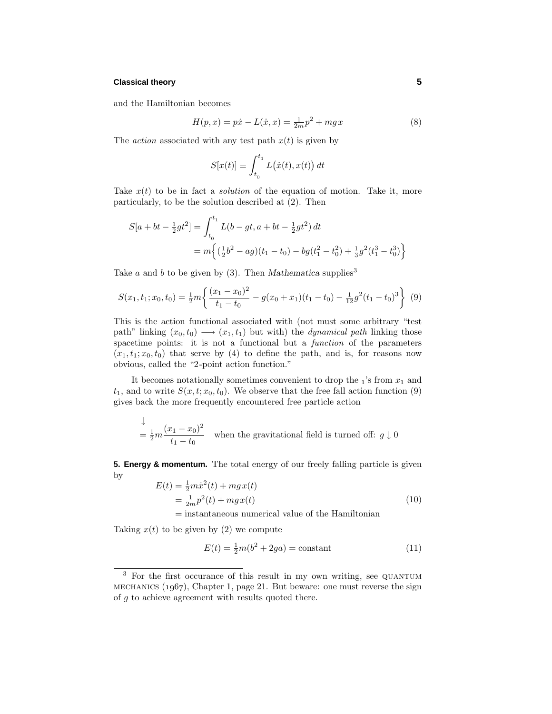## **Classical theory 5**

and the Hamiltonian becomes

$$
H(p,x) = p\dot{x} - L(\dot{x},x) = \frac{1}{2m}p^2 + mgx
$$
\n(8)

The *action* associated with any test path  $x(t)$  is given by

$$
S[x(t)] \equiv \int_{t_0}^{t_1} L(\dot{x}(t), x(t)) dt
$$

Take  $x(t)$  to be in fact a *solution* of the equation of motion. Take it, more particularly, to be the solution described at (2). Then

$$
S[a + bt - \frac{1}{2}gt^2] = \int_{t_0}^{t_1} L(b - gt, a + bt - \frac{1}{2}gt^2) dt
$$
  
=  $m \left\{ (\frac{1}{2}b^2 - ag)(t_1 - t_0) - bg(t_1^2 - t_0^2) + \frac{1}{3}g^2(t_1^3 - t_0^3) \right\}$ 

Take *a* and *b* to be given by (3). Then *Mathematica* supplies<sup>3</sup>

$$
S(x_1, t_1; x_0, t_0) = \frac{1}{2}m \left\{ \frac{(x_1 - x_0)^2}{t_1 - t_0} - g(x_0 + x_1)(t_1 - t_0) - \frac{1}{12}g^2(t_1 - t_0)^3 \right\}
$$
(9)

This is the action functional associated with (not must some arbitrary "test path" linking  $(x_0, t_0) \longrightarrow (x_1, t_1)$  but with) the *dynamical path* linking those spacetime points: it is not a functional but a function of the parameters  $(x_1, t_1; x_0, t_0)$  that serve by (4) to define the path, and is, for reasons now obvious, called the "2-point action function."

It becomes notationally sometimes convenient to drop the  $_1$ 's from  $x_1$  and  $t_1$ , and to write  $S(x, t; x_0, t_0)$ . We observe that the free fall action function (9) gives back the more frequently encountered free particle action

$$
\frac{1}{2}m\frac{(x_1 - x_0)^2}{t_1 - t_0}
$$
 when the gravitational field is turned off:  $g \downarrow 0$ 

**5. Energy & momentum.** The total energy of our freely falling particle is given by

$$
E(t) = \frac{1}{2}m\dot{x}^{2}(t) + mgx(t)
$$
  
=  $\frac{1}{2m}p^{2}(t) + mgx(t)$  (10)

= instantaneous numerical value of the Hamiltonian

Taking  $x(t)$  to be given by (2) we compute

$$
E(t) = \frac{1}{2}m(b^2 + 2ga) = \text{constant} \tag{11}
$$

<sup>&</sup>lt;sup>3</sup> For the first occurance of this result in my own writing, see QUANTUM MECHANICS  $(1967)$ , Chapter 1, page 21. But beware: one must reverse the sign of *g* to achieve agreement with results quoted there.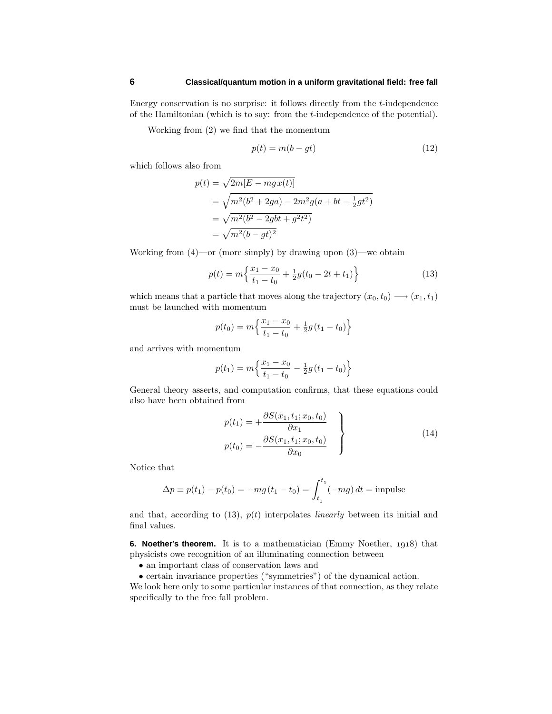Energy conservation is no surprise: it follows directly from the *t*-independence of the Hamiltonian (which is to say: from the *t*-independence of the potential).

Working from (2) we find that the momentum

$$
p(t) = m(b - gt) \tag{12}
$$

which follows also from

$$
p(t) = \sqrt{2m[E - mgx(t)]}
$$
  
=  $\sqrt{m^2(b^2 + 2ga) - 2m^2g(a + bt - \frac{1}{2}gt^2)}$   
=  $\sqrt{m^2(b^2 - 2gbt + g^2t^2)}$   
=  $\sqrt{m^2(b - gt)^2}$ 

Working from (4)—or (more simply) by drawing upon (3)—we obtain

$$
p(t) = m\left\{\frac{x_1 - x_0}{t_1 - t_0} + \frac{1}{2}g(t_0 - 2t + t_1)\right\}
$$
\n(13)

which means that a particle that moves along the trajectory  $(x_0, t_0) \longrightarrow (x_1, t_1)$ must be launched with momentum

$$
p(t_0) = m \left\{ \frac{x_1 - x_0}{t_1 - t_0} + \frac{1}{2} g(t_1 - t_0) \right\}
$$

and arrives with momentum

$$
p(t_1) = m \left\{ \frac{x_1 - x_0}{t_1 - t_0} - \frac{1}{2} g(t_1 - t_0) \right\}
$$

General theory asserts, and computation confirms, that these equations could also have been obtained from

$$
p(t_1) = +\frac{\partial S(x_1, t_1; x_0, t_0)}{\partial x_1} p(t_0) = -\frac{\partial S(x_1, t_1; x_0, t_0)}{\partial x_0} \qquad (14)
$$

Notice that

$$
\Delta p \equiv p(t_1) - p(t_0) = -mg(t_1 - t_0) = \int_{t_0}^{t_1} (-mg) dt = \text{impulse}
$$

and that, according to  $(13)$ ,  $p(t)$  interpolates *linearly* between its initial and final values.

**6. Noether's theorem.** It is to a mathematician (Emmy Noether, 1918) that physicists owe recognition of an illuminating connection between

- an important class of conservation laws and
- certain invariance properties ("symmetries") of the dynamical action.

We look here only to some particular instances of that connection, as they relate specifically to the free fall problem.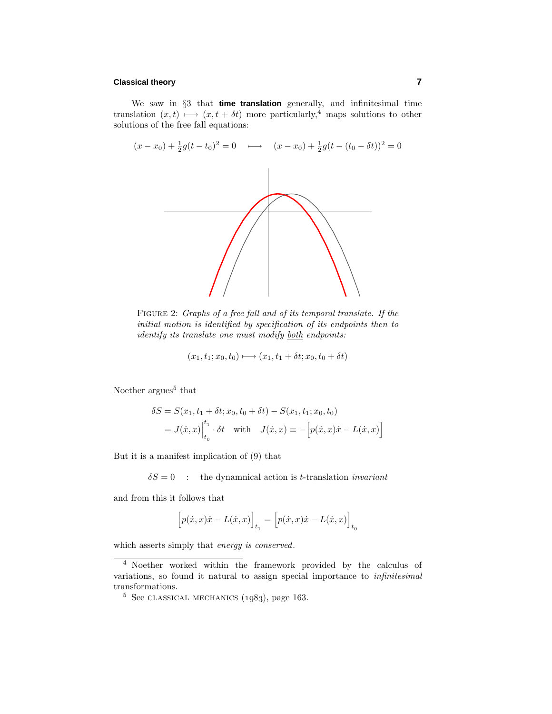## **Classical theory 7**

We saw in §3 that **time translation** generally, and infinitesimal time translation  $(x, t) \mapsto (x, t + \delta t)$  more particularly,<sup>4</sup> maps solutions to other solutions of the free fall equations:



FIGURE 2: Graphs of a free fall and of its temporal translate. If the initial motion is identified by specification of its endpoints then to identify its translate one must modify both endpoints:

$$
(x_1, t_1; x_0, t_0) \longmapsto (x_1, t_1 + \delta t; x_0, t_0 + \delta t)
$$

Noether  $\arg$ ues<sup>5</sup> that

$$
\delta S = S(x_1, t_1 + \delta t; x_0, t_0 + \delta t) - S(x_1, t_1; x_0, t_0)
$$
  
=  $J(\dot{x}, x)\Big|_{t_0}^{t_1} \cdot \delta t$  with  $J(\dot{x}, x) \equiv -[p(\dot{x}, x)\dot{x} - L(\dot{x}, x)]$ 

But it is a manifest implication of (9) that

 $\delta S = 0$  : the dynamnical action is *t*-translation *invariant* 

and from this it follows that

$$
\Big[p(\dot{x},x)\dot{x}-L(\dot{x},x)\Big]_{t_1}=\Big[p(\dot{x},x)\dot{x}-L(\dot{x},x)\Big]_{t_0}
$$

which asserts simply that energy is conserved.

<sup>4</sup> Noether worked within the framework provided by the calculus of variations, so found it natural to assign special importance to infinitesimal transformations.

 $5$  See CLASSICAL MECHANICS  $(1983)$ , page 163.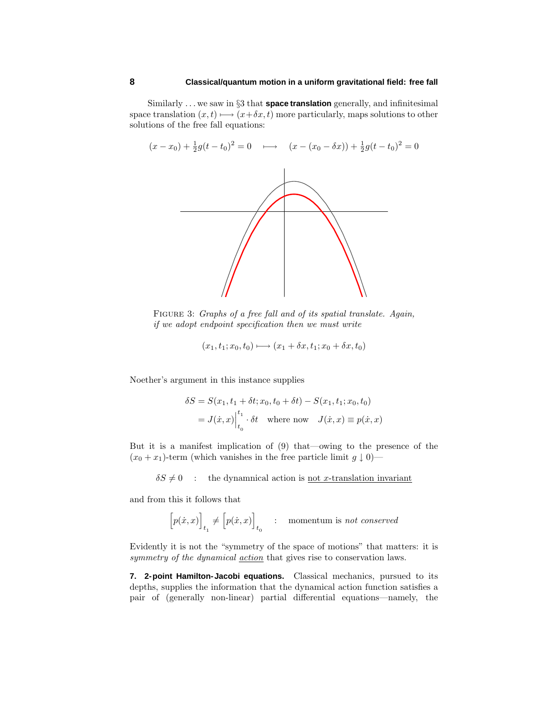Similarly *...* we saw in §3 that **space translation** generally, and infinitesimal space translation  $(x, t) \mapsto (x + \delta x, t)$  more particularly, maps solutions to other solutions of the free fall equations:



FIGURE 3: Graphs of a free fall and of its spatial translate. Again, if we adopt endpoint specification then we must write

$$
(x_1, t_1; x_0, t_0) \longmapsto (x_1 + \delta x, t_1; x_0 + \delta x, t_0)
$$

Noether's argument in this instance supplies

$$
\delta S = S(x_1, t_1 + \delta t; x_0, t_0 + \delta t) - S(x_1, t_1; x_0, t_0)
$$
  
=  $J(\dot{x}, x)\Big|_{t_0}^{t_1} \cdot \delta t$  where now  $J(\dot{x}, x) \equiv p(\dot{x}, x)$ 

But it is a manifest implication of (9) that—owing to the presence of the  $(x_0 + x_1)$ -term (which vanishes in the free particle limit  $g \downarrow 0$ )—

 $\delta S \neq 0$  : the dynamnical action is <u>not *x*-translation invariant</u>

and from this it follows that

$$
\Big[p(\dot{x},x)\Big]_{t_1} \neq \Big[p(\dot{x},x)\Big]_{t_0} \quad : \quad \text{momentum is \ not \ conserved}
$$

Evidently it is not the "symmetry of the space of motions" that matters: it is symmetry of the dynamical <u>action</u> that gives rise to conservation laws.

**7. 2-point Hamilton-Jacobi equations.** Classical mechanics, pursued to its depths, supplies the information that the dynamical action function satisfies a pair of (generally non-linear) partial differential equations—namely, the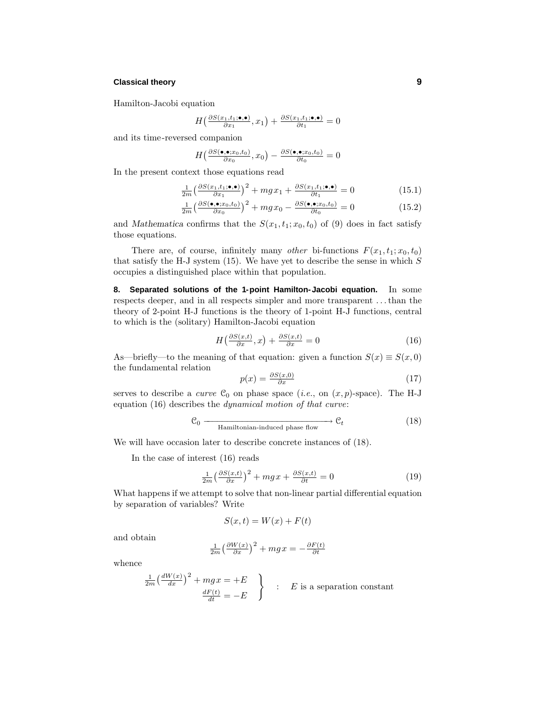## **Classical theory 9**

Hamilton-Jacobi equation

$$
H\left(\frac{\partial S(x_1,t_1;\bullet,\bullet)}{\partial x_1},x_1\right) + \frac{\partial S(x_1,t_1;\bullet,\bullet)}{\partial t_1} = 0
$$

and its time-reversed companion

$$
H\left(\frac{\partial S(\bullet,\bullet;x_0,t_0)}{\partial x_0},x_0\right) - \frac{\partial S(\bullet,\bullet;x_0,t_0)}{\partial t_0} = 0
$$

In the present context those equations read

$$
\frac{1}{2m} \left( \frac{\partial S(x_1, t_1; \bullet, \bullet)}{\partial x_1} \right)^2 + mgx_1 + \frac{\partial S(x_1, t_1; \bullet, \bullet)}{\partial t_1} = 0 \tag{15.1}
$$

$$
\frac{1}{2m} \left( \frac{\partial S(\bullet, \bullet; x_0, t_0)}{\partial x_0} \right)^2 + mgx_0 - \frac{\partial S(\bullet, \bullet; x_0, t_0)}{\partial t_0} = 0 \tag{15.2}
$$

and *Mathematica* confirms that the  $S(x_1, t_1; x_0, t_0)$  of (9) does in fact satisfy those equations.

There are, of course, infinitely many *other* bi-functions  $F(x_1, t_1; x_0, t_0)$ that satisfy the H-J system (15). We have yet to describe the sense in which *S* occupies a distinguished place within that population.

**8. Separated solutions of the 1-point Hamilton-Jacobi equation.** In some respects deeper, and in all respects simpler and more transparent *...*than the theory of 2-point H-J functions is the theory of 1-point H-J functions, central to which is the (solitary) Hamilton-Jacobi equation

$$
H\left(\frac{\partial S(x,t)}{\partial x},x\right) + \frac{\partial S(x,t)}{\partial x} = 0\tag{16}
$$

As—briefly—to the meaning of that equation: given a function  $S(x) \equiv S(x, 0)$ the fundamental relation

$$
p(x) = \frac{\partial S(x,0)}{\partial x} \tag{17}
$$

serves to describe a *curve*  $\mathcal{C}_0$  on phase space (*i.e.*, on  $(x, p)$ -space). The H-J equation (16) describes the dynamical motion of that curve:

$$
\mathcal{C}_0 \longrightarrow \mathcal{C}_t \longrightarrow \mathcal{C}_t \tag{18}
$$
 Hamiltonian-induced phase flow

We will have occasion later to describe concrete instances of (18).

In the case of interest (16) reads

$$
\frac{1}{2m} \left(\frac{\partial S(x,t)}{\partial x}\right)^2 + mgx + \frac{\partial S(x,t)}{\partial t} = 0
$$
\n(19)

What happens if we attempt to solve that non-linear partial differential equation by separation of variables? Write

$$
S(x,t) = W(x) + F(t)
$$

and obtain

$$
\frac{1}{2m} \left(\frac{\partial W(x)}{\partial x}\right)^2 + mgx = -\frac{\partial F(t)}{\partial t}
$$

whence

$$
\frac{1}{2m} \left( \frac{dW(x)}{dx} \right)^2 + mgx = +E
$$
\n
$$
\frac{dF(t)}{dt} = -E
$$
\n
$$
\begin{cases}\nE \text{ is a separation constant} \\
\frac{dF(t)}{dt} = -E\n\end{cases}
$$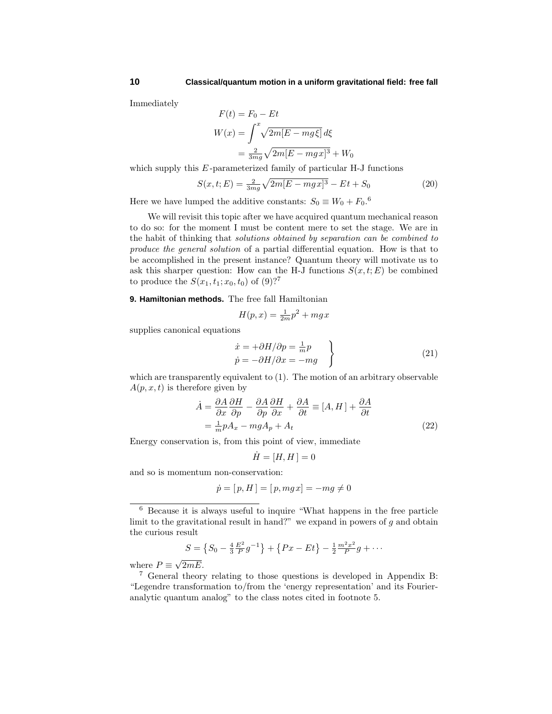Immediately

$$
F(t) = F_0 - Et
$$
  

$$
W(x) = \int^x \sqrt{2m[E - mg\xi]} d\xi
$$
  

$$
= \frac{2}{3mg}\sqrt{2m[E - mgx]^3} + W_0
$$

which supply this *E*-parameterized family of particular H-J functions

$$
S(x, t; E) = \frac{2}{3mg} \sqrt{2m[E - mgx]^3} - Et + S_0
$$
 (20)

Here we have lumped the additive constants:  $S_0 \equiv W_0 + F_0$ .<sup>6</sup>

We will revisit this topic after we have acquired quantum mechanical reason to do so: for the moment I must be content mere to set the stage. We are in the habit of thinking that solutions obtained by separation can be combined to produce the general solution of a partial differential equation. How is that to be accomplished in the present instance? Quantum theory will motivate us to ask this sharper question: How can the H-J functions  $S(x, t; E)$  be combined to produce the  $S(x_1, t_1; x_0, t_0)$  of  $(9)$ ?

**9. Hamiltonian methods.** The free fall Hamiltonian

$$
H(p,x) = \frac{1}{2m}p^2 + mgx
$$

supplies canonical equations

$$
\begin{aligned}\n\dot{x} &= \pm \partial H / \partial p = \frac{1}{m} p \\
\dot{p} &= -\partial H / \partial x = -mg\n\end{aligned}
$$
\n(21)

which are transparently equivalent to (1). The motion of an arbitrary observable  $A(p, x, t)$  is therefore given by

$$
\dot{A} = \frac{\partial A}{\partial x} \frac{\partial H}{\partial p} - \frac{\partial A}{\partial p} \frac{\partial H}{\partial x} + \frac{\partial A}{\partial t} \equiv [A, H] + \frac{\partial A}{\partial t}
$$
  
=  $\frac{1}{m} p A_x - mg A_p + A_t$  (22)

Energy conservation is, from this point of view, immediate

$$
\dot{H} = [H, H] = 0
$$

and so is momentum non-conservation:

$$
\dot{p} = [p, H] = [p, mgx] = -mg \neq 0
$$

$$
S = \left\{ S_0 - \frac{4}{3} \frac{E^2}{P} g^{-1} \right\} + \left\{ Px - Et \right\} - \frac{1}{2} \frac{m^2 x^2}{P} g + \cdots
$$

where  $P \equiv \sqrt{2mE}$ .

<sup>6</sup> Because it is always useful to inquire "What happens in the free particle limit to the gravitational result in hand?" we expand in powers of *g* and obtain the curious result

<sup>7</sup> General theory relating to those questions is developed in Appendix B: "Legendre transformation to/from the 'energy representation' and its Fourieranalytic quantum analog" to the class notes cited in footnote 5.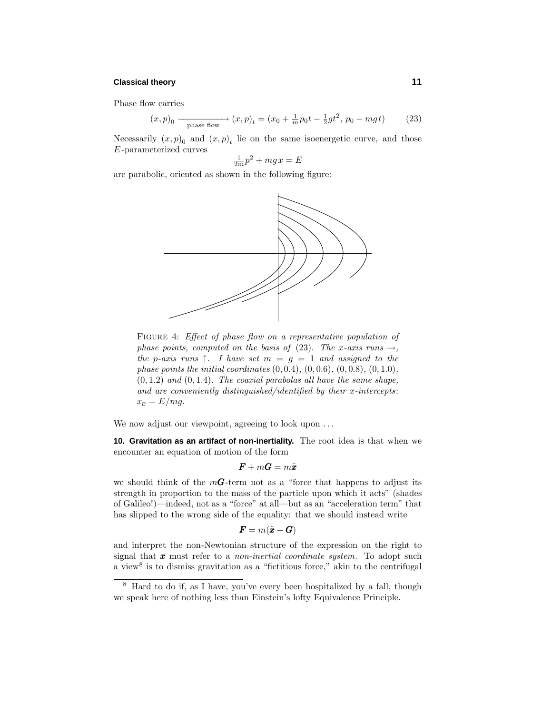## **Classical theory 11**

Phase flow carries

$$
(x, p)_0 \xrightarrow{\text{phase flow}} (x, p)_t = (x_0 + \frac{1}{m}p_0t - \frac{1}{2}gt^2, p_0 - mgt) \tag{23}
$$

Necessarily  $(x, p)$ <sup>0</sup> and  $(x, p)$ <sup>t</sup> lie on the same isoenergetic curve, and those *E* -parameterized curves

$$
\frac{1}{2m}p^2 + mgx = E
$$

are parabolic, oriented as shown in the following figure:



FIGURE 4: Effect of phase flow on a representative population of phase points, computed on the basis of (23). The *x*-axis runs  $\rightarrow$ , the *p*-axis runs  $\uparrow$ . I have set  $m = g = 1$  and assigned to the phase points the initial coordinates (0*,* 0*.*4), (0*,* 0*.*6), (0*,* 0*.*8), (0*,* 1*.*0),  $(0, 1.2)$  and  $(0, 1.4)$ . The coaxial parabolas all have the same shape, and are conveniently distinguished/identified by their *x*-intercepts:  $x_E = E/mg$ .

We now adjust our viewpoint, agreeing to look upon *...*

**10. Gravitation as an artifact of non-inertiality.** The root idea is that when we encounter an equation of motion of the form

$$
\boldsymbol{F} + m \boldsymbol{G} = m \ddot{\boldsymbol{x}}
$$

we should think of the  $m\mathbf{G}$ -term not as a "force that happens to adjust its strength in proportion to the mass of the particle upon which it acts" (shades of Galileo!)—indeed, not as a "force" at all—but as an "acceleration term" that has slipped to the wrong side of the equality: that we should instead write

$$
\boldsymbol{F} = m(\ddot{\boldsymbol{x}} - \boldsymbol{G})
$$

and interpret the non-Newtonian structure of the expression on the right to signal that *x* must refer to a non-inertial coordinate system. To adopt such a view<sup>8</sup> is to dismiss gravitation as a "fictitious force," akin to the centrifugal

<sup>8</sup> Hard to do if, as I have, you've every been hospitalized by a fall, though we speak here of nothing less than Einstein's lofty Equivalence Principle.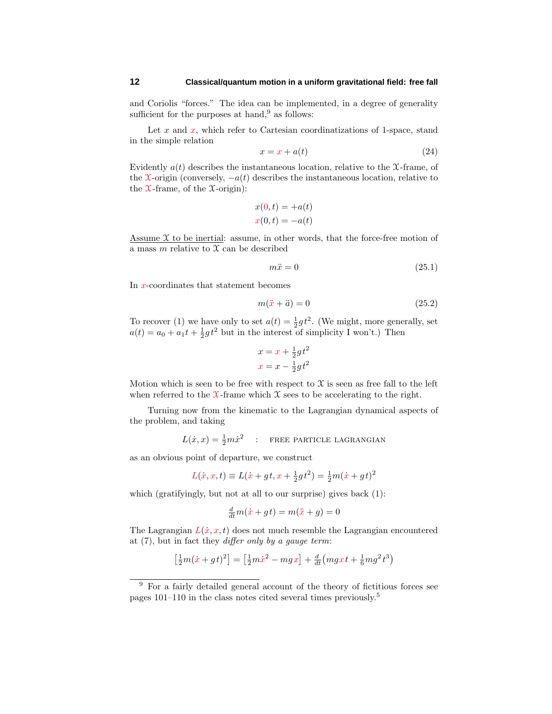and Coriolis "forces." The idea can be implemented, in a degree of generality sufficient for the purposes at hand, $9$  as follows:

Let  $x$  and  $x$ , which refer to Cartesian coordinatizations of 1-space, stand in the simple relation

$$
x = x + a(t) \tag{24}
$$

Evidently  $a(t)$  describes the instantaneous location, relative to the  $\mathcal{X}$ -frame, of the X-origin (conversely,  $-a(t)$ ) describes the instantaneous location, relative to the  $\mathfrak{X}\text{-frame}$ , of the  $\mathfrak{X}\text{-origin}$ :

$$
x(0,t) = +a(t)
$$
  

$$
x(0,t) = -a(t)
$$

Assume  $\mathfrak X$  to be inertial: assume, in other words, that the force-free motion of a mass  $m$  relative to  $\mathfrak X$  can be described

$$
m\ddot{x} = 0 \tag{25.1}
$$

In *x*-coordinates that statement becomes

$$
m(\ddot{x} + \ddot{a}) = 0 \tag{25.2}
$$

To recover (1) we have only to set  $a(t) = \frac{1}{2}gt^2$ . (We might, more generally, set  $a(t) = a_0 + a_1 t + \frac{1}{2} g t^2$  but in the interest of simplicity I won't.) Then

$$
x = x + \frac{1}{2}gt^2
$$

$$
x = x - \frac{1}{2}gt^2
$$

Motion which is seen to be free with respect to  $\mathfrak X$  is seen as free fall to the left when referred to the  $\mathfrak{X}$ -frame which  $\mathfrak{X}$  sees to be accelerating to the right.

Turning now from the kinematic to the Lagrangian dynamical aspects of the problem, and taking

$$
L(\dot{x}, x) = \frac{1}{2}m\dot{x}^2
$$
: **FREE PARTICLE LAGRANGIAN**

as an obvious point of departure, we construct

$$
L(\dot{x}, x, t) \equiv L(\dot{x} + gt, x + \frac{1}{2}gt^2) = \frac{1}{2}m(\dot{x} + gt)^2
$$

which (gratifyingly, but not at all to our surprise) gives back (1):

$$
\frac{d}{dt}m(\dot{x} + gt) = m(\ddot{x} + g) = 0
$$

The Lagrangian  $L(x, x, t)$  does not much resemble the Lagrangian encountered at  $(7)$ , but in fact they *differ only by a gauge term*:

$$
\left[\frac{1}{2}m(\dot{x}+gt)^2\right] = \left[\frac{1}{2}m\dot{x}^2 - mgx\right] + \frac{d}{dt}\left(mgxt + \frac{1}{6}mg^2t^3\right)
$$

<sup>&</sup>lt;sup>9</sup> For a fairly detailed general account of the theory of fictitious forces see pages 101–110 in the class notes cited several times previously.<sup>5</sup>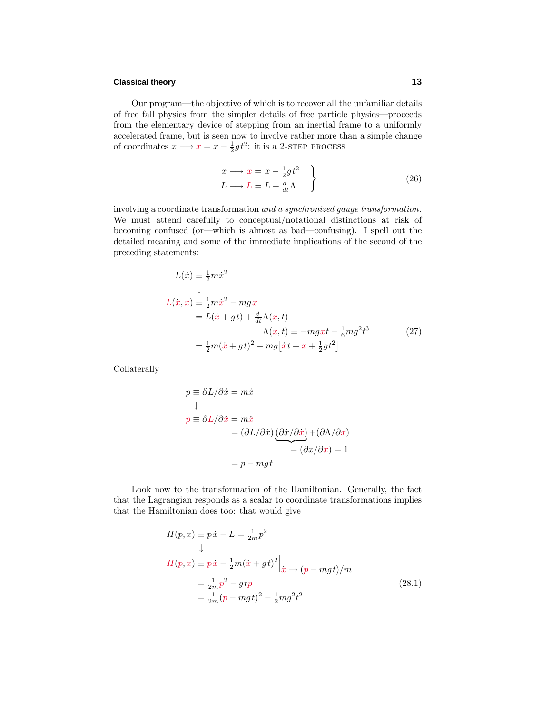## **Classical theory 13**

Our program—the objective of which is to recover all the unfamiliar details of free fall physics from the simpler details of free particle physics—proceeds from the elementary device of stepping from an inertial frame to a uniformly accelerated frame, but is seen now to involve rather more than a simple change of coordinates  $x \longrightarrow x = x - \frac{1}{2}gt^2$ : it is a 2-step process

$$
x \longrightarrow x = x - \frac{1}{2}gt^2
$$
  
\n
$$
L \longrightarrow L = L + \frac{d}{dt}\Lambda
$$
 (26)

involving a coordinate transformation and a synchronized gauge transformation. We must attend carefully to conceptual/notational distinctions at risk of becoming confused (or—which is almost as bad—confusing). I spell out the detailed meaning and some of the immediate implications of the second of the preceding statements:

$$
L(\dot{x}) \equiv \frac{1}{2}m\dot{x}^2
$$
  
\n
$$
\downarrow
$$
  
\n
$$
L(\dot{x}, x) \equiv \frac{1}{2}m\dot{x}^2 - mgx
$$
  
\n
$$
= L(\dot{x} + gt) + \frac{d}{dt}\Lambda(x, t)
$$
  
\n
$$
\Lambda(x, t) \equiv -mgxt - \frac{1}{6}mg^2t^3
$$
(27)  
\n
$$
= \frac{1}{2}m(\dot{x} + gt)^2 - mg[\dot{x}t + x + \frac{1}{2}gt^2]
$$

Collaterally

$$
p \equiv \partial L/\partial \dot{x} = m\dot{x}
$$
  
\n
$$
\downarrow
$$
  
\n
$$
p \equiv \partial L/\partial \dot{x} = m\dot{x}
$$
  
\n
$$
= (\partial L/\partial \dot{x}) \underbrace{(\partial \dot{x}/\partial \dot{x})}_{= (\partial x/\partial x)} + (\partial \Lambda/\partial x)
$$
  
\n
$$
= p - mgt
$$

Look now to the transformation of the Hamiltonian. Generally, the fact that the Lagrangian responds as a scalar to coordinate transformations implies that the Hamiltonian does too: that would give

$$
H(p, x) \equiv p\dot{x} - L = \frac{1}{2m}p^2
$$
  
\n
$$
H(p, x) \equiv p\dot{x} - \frac{1}{2}m(\dot{x} + gt)^2|_{\dot{x} \to (p - mgt)/m}
$$
  
\n
$$
= \frac{1}{2m}p^2 - gtp
$$
  
\n
$$
= \frac{1}{2m}(p - mgt)^2 - \frac{1}{2}mg^2t^2
$$
\n(28.1)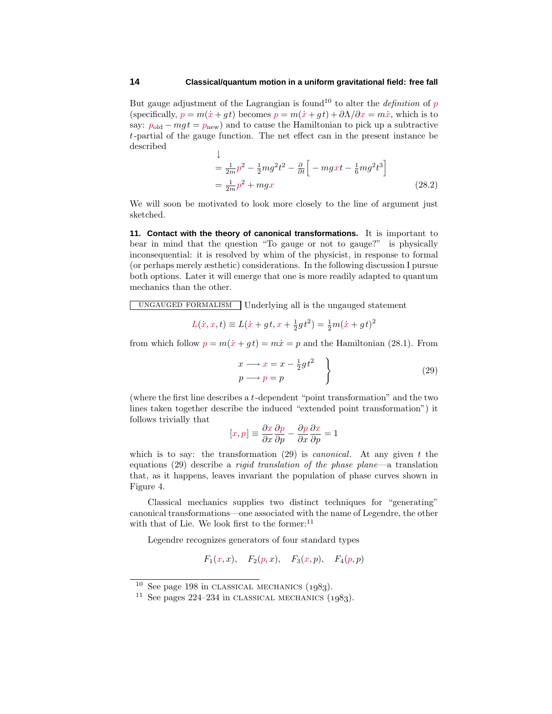But gauge adjustment of the Lagrangian is found<sup>10</sup> to alter the *definition* of  $p$ (specifically,  $p = m(\dot{x} + gt)$  becomes  $p = m(\dot{x} + gt) + \partial \Lambda/\partial x = m\dot{x}$ , which is to say:  $p_{old} - mgt = p_{new}$  and to cause the Hamiltonian to pick up a subtractive *t*-partial of the gauge function. The net effect can in the present instance be described

$$
\downarrow
$$
\n
$$
= \frac{1}{2m}p^2 - \frac{1}{2}mg^2t^2 - \frac{\partial}{\partial t}\left[-mgxt - \frac{1}{6}mg^2t^3\right]
$$
\n
$$
= \frac{1}{2m}p^2 + mgx
$$
\n(28.2)

We will soon be motivated to look more closely to the line of argument just sketched.

**11. Contact with the theory of canonical transformations.** It is important to bear in mind that the question "To gauge or not to gauge?" is physically inconsequential: it is resolved by whim of the physicist, in response to formal (or perhaps merely æsthetic) considerations. In the following discussion I pursue both options. Later it will emerge that one is more readily adapted to quantum mechanics than the other.

ungauged formalism Underlying all is the ungauged statement

$$
L(\dot{x}, x, t) \equiv L(\dot{x} + gt, x + \frac{1}{2}gt^2) = \frac{1}{2}m(\dot{x} + gt)^2
$$

from which follow  $p = m(\dot{x} + q t) = m\dot{x} = p$  and the Hamiltonian (28.1). From

$$
\begin{aligned}\nx &\longrightarrow x = x - \frac{1}{2}gt^2 \\
p &\longrightarrow p = p\n\end{aligned}
$$
\n(29)

(where the first line describes a *t*-dependent "point transformation" and the two lines taken together describe the induced "extended point transformation") it follows trivially that

$$
[x,p] \equiv \frac{\partial x}{\partial x} \frac{\partial p}{\partial p} - \frac{\partial p}{\partial x} \frac{\partial x}{\partial p} = 1
$$

which is to say: the transformation (29) is canonical. At any given *t* the equations (29) describe a rigid translation of the phase plane—a translation that, as it happens, leaves invariant the population of phase curves shown in Figure 4.

Classical mechanics supplies two distinct techniques for "generating" canonical transformations—one associated with the name of Legendre, the other with that of Lie. We look first to the former:<sup>11</sup>

Legendre recognizes generators of four standard types

 $F_1(x, x)$ ,  $F_2(p, x)$ ,  $F_3(x, p)$ ,  $F_4(p, p)$ 

 $10$  See page 198 in CLASSICAL MECHANICS  $(1983)$ .

<sup>&</sup>lt;sup>11</sup> See pages 224–234 in CLASSICAL MECHANICS  $(1983)$ .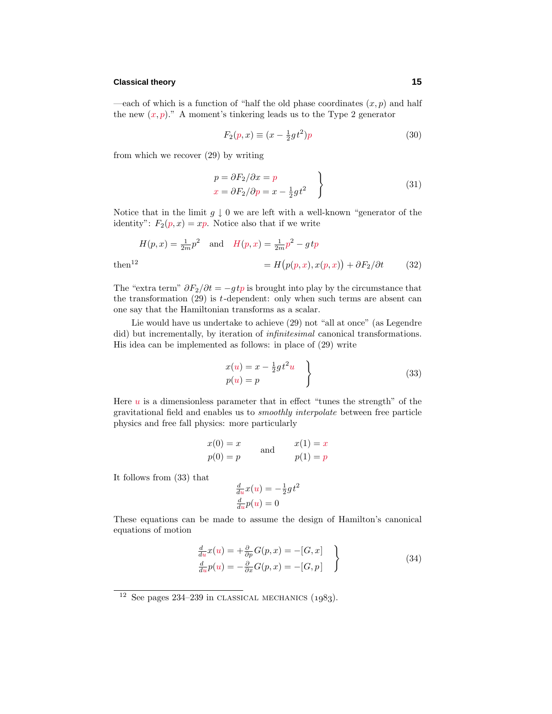## **Classical theory 15**

—each of which is a function of "half the old phase coordinates  $(x, p)$  and half the new  $(x, p)$ ." A moment's tinkering leads us to the Type 2 generator

$$
F_2(p,x) \equiv (x - \frac{1}{2}gt^2)p\tag{30}
$$

from which we recover (29) by writing

$$
p = \partial F_2 / \partial x = p
$$
  
\n
$$
x = \partial F_2 / \partial p = x - \frac{1}{2}gt^2
$$
\n(31)

Notice that in the limit  $g \downarrow 0$  we are left with a well-known "generator of the identity":  $F_2(p, x) = xp$ . Notice also that if we write

$$
H(p,x) = \frac{1}{2m}p^2 \quad \text{and} \quad H(p,x) = \frac{1}{2m}p^2 - gtp
$$
  

$$
= H\left(p(p,x), x(p,x)\right) + \partial F_2/\partial t \tag{32}
$$

The "extra term"  $\partial F_2/\partial t = -qtp$  is brought into play by the circumstance that the transformation (29) is *t*-dependent: only when such terms are absent can one say that the Hamiltonian transforms as a scalar.

Lie would have us undertake to achieve (29) not "all at once" (as Legendre did) but incrementally, by iteration of *infinitesimal* canonical transformations. His idea can be implemented as follows: in place of (29) write

$$
x(u) = x - \frac{1}{2}gt^2u
$$
  
\n
$$
p(u) = p
$$
\n(33)

Here  $u$  is a dimensionless parameter that in effect "tunes the strength" of the gravitational field and enables us to smoothly interpolate between free particle physics and free fall physics: more particularly

$$
x(0) = x
$$
  
\n
$$
p(0) = p
$$
 and 
$$
x(1) = x
$$
  
\n
$$
p(1) = p
$$

It follows from (33) that

$$
\frac{d}{du}x(u) = -\frac{1}{2}gt^2
$$

$$
\frac{d}{du}p(u) = 0
$$

These equations can be made to assume the design of Hamilton's canonical equations of motion

$$
\frac{d}{du}x(u) = +\frac{\partial}{\partial p}G(p, x) = -[G, x] \n\frac{d}{du}p(u) = -\frac{\partial}{\partial x}G(p, x) = -[G, p]
$$
\n(34)

 $12$  See pages 234–239 in CLASSICAL MECHANICS (1983).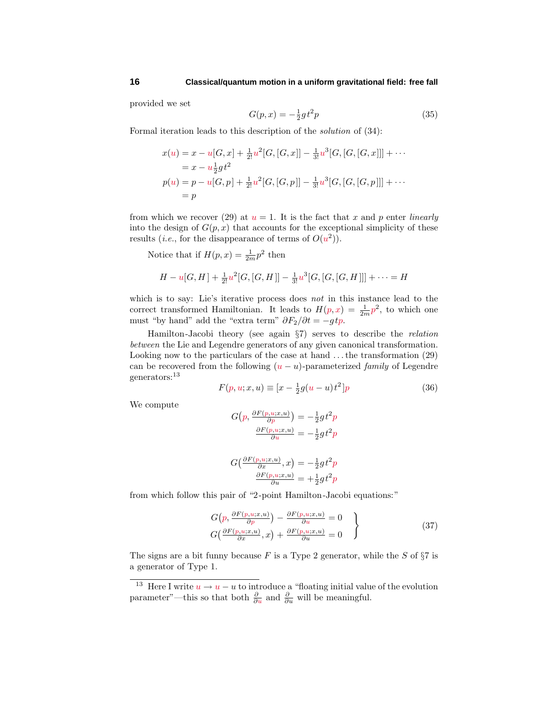provided we set

$$
G(p, x) = -\frac{1}{2}gt^2p
$$
\n(35)

Formal iteration leads to this description of the solution of (34):

$$
x(u) = x - u[G, x] + \frac{1}{2!}u^2[G, [G, x]] - \frac{1}{3!}u^3[G, [G, [G, x]]] + \cdots
$$
  
=  $x - u\frac{1}{2}gt^2$   

$$
p(u) = p - u[G, p] + \frac{1}{2!}u^2[G, [G, p]] - \frac{1}{3!}u^3[G, [G, [G, p]]] + \cdots
$$
  
=  $p$ 

from which we recover (29) at  $u = 1$ . It is the fact that x and p enter *linearly* into the design of  $G(p, x)$  that accounts for the exceptional simplicity of these results (*i.e.*, for the disappearance of terms of  $O(u^2)$ ).

Notice that if  $H(p, x) = \frac{1}{2m} p^2$  then

$$
H - u[G, H] + \frac{1}{2!}u^2[G, [G, H]] - \frac{1}{3!}u^3[G, [G, [G, H]]] + \cdots = H
$$

which is to say: Lie's iterative process does *not* in this instance lead to the correct transformed Hamiltonian. It leads to  $H(p, x) = \frac{1}{2m}p^2$ , to which one must "by hand" add the "extra term"  $\partial F_2/\partial t = -gtp$ .

Hamilton-Jacobi theory (see again §7) serves to describe the relation between the Lie and Legendre generators of any given canonical transformation. Looking now to the particulars of the case at hand *...*the transformation (29) can be recovered from the following  $(u - u)$ -parameterized *family* of Legendre generators:<sup>13</sup>

$$
F(p, u; x, u) \equiv [x - \frac{1}{2}g(u - u)t^{2}]p
$$
\n(36)

We compute

$$
G(p, \frac{\partial F(p, u; x, u)}{\partial p}) = -\frac{1}{2}gt^2p
$$

$$
\frac{\partial F(p, u; x, u)}{\partial u} = -\frac{1}{2}gt^2p
$$

$$
G(\frac{\partial F(p, u; x, u)}{\partial x}, x) = -\frac{1}{2}gt^2p
$$

$$
\frac{\partial F(p, u; x, u)}{\partial u} = +\frac{1}{2}gt^2p
$$

from which follow this pair of "2-point Hamilton-Jacobi equations:"

$$
G(p, \frac{\partial F(p, u; x, u)}{\partial p}) - \frac{\partial F(p, u; x, u)}{\partial u} = 0
$$
  
\n
$$
G(\frac{\partial F(p, u; x, u)}{\partial x}, x) + \frac{\partial F(p, u; x, u)}{\partial u} = 0
$$
\n(37)

The signs are a bit funny because *F* is a Type 2 generator, while the *S* of §7 is a generator of Type 1.

<sup>&</sup>lt;sup>13</sup> Here I write  $u \to u - u$  to introduce a "floating initial value of the evolution parameter"—this so that both  $\frac{\partial}{\partial u}$  and  $\frac{\partial}{\partial u}$  will be meaningful.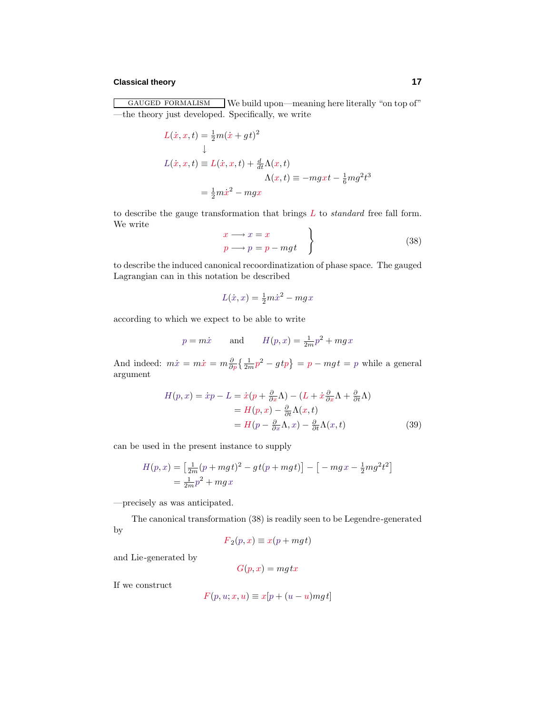## **Classical theory 17**

GAUGED FORMALISM We build upon—meaning here literally "on top of" —the theory just developed. Specifically, we write

$$
L(\dot{x}, x, t) = \frac{1}{2}m(\dot{x} + gt)^2
$$
  
\n
$$
\downarrow
$$
  
\n
$$
L(\dot{x}, x, t) \equiv L(\dot{x}, x, t) + \frac{d}{dt}\Lambda(x, t)
$$
  
\n
$$
\Lambda(x, t) \equiv -mgxt - \frac{1}{6}mg^2t^3
$$
  
\n
$$
= \frac{1}{2}m\dot{x}^2 - mgx
$$

to describe the gauge transformation that brings *L* to standard free fall form. We write

$$
\begin{aligned}\nx &\longrightarrow x = x \\
p &\longrightarrow p = p - mgt\n\end{aligned}
$$
\n(38)

to describe the induced canonical recoordinatization of phase space. The gauged Lagrangian can in this notation be described

$$
L(\dot{x}, x) = \frac{1}{2}m\dot{x}^2 - mgx
$$

according to which we expect to be able to write

$$
p = m\dot{x}
$$
 and  $H(p, x) = \frac{1}{2m}p^2 + mgx$ 

And indeed:  $m\dot{x} = m\dot{x} = m\frac{\partial}{\partial p}\left\{\frac{1}{2m}p^2 - gtp\right\} = p - mgt = p$  while a general argument

$$
H(p,x) = \dot{x}p - L = \dot{x}(p + \frac{\partial}{\partial x}\Lambda) - (L + \dot{x}\frac{\partial}{\partial x}\Lambda + \frac{\partial}{\partial t}\Lambda)
$$
  
=  $H(p,x) - \frac{\partial}{\partial t}\Lambda(x,t)$   
=  $H(p - \frac{\partial}{\partial x}\Lambda, x) - \frac{\partial}{\partial t}\Lambda(x,t)$  (39)

can be used in the present instance to supply

$$
H(p,x) = \left[\frac{1}{2m}(p+mgt)^2 - gt(p+mgt)\right] - \left[-mgx - \frac{1}{2}mg^2t^2\right] \\
= \frac{1}{2m}p^2 + mgx
$$

—precisely as was anticipated.

The canonical transformation (38) is readily seen to be Legendre-generated by

$$
F_2(p,x) \equiv x(p+mgt)
$$

and Lie-generated by

$$
G(p,x) = mg\,tx
$$

If we construct

$$
F(p, u; x, u) \equiv x[p + (u - u)mgt]
$$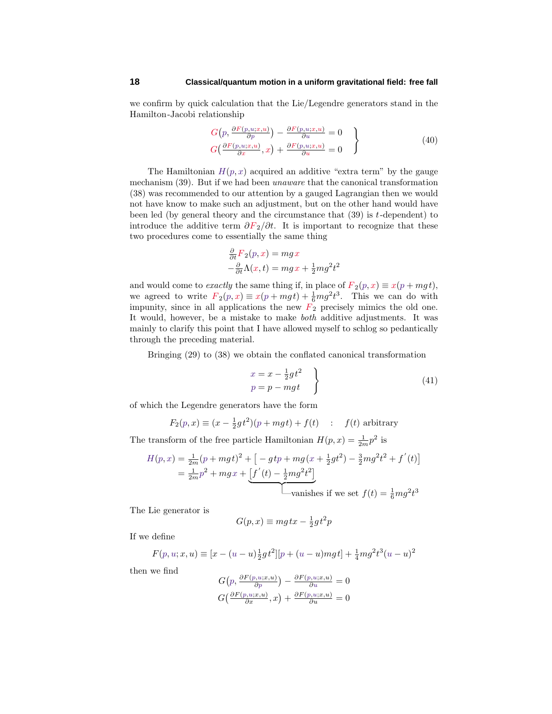we confirm by quick calculation that the Lie/Legendre generators stand in the Hamilton-Jacobi relationship

$$
G(p, \frac{\partial F(p, u; x, u)}{\partial p}) - \frac{\partial F(p, u; x, u)}{\partial u} = 0
$$
  
\n
$$
G(\frac{\partial F(p, u; x, u)}{\partial x}, x) + \frac{\partial F(p, u; x, u)}{\partial u} = 0
$$
\n(40)

The Hamiltonian  $H(p, x)$  acquired an additive "extra term" by the gauge mechanism (39). But if we had been unaware that the canonical transformation (38) was recommended to our attention by a gauged Lagrangian then we would not have know to make such an adjustment, but on the other hand would have been led (by general theory and the circumstance that (39) is *t*-dependent) to introduce the additive term  $\partial F_2/\partial t$ . It is important to recognize that these two procedures come to essentially the same thing

$$
\frac{\partial}{\partial t}F_2(p,x) = mgx
$$
  

$$
-\frac{\partial}{\partial t}\Lambda(x,t) = mgx + \frac{1}{2}mg^2t^2
$$

and would come to *exactly* the same thing if, in place of  $F_2(p, x) \equiv x(p + mgt)$ , we agreed to write  $F_2(p, x) \equiv x(p + mgt) + \frac{1}{6}mg^2t^3$ . This we can do with impunity, since in all applications the new  $F_2$  precisely mimics the old one. It would, however, be a mistake to make both additive adjustments. It was mainly to clarify this point that I have allowed myself to schlog so pedantically through the preceding material.

Bringing (29) to (38) we obtain the conflated canonical transformation

$$
\begin{aligned}\nx &= x - \frac{1}{2}gt^2 \\
p &= p - mgt\n\end{aligned}
$$
\n(41)

of which the Legendre generators have the form

$$
F_2(p,x) \equiv (x - \frac{1}{2}gt^2)(p + mgt) + f(t) \quad : \quad f(t) \text{ arbitrary}
$$

The transform of the free particle Hamiltonian  $H(p, x) = \frac{1}{2m}p^2$  is

$$
H(p,x) = \frac{1}{2m}(p+mgt)^2 + \left[ -gtp + mg(x + \frac{1}{2}gt^2) - \frac{3}{2}mg^2t^2 + f'(t) \right]
$$
  
=  $\frac{1}{2m}p^2 + mgx + \underbrace{[f'(t) - \frac{1}{2}mg^2t^2]}_{\text{vanishes if we set } f(t) = \frac{1}{6}mg^2t^3}$ 

The Lie generator is

$$
G(p, x) \equiv mg \, tx - \frac{1}{2}gt^2 p
$$

If we define

$$
F(p, u; x, u) \equiv [x - (u - u)\frac{1}{2}gt^2][p + (u - u)mgt] + \frac{1}{4}mg^2t^3(u - u)^2
$$

then we find

$$
G(p, \frac{\partial F(p, u; x, u)}{\partial p}) - \frac{\partial F(p, u; x, u)}{\partial u} = 0
$$
  

$$
G(\frac{\partial F(p, u; x, u)}{\partial x}, x) + \frac{\partial F(p, u; x, u)}{\partial u} = 0
$$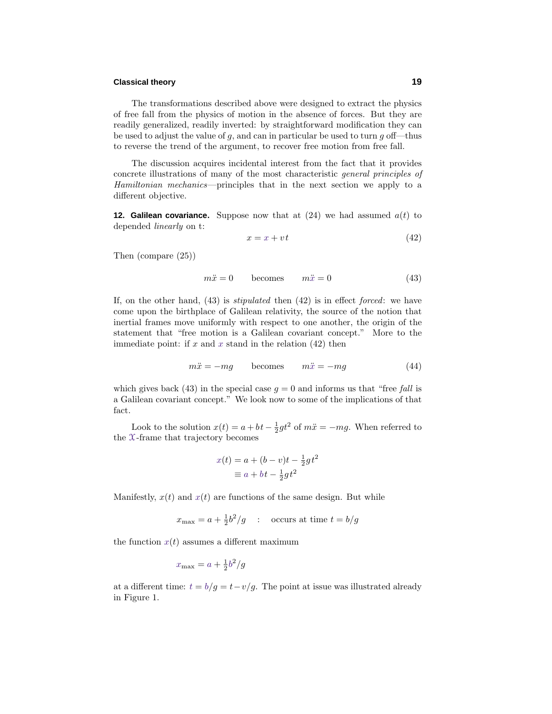## **Classical theory 19**

The transformations described above were designed to extract the physics of free fall from the physics of motion in the absence of forces. But they are readily generalized, readily inverted: by straightforward modification they can be used to adjust the value of *g*, and can in particular be used to turn *g* off—thus to reverse the trend of the argument, to recover free motion from free fall.

The discussion acquires incidental interest from the fact that it provides concrete illustrations of many of the most characteristic general principles of Hamiltonian mechanics—principles that in the next section we apply to a different objective.

**12. Galilean covariance.** Suppose now that at  $(24)$  we had assumed  $a(t)$  to depended linearly on t:

$$
x = x + vt \tag{42}
$$

Then (compare (25))

$$
m\ddot{x} = 0 \qquad \text{becomes} \qquad m\ddot{x} = 0 \tag{43}
$$

If, on the other hand,  $(43)$  is *stipulated* then  $(42)$  is in effect *forced*: we have come upon the birthplace of Galilean relativity, the source of the notion that inertial frames move uniformly with respect to one another, the origin of the statement that "free motion is a Galilean covariant concept." More to the immediate point: if *x* and *x* stand in the relation (42) then

$$
m\ddot{x} = -mg \qquad \text{becomes} \qquad m\ddot{x} = -mg \tag{44}
$$

which gives back (43) in the special case  $q = 0$  and informs us that "free fall is a Galilean covariant concept." We look now to some of the implications of that fact.

Look to the solution  $x(t) = a + bt - \frac{1}{2}gt^2$  of  $m\ddot{x} = -mg$ . When referred to the X-frame that trajectory becomes

$$
x(t) = a + (b - v)t - \frac{1}{2}gt^2
$$

$$
\equiv a + bt - \frac{1}{2}gt^2
$$

Manifestly,  $x(t)$  and  $x(t)$  are functions of the same design. But while

$$
x_{\text{max}} = a + \frac{1}{2}b^2/g
$$
: occurs at time  $t = b/g$ 

the function  $x(t)$  assumes a different maximum

$$
x_{\text{max}} = a + \frac{1}{2}b^2/g
$$

at a different time:  $t = b/g = t - v/g$ . The point at issue was illustrated already in Figure 1.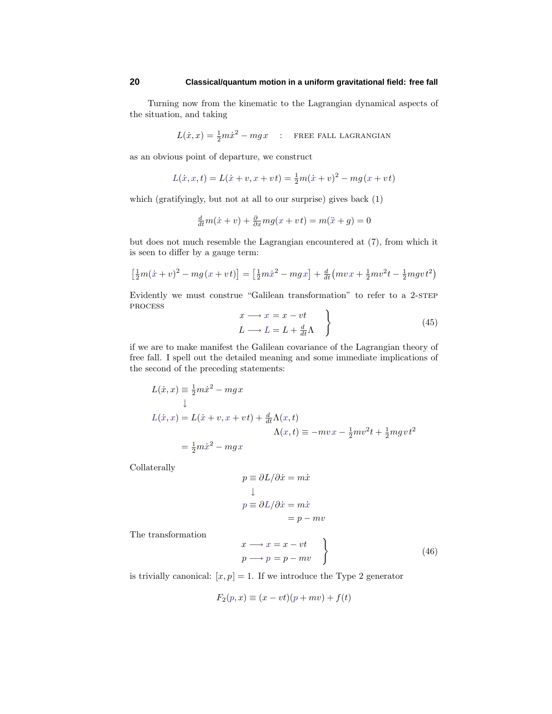Turning now from the kinematic to the Lagrangian dynamical aspects of the situation, and taking

$$
L(\dot{x}, x) = \frac{1}{2}m\dot{x}^2 - mgx
$$
: **FREE FALL LAGRANGIAN**

as an obvious point of departure, we construct

$$
L(\dot{x}, x, t) = L(\dot{x} + v, x + vt) = \frac{1}{2}m(\dot{x} + v)^{2} - mg(x + vt)
$$

which (gratifyingly, but not at all to our surprise) gives back (1)

$$
\frac{d}{dt}m(\dot{x} + v) + \frac{\partial}{\partial x}mg(x + vt) = m(\ddot{x} + g) = 0
$$

but does not much resemble the Lagrangian encountered at (7), from which it is seen to differ by a gauge term:

$$
\left[\frac{1}{2}m(\dot{x}+v)^2 - mg(x+vt)\right] = \left[\frac{1}{2}m\dot{x}^2 - mgx\right] + \frac{d}{dt}\left(mvx + \frac{1}{2}mv^2t - \frac{1}{2}mgvt^2\right)
$$

Evidently we must construe "Galilean transformation" to refer to a 2-STEP process

$$
x \longrightarrow x = x - vt
$$
  
\n
$$
L \longrightarrow L = L + \frac{d}{dt} \Lambda
$$
 (45)

if we are to make manifest the Galilean covariance of the Lagrangian theory of free fall. I spell out the detailed meaning and some immediate implications of the second of the preceding statements:

$$
L(\dot{x}, x) \equiv \frac{1}{2}m\dot{x}^2 - mgx
$$
  
\n
$$
\downarrow
$$
  
\n
$$
L(\dot{x}, x) = L(\dot{x} + v, x + vt) + \frac{d}{dt}\Lambda(x, t)
$$
  
\n
$$
\Lambda(x, t) \equiv -mvx - \frac{1}{2}mv^2t + \frac{1}{2}mgvt^2
$$
  
\n
$$
= \frac{1}{2}m\dot{x}^2 - mgx
$$

Collaterally

$$
p \equiv \partial L/\partial \dot{x} = m\dot{x}
$$
  

$$
\downarrow
$$
  

$$
p \equiv \partial L/\partial \dot{x} = m\dot{x}
$$
  

$$
= p - mv
$$

The transformation

$$
\begin{aligned}\nx &\longrightarrow x = x - vt \\
p &\longrightarrow p = p - mv\n\end{aligned}
$$
\n(46)

is trivially canonical:  $[x, p] = 1$ . If we introduce the Type 2 generator

$$
F_2(p, x) \equiv (x - vt)(p + mv) + f(t)
$$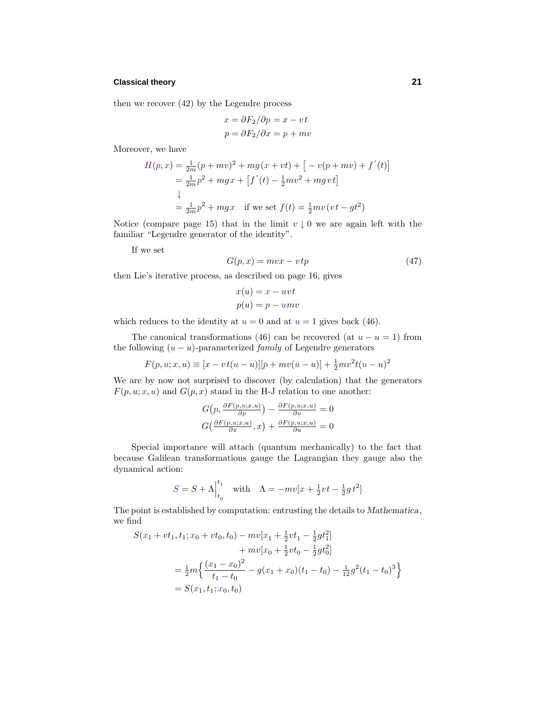## **Classical theory 21**

then we recover (42) by the Legendre process

$$
x = \partial F_2 / \partial p = x - vt
$$

$$
p = \partial F_2 / \partial x = p + mv
$$

Moreover, we have

$$
H(p, x) = \frac{1}{2m}(p + mv)^2 + mg(x + vt) + [-v(p + mv) + f'(t)]
$$
  
=  $\frac{1}{2m}p^2 + mgx + [f'(t) - \frac{1}{2}mv^2 + mgvt]$   
 $\downarrow$   
=  $\frac{1}{2m}p^2 + mgx$  if we set  $f(t) = \frac{1}{2}mv(vt - gt^2)$ 

Notice (compare page 15) that in the limit  $v \downarrow 0$  we are again left with the familiar "Legendre generator of the identity".

If we set

$$
G(p,x) = mvx - vtp \tag{47}
$$

then Lie's iterative process, as described on page 16, gives

$$
x(u) = x - uvt
$$

$$
p(u) = p - umv
$$

which reduces to the identity at  $u = 0$  and at  $u = 1$  gives back (46).

The canonical transformations (46) can be recovered (at  $u - u = 1$ ) from the following  $(u - u)$ -parameterized *family* of Legendre generators

$$
F(p, u; x, u) \equiv [x - vt(u - u)][p + mv(u - u)] + \frac{1}{2}mv^{2}t(u - u)^{2}
$$

We are by now not surprised to discover (by calculation) that the generators  $F(p, u; x, u)$  and  $G(p, x)$  stand in the H-J relation to one another:

$$
G(p, \frac{\partial F(p, u; x, u)}{\partial p}) - \frac{\partial F(p, u; x, u)}{\partial u} = 0
$$
  

$$
G(\frac{\partial F(p, u; x, u)}{\partial x}, x) + \frac{\partial F(p, u; x, u)}{\partial u} = 0
$$

Special importance will attach (quantum mechanically) to the fact that because Galilean transformations gauge the Lagrangian they gauge also the dynamical action:

$$
S = S + \Lambda \Big|_{t_0}^{t_1} \quad \text{with} \quad \Lambda = -mv[x + \frac{1}{2}vt - \frac{1}{2}gt^2]
$$

The point is established by computation: entrusting the details to *Mathematica*, we find

$$
S(x_1 + vt_1, t_1; x_0 + vt_0, t_0) - mv[x_1 + \frac{1}{2}vt_1 - \frac{1}{2}gt_1^2]
$$
  
+ 
$$
mv[x_0 + \frac{1}{2}vt_0 - \frac{1}{2}gt_0^2]
$$
  
= 
$$
\frac{1}{2}m\left\{\frac{(x_1 - x_0)^2}{t_1 - t_0} - g(x_1 + x_0)(t_1 - t_0) - \frac{1}{12}g^2(t_1 - t_0)^3\right\}
$$
  
= 
$$
S(x_1, t_1; x_0, t_0)
$$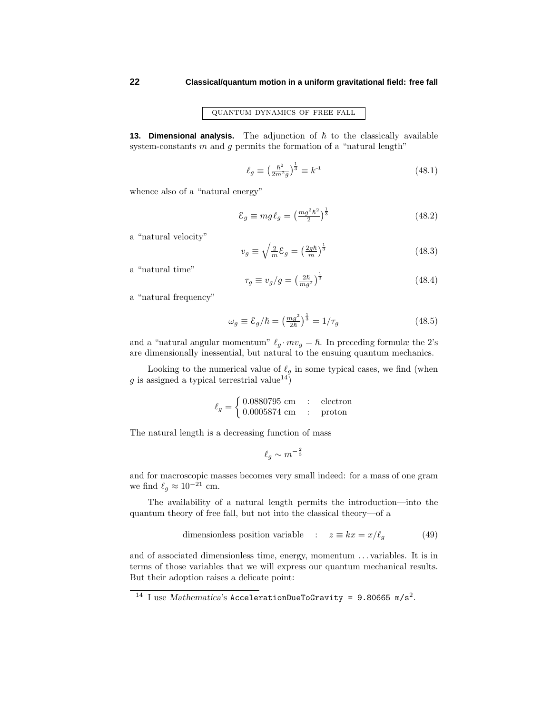quantum dynamics of free fall

**13. Dimensional analysis.** The adjunction of  $\hbar$  to the classically available system-constants *m* and *g* permits the formation of a "natural length"

$$
\ell_g \equiv \left(\frac{\hbar^2}{2m^2g}\right)^{\frac{1}{3}} \equiv k^{-1} \tag{48.1}
$$

whence also of a "natural energy"

$$
\mathcal{E}_g \equiv mg \ell_g = \left(\frac{mg^2\hbar^2}{2}\right)^{\frac{1}{3}}\tag{48.2}
$$

a "natural velocity"

$$
v_g \equiv \sqrt{\frac{2}{m}\mathcal{E}_g} = \left(\frac{2g\hbar}{m}\right)^{\frac{1}{3}}\tag{48.3}
$$

a "natural time"

$$
\tau_g \equiv v_g / g = \left(\frac{2\hbar}{mg^2}\right)^{\frac{1}{3}}\tag{48.4}
$$

a "natural frequency"

$$
\omega_g \equiv \mathcal{E}_g/\hbar = \left(\frac{mg^2}{2\hbar}\right)^{\frac{1}{3}} = 1/\tau_g \tag{48.5}
$$

and a "natural angular momentum"  $\ell_g \cdot mv_g = \hbar$ . In preceding formulæ the 2's are dimensionally inessential, but natural to the ensuing quantum mechanics.

Looking to the numerical value of  $\ell_q$  in some typical cases, we find (when *g* is assigned a typical terrestrial value<sup>14</sup>)

$$
\ell_g = \begin{cases} 0.0880795 \text{ cm} & : \text{ electron} \\ 0.0005874 \text{ cm} & : \text{ proton} \end{cases}
$$

The natural length is a decreasing function of mass

$$
\ell_g \sim m^{-\frac{2}{3}}
$$

and for macroscopic masses becomes very small indeed: for a mass of one gram we find  $\ell_q \approx 10^{-21}$  cm.

The availability of a natural length permits the introduction—into the quantum theory of free fall, but not into the classical theory—of a

dimensionless position variable : 
$$
z \equiv kx = x/\ell_g
$$
 (49)

and of associated dimensionless time, energy, momentum *...* variables. It is in terms of those variables that we will express our quantum mechanical results. But their adoption raises a delicate point:

<sup>&</sup>lt;sup>14</sup> I use *Mathematica*'s AccelerationDueToGravity = 9.80665 m/s<sup>2</sup>.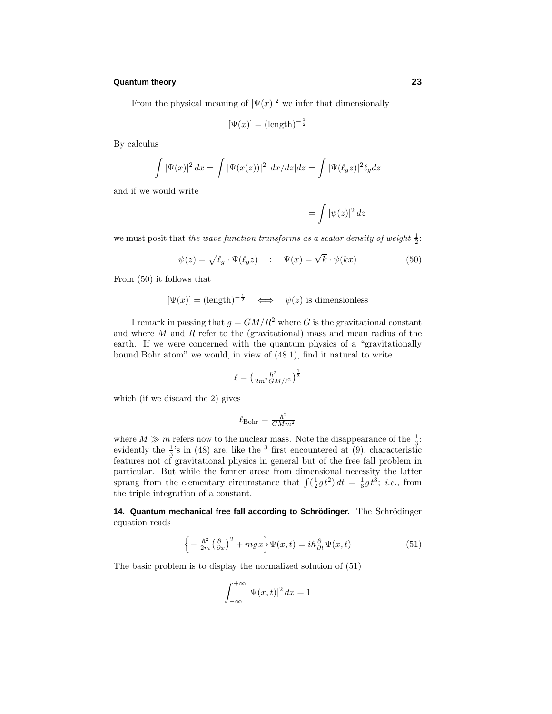From the physical meaning of  $|\Psi(x)|^2$  we infer that dimensionally

$$
[\Psi(x)] = (\text{length})^{-\frac{1}{2}}
$$

By calculus

$$
\int |\Psi(x)|^2 dx = \int |\Psi(x(z))|^2 |dx/dz| dz = \int |\Psi(\ell_g z)|^2 \ell_g dz
$$

and if we would write

$$
= \int |\psi(z)|^2\, dz
$$

we must posit that the wave function transforms as a scalar density of weight  $\frac{1}{2}$ :

$$
\psi(z) = \sqrt{\ell_g} \cdot \Psi(\ell_g z) \quad : \quad \Psi(x) = \sqrt{k} \cdot \psi(kx) \tag{50}
$$

From (50) it follows that

$$
[\Psi(x)] = (\text{length})^{-\frac{1}{2}} \iff \psi(z) \text{ is dimensionless}
$$

I remark in passing that  $g = GM/R^2$  where *G* is the gravitational constant and where *M* and *R* refer to the (gravitational) mass and mean radius of the earth. If we were concerned with the quantum physics of a "gravitationally bound Bohr atom" we would, in view of (48.1), find it natural to write

$$
\ell = \left(\frac{\hbar^2}{2m^2GM/\ell^2}\right)^{\frac{1}{3}}
$$

which (if we discard the 2) gives

$$
\ell_{\rm Bohr} = \frac{\hbar^2}{GMm^2}
$$

where  $M \gg m$  refers now to the nuclear mass. Note the disappearance of the  $\frac{1}{3}$ . evidently the  $\frac{1}{3}$ 's in (48) are, like the <sup>3</sup> first encountered at (9), characteristic features not of gravitational physics in general but of the free fall problem in particular. But while the former arose from dimensional necessity the latter sprang from the elementary circumstance that  $\int (\frac{1}{2}gt^2) dt = \frac{1}{6}gt^3$ ; *i.e.*, from the triple integration of a constant.

**14. Quantum mechanical free fall according to Schrödinger.** The Schrödinger equation reads

$$
\left\{-\frac{\hbar^2}{2m}\left(\frac{\partial}{\partial x}\right)^2 + mgx\right\}\Psi(x,t) = i\hbar\frac{\partial}{\partial t}\Psi(x,t)
$$
\n(51)

The basic problem is to display the normalized solution of (51)

$$
\int_{-\infty}^{+\infty} |\Psi(x,t)|^2 dx = 1
$$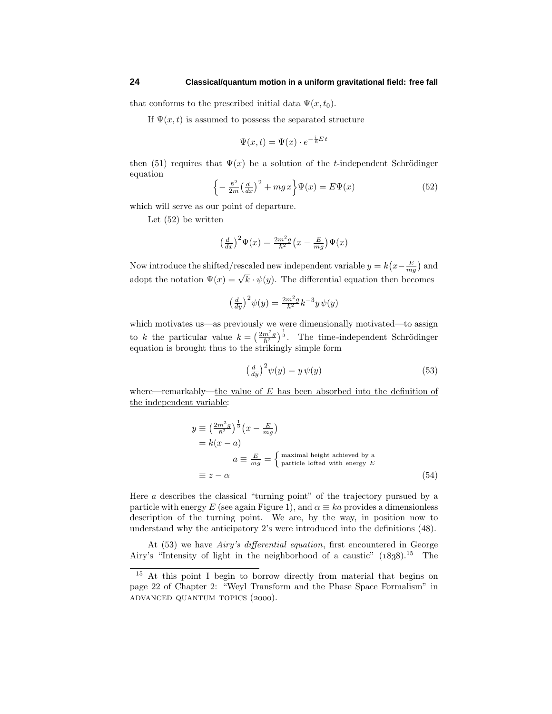that conforms to the prescribed initial data  $\Psi(x, t_0)$ .

If  $\Psi(x, t)$  is assumed to possess the separated structure

$$
\Psi(x,t) = \Psi(x) \cdot e^{-\frac{i}{\hbar}E t}
$$

then (51) requires that  $\Psi(x)$  be a solution of the *t*-independent Schrödinger equation

$$
\left\{-\frac{\hbar^2}{2m}\left(\frac{d}{dx}\right)^2 + mgx\right\}\Psi(x) = E\Psi(x) \tag{52}
$$

which will serve as our point of departure.

Let (52) be written

$$
\left(\frac{d}{dx}\right)^2 \Psi(x) = \frac{2m^2g}{\hbar^2} \left(x - \frac{E}{mg}\right) \Psi(x)
$$

Now introduce the shifted/rescaled new independent variable  $y = k(x - \frac{E}{mg})$  and adopt the notation  $\Psi(x) = \sqrt{k} \cdot \psi(y)$ . The differential equation then becomes

$$
\left(\frac{d}{dy}\right)^2 \psi(y) = \frac{2m^2g}{\hbar^2} k^{-3} y \psi(y)
$$

which motivates us—as previously we were dimensionally motivated—to assign to *k* the particular value  $k = \left(\frac{2m^2g}{\hbar^2}\right)^{\frac{1}{3}}$ . The time-independent Schrödinger equation is brought thus to the strikingly simple form

$$
\left(\frac{d}{dy}\right)^2 \psi(y) = y\,\psi(y) \tag{53}
$$

where—remarkably—the value of *E* has been absorbed into the definition of the independent variable:

$$
y \equiv \left(\frac{2m^2g}{\hbar^2}\right)^{\frac{1}{3}} \left(x - \frac{E}{mg}\right)
$$
  
=  $k(x - a)$   

$$
a \equiv \frac{E}{mg} = \begin{cases} \text{maximal height achieved by a} \\ \text{particle lofted with energy } E \end{cases}
$$
  

$$
\equiv z - \alpha
$$
 (54)

Here *a* describes the classical "turning point" of the trajectory pursued by a particle with energy *E* (see again Figure 1), and  $\alpha \equiv ka$  provides a dimensionless description of the turning point. We are, by the way, in position now to understand why the anticipatory 2's were introduced into the definitions (48).

At (53) we have Airy's differential equation, first encountered in George Airy's "Intensity of light in the neighborhood of a caustic"  $(1838).^{15}$  The

<sup>&</sup>lt;sup>15</sup> At this point I begin to borrow directly from material that begins on page 22 of Chapter 2: "Weyl Transform and the Phase Space Formalism" in ADVANCED QUANTUM TOPICS (2000).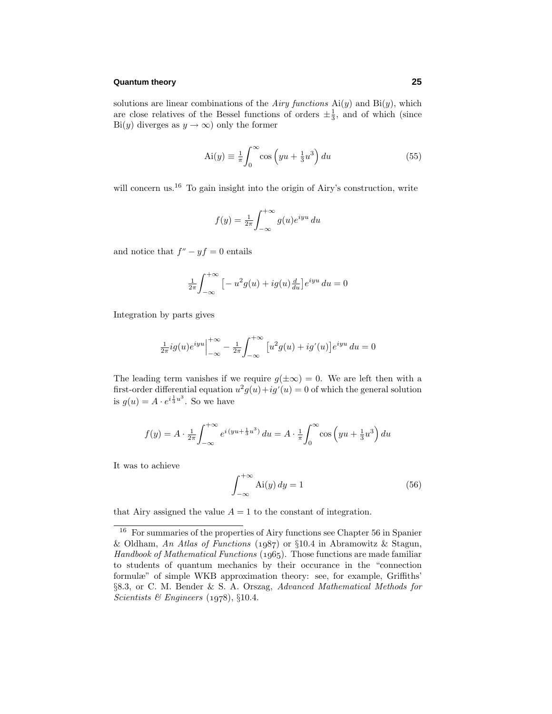solutions are linear combinations of the *Airy functions*  $Ai(y)$  and  $Bi(y)$ , which are close relatives of the Bessel functions of orders  $\pm \frac{1}{3}$ , and of which (since Bi(*y*) diverges as  $y \to \infty$ ) only the former

$$
Ai(y) \equiv \frac{1}{\pi} \int_0^\infty \cos\left(yu + \frac{1}{3}u^3\right) du\tag{55}
$$

will concern us.<sup>16</sup> To gain insight into the origin of Airy's construction, write

$$
f(y) = \frac{1}{2\pi} \int_{-\infty}^{+\infty} g(u)e^{iyu} du
$$

and notice that  $f'' - yf = 0$  entails

$$
\frac{1}{2\pi} \int_{-\infty}^{+\infty} \left[ -u^2 g(u) + ig(u) \frac{d}{du} \right] e^{iyu} du = 0
$$

Integration by parts gives

$$
\frac{1}{2\pi}ig(u)e^{iyu}\Big|_{-\infty}^{+\infty} - \frac{1}{2\pi}\int_{-\infty}^{+\infty} [u^2g(u) + ig'(u)]e^{iyu} du = 0
$$

The leading term vanishes if we require  $g(\pm \infty) = 0$ . We are left then with a first-order differential equation  $u^2g(u)+ig'(u)=0$  of which the general solution is  $g(u) = A \cdot e^{i\frac{1}{3}u^3}$ . So we have

$$
f(y) = A \cdot \frac{1}{2\pi} \int_{-\infty}^{+\infty} e^{i(yu + \frac{1}{3}u^3)} du = A \cdot \frac{1}{\pi} \int_{0}^{\infty} \cos\left(yu + \frac{1}{3}u^3\right) du
$$

It was to achieve

$$
\int_{-\infty}^{+\infty} Ai(y) dy = 1
$$
\n(56)

that Airy assigned the value  $A = 1$  to the constant of integration.

<sup>16</sup> For summaries of the properties of Airy functions see Chapter 56 in Spanier & Oldham, An Atlas of Functions (1987) or §10.4 in Abramowitz & Stagun, Handbook of Mathematical Functions  $(1965)$ . Those functions are made familiar to students of quantum mechanics by their occurance in the "connection formulæ" of simple WKB approximation theory: see, for example, Griffiths' §8.3, or C. M. Bender & S. A. Orszag, Advanced Mathematical Methods for Scientists & Engineers (1978),  $§10.4$ .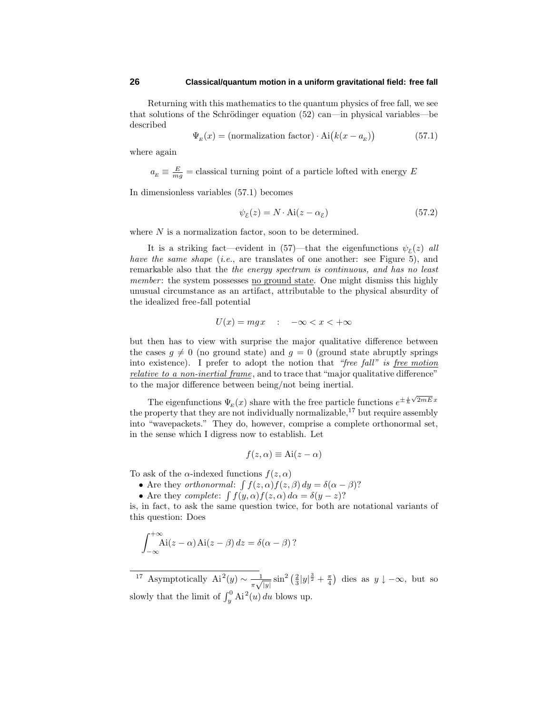Returning with this mathematics to the quantum physics of free fall, we see that solutions of the Schrödinger equation  $(52)$  can—in physical variables—be described

$$
\Psi_{E}(x) = \text{(normalization factor)} \cdot \text{Ai}\big(k(x - a_{E})\big) \tag{57.1}
$$

where again

 $a_E \equiv \frac{E}{mg}$  = classical turning point of a particle lofted with energy *E* 

In dimensionless variables (57.1) becomes

$$
\psi_{\varepsilon}(z) = N \cdot \text{Ai}(z - \alpha_{\varepsilon}) \tag{57.2}
$$

where *N* is a normalization factor, soon to be determined.

It is a striking fact—evident in (57)—that the eigenfunctions  $\psi_{\varepsilon}(z)$  all have the same shape (*i.e.*, are translates of one another: see Figure 5), and remarkable also that the the energy spectrum is continuous, and has no least member: the system possesses no ground state. One might dismiss this highly unusual circumstance as an artifact, attributable to the physical absurdity of the idealized free-fall potential

$$
U(x) = mgx \quad : \quad -\infty < x < +\infty
$$

but then has to view with surprise the major qualitative difference between the cases  $g \neq 0$  (no ground state) and  $g = 0$  (ground state abruptly springs into existence). I prefer to adopt the notion that "free fall" is free motion relative to a non-inertial frame, and to trace that "major qualitative difference" to the major difference between being/not being inertial.

The eigenfunctions  $\Psi_E(x)$  share with the free particle functions  $e^{\pm \frac{i}{\hbar}\sqrt{2mE}x}$ the property that they are not individually normalizable,  $17$  but require assembly into "wavepackets." They do, however, comprise a complete orthonormal set, in the sense which I digress now to establish. Let

$$
f(z, \alpha) \equiv \text{Ai}(z - \alpha)
$$

To ask of the  $\alpha$ -indexed functions  $f(z, \alpha)$ 

• Are they *orthonormal*:  $\int f(z, \alpha) f(z, \beta) dy = \delta(\alpha - \beta)$ ?

• Are they *complete*:  $\int f(y, \alpha) f(z, \alpha) d\alpha = \delta(y - z)$ ?

is, in fact, to ask the same question twice, for both are notational variants of this question: Does

$$
\int_{-\infty}^{+\infty} \mathrm{Ai}(z-\alpha)\,\mathrm{Ai}(z-\beta)\,dz = \delta(\alpha-\beta) ?
$$

<sup>17</sup> Asymptotically  $Ai^2(y) \sim \frac{1}{\pi \sqrt{|y|}} \sin^2 \left(\frac{2}{3}|y|^{\frac{3}{2}} + \frac{\pi}{4}\right)$  dies as  $y \downarrow -\infty$ , but so slowly that the limit of  $\int_y^0 Ai^2(u) du$  blows up.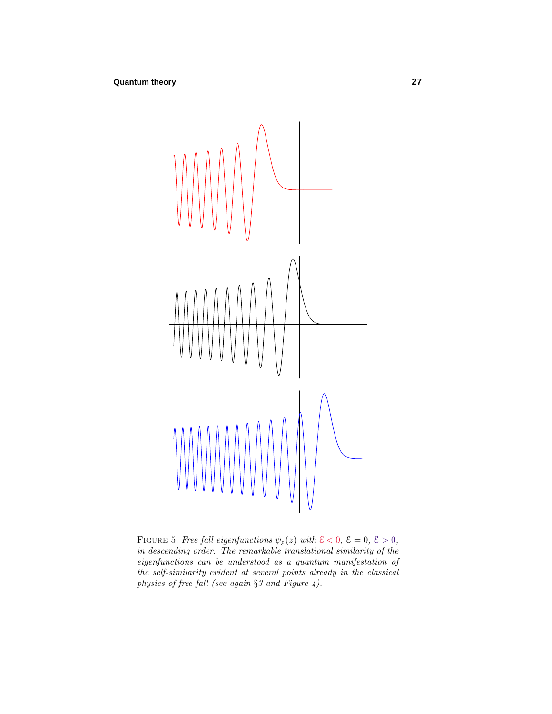

FIGURE 5: Free fall eigenfunctions  $\psi_{\varepsilon}(z)$  with  $\mathcal{E} < 0$ ,  $\mathcal{E} = 0$ ,  $\mathcal{E} > 0$ , in descending order. The remarkable *translational similarity* of the eigenfunctions can be understood as a quantum manifestation of the self-similarity evident at several points already in the classical physics of free fall (see again §3 and Figure 4).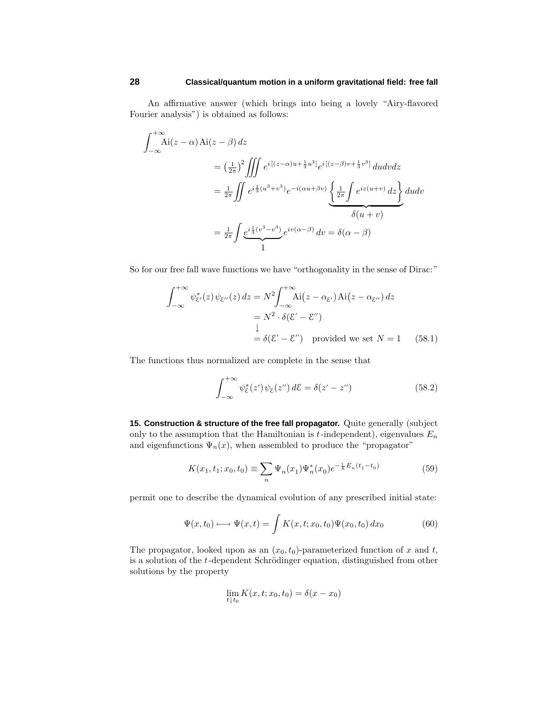An affirmative answer (which brings into being a lovely "Airy-flavored Fourier analysis") is obtained as follows:

$$
\int_{-\infty}^{+\infty} Ai(z - \alpha) Ai(z - \beta) dz
$$
  
=  $\left(\frac{1}{2\pi}\right)^2 \iiint e^{i[(z - \alpha)u + \frac{1}{3}u^3]} e^{i[(z - \beta)v + \frac{1}{3}v^3]} du dv dz$   
=  $\frac{1}{2\pi} \iint e^{i\frac{1}{3}(u^3 + v^3)} e^{-i(\alpha u + \beta v)} \left\{ \frac{1}{2\pi} \int e^{iz(u+v)} dz \right\} du dv$   
=  $\frac{1}{2\pi} \int e^{i\frac{1}{3}(v^3 - v^3)} e^{iv(\alpha - \beta)} dv = \delta(\alpha - \beta)$ 

So for our free fall wave functions we have "orthogonality in the sense of Dirac:"

$$
\int_{-\infty}^{+\infty} \psi_{\xi'}^*(z) \psi_{\xi''}(z) dz = N^2 \int_{-\infty}^{+\infty} Ai(z - \alpha_{\xi'}) Ai(z - \alpha_{\xi''}) dz
$$
  
=  $N^2 \cdot \delta(\mathcal{E}' - \mathcal{E}'')$   

$$
\downarrow
$$
  
=  $\delta(\mathcal{E}' - \mathcal{E}'')$  provided we set  $N = 1$  (58.1)

The functions thus normalized are complete in the sense that

$$
\int_{-\infty}^{+\infty} \psi_{\mathcal{E}}^*(z') \psi_{\mathcal{E}}(z'') d\mathcal{E} = \delta(z' - z'')
$$
 (58.2)

**15. Construction & structure of the free fall propagator.** Quite generally (subject only to the assumption that the Hamiltonian is  $t$ -independent), eigenvalues  $E_n$ and eigenfunctions  $\Psi_n(x)$ , when assembled to produce the "propagator"

$$
K(x_1, t_1; x_0, t_0) \equiv \sum_n \Psi_n(x_1) \Psi_n^*(x_0) e^{-\frac{i}{\hbar} E_n(t_1 - t_0)}
$$
(59)

permit one to describe the dynamical evolution of any prescribed initial state:

$$
\Psi(x,t_0) \longmapsto \Psi(x,t) = \int K(x,t;x_0,t_0)\Psi(x_0,t_0) dx_0 \tag{60}
$$

The propagator, looked upon as an  $(x_0, t_0)$ -parameterized function of x and t, is a solution of the *t*-dependent Schrödinger equation, distinguished from other solutions by the property

$$
\lim_{t \downarrow t_0} K(x, t; x_0, t_0) = \delta(x - x_0)
$$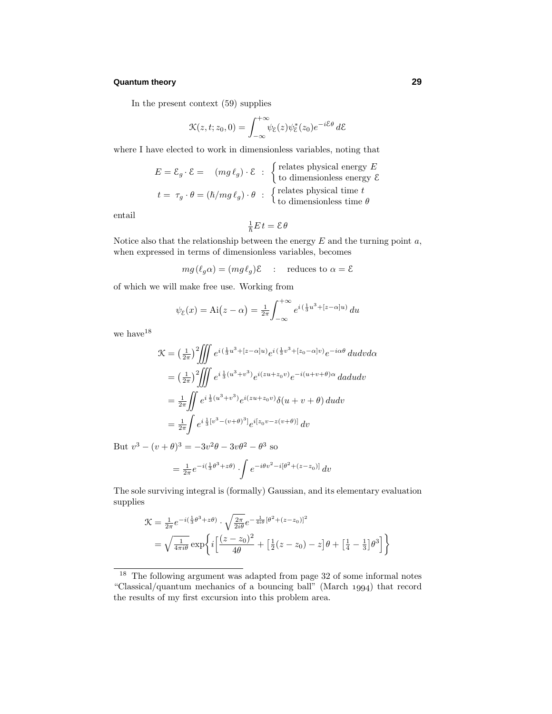In the present context (59) supplies

$$
\mathcal{K}(z,t;z_0,0) = \int_{-\infty}^{+\infty} \psi_{\mathcal{E}}(z)\psi_{\mathcal{E}}^*(z_0)e^{-i\mathcal{E}\theta} d\mathcal{E}
$$

where I have elected to work in dimensionless variables, noting that

$$
E = \mathcal{E}_g \cdot \mathcal{E} = (mg \ell_g) \cdot \mathcal{E} : \begin{cases} \text{relates physical energy } E \\ \text{to dimensionless energy } \mathcal{E} \end{cases}
$$

$$
t = \tau_g \cdot \theta = (\hbar/mg \ell_g) \cdot \theta : \begin{cases} \text{relates physical time } t \\ \text{to dimensionless time } \theta \end{cases}
$$

entail

$$
\tfrac{1}{\hbar}E t = \mathcal{E}\theta
$$

Notice also that the relationship between the energy *E* and the turning point *a*, when expressed in terms of dimensionless variables, becomes

 $mg(\ell_g \alpha) = (mg \ell_g)\mathcal{E}$  : reduces to  $\alpha = \mathcal{E}$ 

of which we will make free use. Working from

$$
\psi_{\varepsilon}(x) = \mathrm{Ai}(z - \alpha) = \frac{1}{2\pi} \int_{-\infty}^{+\infty} e^{i(\frac{1}{3}u^3 + [z - \alpha]u)} du
$$

we have  $^{18}$ 

$$
\mathcal{K} = \left(\frac{1}{2\pi}\right)^2 \iiint e^{i(\frac{1}{3}u^3 + [z-\alpha]u)} e^{i(\frac{1}{3}v^3 + [z_0-\alpha]v)} e^{-i\alpha\theta} du dv d\alpha \n= \left(\frac{1}{2\pi}\right)^2 \iiint e^{i\frac{1}{3}(u^3+v^3)} e^{i(zu+z_0v)} e^{-i(u+v+\theta)\alpha} da du dv \n= \frac{1}{2\pi} \iint e^{i\frac{1}{3}(u^3+v^3)} e^{i(zu+z_0v)} \delta(u+v+\theta) du dv \n= \frac{1}{2\pi} \int e^{i\frac{1}{3}[v^3-(v+\theta)^3]} e^{i[z_0v-z(v+\theta)]} dv
$$

But  $v^3 - (v + \theta)^3 = -3v^2\theta - 3v\theta^2 - \theta^3$  so

$$
= \frac{1}{2\pi}e^{-i(\frac{1}{3}\theta^3 + z\theta)} \cdot \int e^{-i\theta v^2 - i[\theta^2 + (z - z_0)]} dv
$$

The sole surviving integral is (formally) Gaussian, and its elementary evaluation supplies

$$
\mathcal{K} = \frac{1}{2\pi} e^{-i(\frac{1}{3}\theta^3 + z\theta)} \cdot \sqrt{\frac{2\pi}{2i\theta}} e^{-\frac{1}{4i\theta}[\theta^2 + (z - z_0)]^2}
$$
  
=  $\sqrt{\frac{1}{4\pi i\theta}} \exp \left\{ i \left[ \frac{(z - z_0)^2}{4\theta} + \left[ \frac{1}{2}(z - z_0) - z \right] \theta + \left[ \frac{1}{4} - \frac{1}{3} \right] \theta^3 \right] \right\}$ 

<sup>&</sup>lt;sup>18</sup> The following argument was adapted from page 32 of some informal notes "Classical/quantum mechanics of a bouncing ball" (March  $1994$ ) that record the results of my first excursion into this problem area.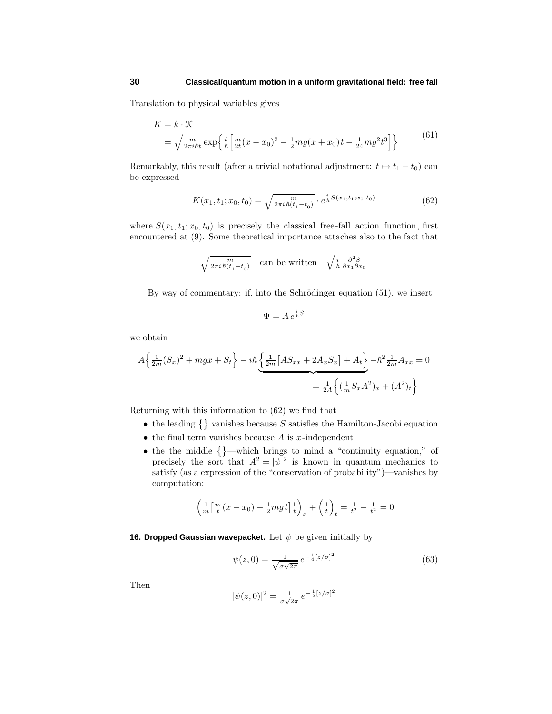Translation to physical variables gives

$$
K = k \cdot \mathcal{K}
$$
  
=  $\sqrt{\frac{m}{2\pi i\hbar t}} \exp\left\{\frac{i}{\hbar} \left[ \frac{m}{2t} (x - x_0)^2 - \frac{1}{2} m g (x + x_0) t - \frac{1}{24} m g^2 t^3 \right] \right\}$  (61)

Remarkably, this result (after a trivial notational adjustment:  $t \mapsto t_1 - t_0$ ) can be expressed

$$
K(x_1, t_1; x_0, t_0) = \sqrt{\frac{m}{2\pi i \hbar (t_1 - t_0)}} \cdot e^{\frac{i}{\hbar} S(x_1, t_1; x_0, t_0)}
$$
(62)

where  $S(x_1, t_1; x_0, t_0)$  is precisely the classical free-fall action function, first encountered at (9). Some theoretical importance attaches also to the fact that

$$
\sqrt{\tfrac{m}{2\pi i\,\hbar(t_1-t_0)}}\quad\text{can be written}\quad \sqrt{\tfrac{i}{h}\tfrac{\partial^2 S}{\partial x_1 \partial x_0}}
$$

By way of commentary: if, into the Schrödinger equation  $(51)$ , we insert

$$
\Psi = A \, e^{\frac{i}{\hbar}S}
$$

we obtain

$$
A\left\{\frac{1}{2m}(S_x)^2 + mgx + S_t\right\} - i\hbar \underbrace{\left\{\frac{1}{2m}[AS_{xx} + 2A_xS_x] + A_t\right\}}_{=\frac{1}{2A}\left\{(\frac{1}{m}S_xA^2)_x + (A^2)_t\right\}}
$$

Returning with this information to (62) we find that

- the leading  $\{\}$  vanishes because *S* satisfies the Hamilton-Jacobi equation
- the final term vanishes because *A* is *x*-independent
- the the middle  $\{\}$ —which brings to mind a "continuity equation," of precisely the sort that  $A^2 = |\psi|^2$  is known in quantum mechanics to satisfy (as a expression of the "conservation of probability")—vanishes by computation:

$$
\left(\frac{1}{m}\left[\frac{m}{t}(x-x_0) - \frac{1}{2}mgt\right]\frac{1}{t}\right)_x + \left(\frac{1}{t}\right)_t = \frac{1}{t^2} - \frac{1}{t^2} = 0
$$

**16. Dropped Gaussian wavepacket.** Let *ψ* be given initially by

$$
\psi(z,0) = \frac{1}{\sqrt{\sigma\sqrt{2\pi}}} \, e^{-\frac{1}{4}[z/\sigma]^2} \tag{63}
$$

Then

$$
|\psi(z,0)|^2 = \frac{1}{\sigma\sqrt{2\pi}} e^{-\frac{1}{2}[z/\sigma]^2}
$$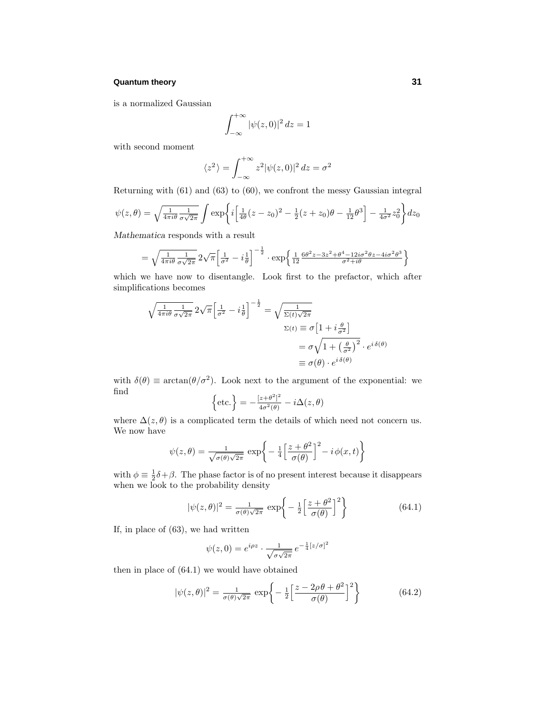is a normalized Gaussian

$$
\int_{-\infty}^{+\infty} |\psi(z,0)|^2 dz = 1
$$

with second moment

$$
\langle z^2 \rangle = \int_{-\infty}^{+\infty} z^2 |\psi(z,0)|^2 dz = \sigma^2
$$

Returning with (61) and (63) to (60), we confront the messy Gaussian integral

$$
\psi(z,\theta) = \sqrt{\frac{1}{4\pi i \theta} \frac{1}{\sigma \sqrt{2\pi}}} \int \exp\left\{i \left[\frac{1}{4\theta}(z-z_0)^2 - \frac{1}{2}(z+z_0)\theta - \frac{1}{12}\theta^3\right] - \frac{1}{4\sigma^2}z_0^2\right\} dz_0
$$

*Mathematica* responds with a result

$$
= \sqrt{\frac{1}{4\pi i\theta} \frac{1}{\sigma\sqrt{2\pi}}} 2\sqrt{\pi} \left[ \frac{1}{\sigma^2} - i\frac{1}{\theta} \right]^{-\frac{1}{2}} \cdot \exp\left\{ \frac{1}{12} \frac{6\theta^2 z - 3z^2 + \theta^4 - 12i\sigma^2 \theta z - 4i\sigma^2 \theta^3}{\sigma^2 + i\theta} \right\}
$$

which we have now to disentangle. Look first to the prefactor, which after simplifications becomes

$$
\sqrt{\frac{1}{4\pi i\theta} \frac{1}{\sigma\sqrt{2\pi}}} 2\sqrt{\pi} \left[\frac{1}{\sigma^2} - i\frac{1}{\theta}\right]^{-\frac{1}{2}} = \sqrt{\frac{1}{\Sigma(t)\sqrt{2\pi}}}
$$
\n
$$
\Sigma(t) \equiv \sigma \left[1 + i\frac{\theta}{\sigma^2}\right]
$$
\n
$$
= \sigma\sqrt{1 + \left(\frac{\theta}{\sigma^2}\right)^2} \cdot e^{i\delta(\theta)}
$$
\n
$$
\equiv \sigma(\theta) \cdot e^{i\delta(\theta)}
$$

with  $\delta(\theta) \equiv \arctan(\theta/\sigma^2)$ . Look next to the argument of the exponential: we find

$$
\left\{\text{etc.}\right\} = -\frac{[z+\theta^2]^2}{4\sigma^2(\theta)} - i\Delta(z,\theta)
$$

where  $\Delta(z,\theta)$  is a complicated term the details of which need not concern us. We now have

$$
\psi(z,\theta) = \frac{1}{\sqrt{\sigma(\theta)\sqrt{2\pi}}} \exp\bigg\{-\frac{1}{4} \Big[\frac{z+\theta^2}{\sigma(\theta)}\Big]^2 - i\phi(x,t)\bigg\}
$$

with  $\phi \equiv \frac{1}{2}\delta + \beta$ . The phase factor is of no present interest because it disappears when we look to the probability density

$$
|\psi(z,\theta)|^2 = \frac{1}{\sigma(\theta)\sqrt{2\pi}} \exp\left\{-\frac{1}{2}\left[\frac{z+\theta^2}{\sigma(\theta)}\right]^2\right\}
$$
(64.1)

If, in place of (63), we had written

$$
\psi(z,0) = e^{i\rho z} \cdot \frac{1}{\sqrt{\sigma\sqrt{2\pi}}} e^{-\frac{1}{4}[z/\sigma]^2}
$$

then in place of (64.1) we would have obtained

$$
|\psi(z,\theta)|^2 = \frac{1}{\sigma(\theta)\sqrt{2\pi}} \exp\left\{-\frac{1}{2}\left[\frac{z-2\rho\theta+\theta^2}{\sigma(\theta)}\right]^2\right\}
$$
(64.2)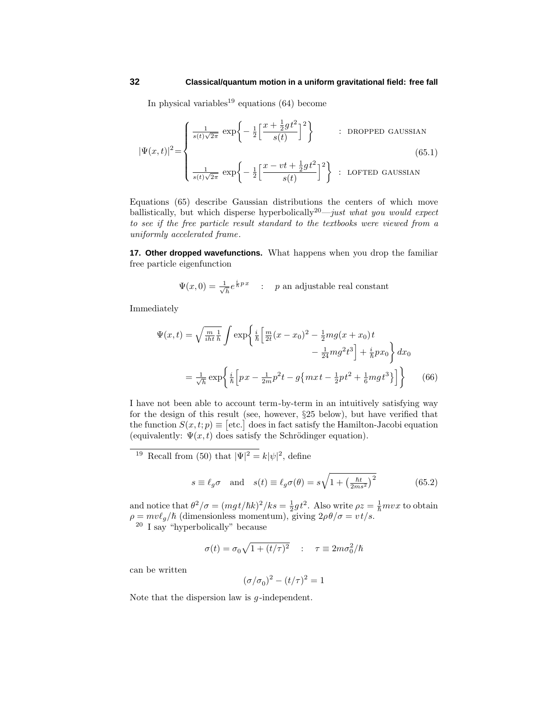In physical variables<sup>19</sup> equations  $(64)$  become

$$
|\Psi(x,t)|^2 = \begin{cases} \frac{1}{s(t)\sqrt{2\pi}} \exp\left\{-\frac{1}{2}\left[\frac{x+\frac{1}{2}gt^2}{s(t)}\right]^2\right\} & \text{: DROPPED GAUSSIAN} \\ \frac{1}{s(t)\sqrt{2\pi}} \exp\left\{-\frac{1}{2}\left[\frac{x-vt+\frac{1}{2}gt^2}{s(t)}\right]^2\right\} & \text{: LOFTED GAUSSIAN} \end{cases}
$$
(65.1)

Equations (65) describe Gaussian distributions the centers of which move ballistically, but which disperse hyperbolically<sup>20</sup>—just what you would expect to see if the free particle result standard to the textbooks were viewed from a uniformly accelerated frame.

**17. Other dropped wavefunctions.** What happens when you drop the familiar free particle eigenfunction

$$
\Psi(x,0) = \frac{1}{\sqrt{h}} e^{\frac{i}{h}px} \quad : \quad p \text{ an adjustable real constant}
$$

Immediately

$$
\Psi(x,t) = \sqrt{\frac{m}{i\hbar t}} \frac{1}{\hbar} \int \exp\left\{ \frac{i}{\hbar} \left[ \frac{m}{2t} (x - x_0)^2 - \frac{1}{2} m g (x + x_0) t - \frac{1}{24} m g^2 t^3 \right] + \frac{i}{\hbar} p x_0 \right\} dx_0
$$

$$
= \frac{1}{\sqrt{\hbar}} \exp\left\{ \frac{i}{\hbar} \left[ px - \frac{1}{2m} p^2 t - g \{ m x t - \frac{1}{2} p t^2 + \frac{1}{6} m g t^3 \} \right] \right\} \tag{66}
$$

I have not been able to account term-by-term in an intuitively satisfying way for the design of this result (see, however, §25 below), but have verified that the function  $S(x, t; p) \equiv [\text{etc.}]$  does in fact satisfy the Hamilton-Jacobi equation (equivalently:  $\Psi(x, t)$  does satisfy the Schrödinger equation).

<sup>19</sup> Recall from (50) that  $|\Psi|^2 = k|\psi|^2$ , define

$$
s \equiv \ell_g \sigma
$$
 and  $s(t) \equiv \ell_g \sigma(\theta) = s \sqrt{1 + \left(\frac{\hbar t}{2ms^2}\right)^2}$  (65.2)

and notice that  $\theta^2/\sigma = (mg t/\hbar k)^2 /ks = \frac{1}{2}gt^2$ . Also write  $\rho z = \frac{1}{\hbar}mvx$  to obtain  $\rho = mv\ell_g/\hbar$  (dimensionless momentum), giving  $2\rho\theta/\sigma = vt/s$ . <sup>20</sup> I say "hyperbolically" because

$$
\sigma(t) = \sigma_0 \sqrt{1 + (t/\tau)^2} \quad : \quad \tau \equiv 2m\sigma_0^2/\hbar
$$

can be written

$$
(\sigma/\sigma_0)^2 - (t/\tau)^2 = 1
$$

Note that the dispersion law is *g* -independent.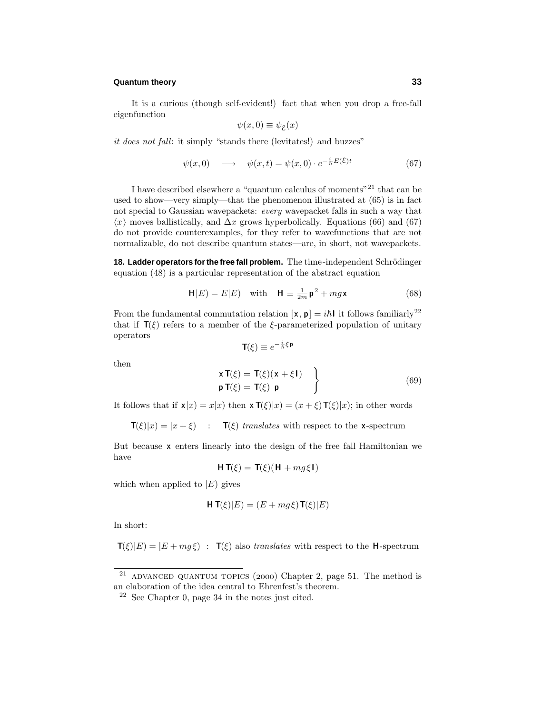It is a curious (though self-evident!) fact that when you drop a free-fall eigenfunction

$$
\psi(x,0) \equiv \psi_{\mathcal{E}}(x)
$$

it does not fall: it simply "stands there (levitates!) and buzzes"

$$
\psi(x,0) \longrightarrow \psi(x,t) = \psi(x,0) \cdot e^{-\frac{i}{\hbar}E(\mathcal{E})t} \tag{67}
$$

I have described elsewhere a "quantum calculus of moments"<sup>21</sup> that can be used to show—very simply—that the phenomenon illustrated at (65) is in fact not special to Gaussian wavepackets: every wavepacket falls in such a way that  $\langle x \rangle$  moves ballistically, and  $\Delta x$  grows hyperbolically. Equations (66) and (67) do not provide counterexamples, for they refer to wavefunctions that are not normalizable, do not describe quantum states—are, in short, not wavepackets.

18. Ladder operators for the free fall problem. The time-independent Schrödinger equation (48) is a particular representation of the abstract equation

$$
\mathbf{H}|E) = E|E| \quad \text{with} \quad \mathbf{H} \equiv \frac{1}{2m} \mathbf{p}^2 + mg\mathbf{x} \tag{68}
$$

From the fundamental commutation relation  $[\mathbf{x}, \mathbf{p}] = i\hbar \mathbf{l}$  it follows familiarly<sup>22</sup> that if  $T(\xi)$  refers to a member of the *ξ*-parameterized population of unitary operators

$$
\mathbf{T}(\xi) \equiv e^{-\frac{i}{\hbar}\xi\,\mathbf{p}}
$$

then

$$
\begin{aligned}\n\mathbf{x} \, \mathbf{T}(\xi) &= \mathbf{T}(\xi) (\mathbf{x} + \xi \mathbf{I}) \\
\mathbf{p} \, \mathbf{T}(\xi) &= \mathbf{T}(\xi) \, \mathbf{p}\n\end{aligned}\n\tag{69}
$$

It follows that if  $\mathbf{x}|x| = x|x|$  then  $\mathbf{x} \mathbf{T}(\xi)|x| = (x + \xi) \mathbf{T}(\xi)|x|$ ; in other words

**T**(*ξ*)|*x*) =  $|x + \xi$  : **T**(*ξ*) translates with respect to the **x**-spectrum

But because **x** enters linearly into the design of the free fall Hamiltonian we have

$$
\mathbf{H}\,\mathbf{T}(\xi) = \mathbf{T}(\xi)(\mathbf{H} + mg\xi\mathbf{I})
$$

which when applied to  $|E|$  gives

$$
\mathbf{H}\,\mathbf{T}(\xi)|E) = (E + mg\xi)\,\mathbf{T}(\xi)|E)
$$

In short:

$$
\mathbf{T}(\xi)|E) = |E + mg\xi| \; : \; \mathbf{T}(\xi) \text{ also translates with respect to the } \mathbf{H}\text{-spectrum}
$$

<sup>&</sup>lt;sup>21</sup> ADVANCED QUANTUM TOPICS (2000) Chapter 2, page 51. The method is an elaboration of the idea central to Ehrenfest's theorem.

 $22$  See Chapter 0, page 34 in the notes just cited.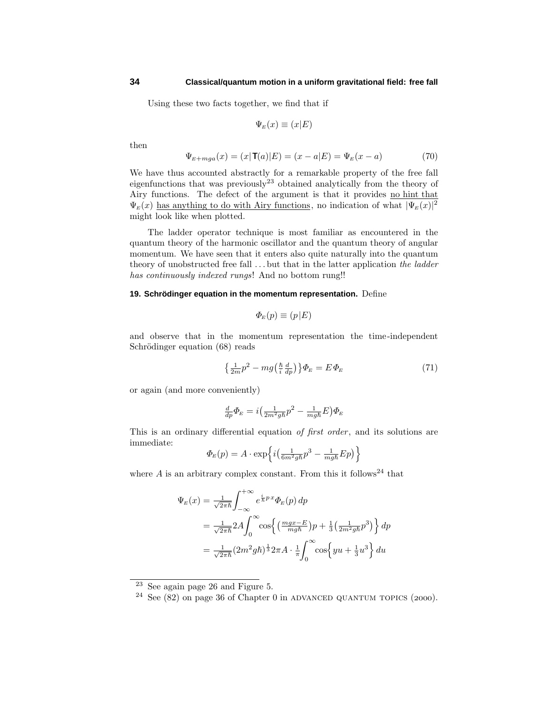Using these two facts together, we find that if

$$
\Psi_E(x) \equiv (x|E)
$$

then

$$
\Psi_{E+mga}(x) = (x|\mathbf{T}(a)|E) = (x - a|E) = \Psi_E(x - a)
$$
\n(70)

We have thus accounted abstractly for a remarkable property of the free fall eigenfunctions that was previously<sup>23</sup> obtained analytically from the theory of Airy functions. The defect of the argument is that it provides no hint that  $\Psi_E(x)$  has anything to do with Airy functions, no indication of what  $|\Psi_E(x)|^2$ might look like when plotted.

The ladder operator technique is most familiar as encountered in the quantum theory of the harmonic oscillator and the quantum theory of angular momentum. We have seen that it enters also quite naturally into the quantum theory of unobstructed free fall *...* but that in the latter application the ladder has continuously indexed rungs! And no bottom rung!!

## **19. Schrödinger equation in the momentum representation.** Define

$$
\Phi_E(p) \equiv (p|E)
$$

and observe that in the momentum representation the time-independent Schrödinger equation (68) reads

$$
\left\{\frac{1}{2m}p^2 - mg\left(\frac{\hbar}{i}\frac{d}{dp}\right)\right\}\Phi_E = E\Phi_E\tag{71}
$$

or again (and more conveniently)

$$
\frac{d}{dp}\Phi_E = i\left(\frac{1}{2m^2g\hbar}p^2 - \frac{1}{mg\hbar}E\right)\Phi_E
$$

This is an ordinary differential equation of first order, and its solutions are immediate:

$$
\Phi_E(p) = A \cdot \exp\left\{i\left(\frac{1}{6m^2g\hbar}p^3 - \frac{1}{mg\hbar}Ep\right)\right\}
$$

where  $A$  is an arbitrary complex constant. From this it follows<sup>24</sup> that

$$
\Psi_E(x) = \frac{1}{\sqrt{2\pi\hbar}} \int_{-\infty}^{+\infty} e^{\frac{i}{\hbar}p x} \Phi_E(p) dp
$$
  
\n
$$
= \frac{1}{\sqrt{2\pi\hbar}} 2A \int_0^{\infty} \cos\left\{ \left( \frac{mgx - E}{mgh} \right) p + \frac{1}{3} \left( \frac{1}{2m^2gh} p^3 \right) \right\} dp
$$
  
\n
$$
= \frac{1}{\sqrt{2\pi\hbar}} (2m^2gh)^{\frac{1}{3}} 2\pi A \cdot \frac{1}{\pi} \int_0^{\infty} \cos\left\{ yu + \frac{1}{3}u^3 \right\} du
$$

<sup>23</sup> See again page 26 and Figure 5.

 $24$  See (82) on page 36 of Chapter 0 in ADVANCED QUANTUM TOPICS (2000).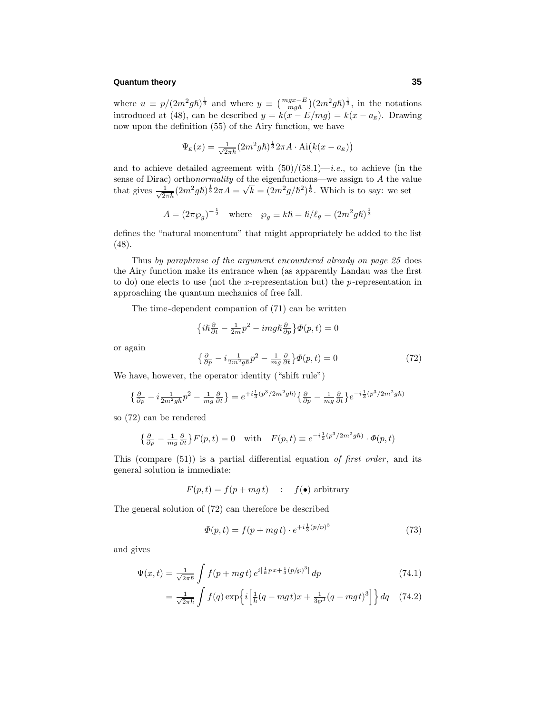where  $u \equiv p/(2m^2g\hbar)^{\frac{1}{3}}$  and where  $y \equiv \left(\frac{mgx-E}{mg\hbar}\right)(2m^2g\hbar)^{\frac{1}{3}}$ , in the notations introduced at (48), can be described  $y = k(x - E/mg) = k(x - a_E)$ . Drawing now upon the definition (55) of the Airy function, we have

$$
\Psi_E(x) = \frac{1}{\sqrt{2\pi\hbar}} (2m^2 g\hbar)^{\frac{1}{3}} 2\pi A \cdot \text{Ai}(k(x - a_E))
$$

and to achieve detailed agreement with  $(50)/(58.1)$ —*i.e.*, to achieve (in the sense of Dirac) orthonormality of the eigenfunctions—we assign to *A* the value that gives  $\frac{1}{\sqrt{2\pi\hbar}}(2m^2gh)^{\frac{1}{3}}2\pi A = \sqrt{k} = (2m^2g/\hbar^2)^{\frac{1}{6}}$ . Which is to say: we set

$$
A = (2\pi \wp_g)^{-\frac{1}{2}} \quad \text{where} \quad \wp_g \equiv k\hbar = \hbar/\ell_g = (2m^2 g\hbar)^{\frac{1}{3}}
$$

defines the "natural momentum" that might appropriately be added to the list (48).

Thus by paraphrase of the argument encountered already on page 25 does the Airy function make its entrance when (as apparently Landau was the first to do) one elects to use (not the *x*-representation but) the *p*-representation in approaching the quantum mechanics of free fall.

The time-dependent companion of (71) can be written

$$
\left\{ i\hbar\frac{\partial}{\partial t} - \frac{1}{2m}p^2 - imgh\frac{\partial}{\partial p} \right\}\Phi(p,t) = 0
$$

or again

$$
\left\{\frac{\partial}{\partial p} - i \frac{1}{2m^2 g \hbar} p^2 - \frac{1}{mg} \frac{\partial}{\partial t} \right\} \Phi(p, t) = 0 \tag{72}
$$

We have, however, the operator identity ("shift rule")

$$
\left\{\tfrac{\partial}{\partial p}-i\tfrac{1}{2m^2gh}p^2-\tfrac{1}{mg}\tfrac{\partial}{\partial t}\right\}=e^{+i\tfrac{1}{3}(p^3/2m^2g\hbar)}\left\{\tfrac{\partial}{\partial p}-\tfrac{1}{mg}\tfrac{\partial}{\partial t}\right\}e^{-i\tfrac{1}{3}(p^3/2m^2g\hbar)}
$$

so (72) can be rendered

$$
\left\{\frac{\partial}{\partial p} - \frac{1}{mg}\frac{\partial}{\partial t}\right\} F(p,t) = 0 \quad \text{with} \quad F(p,t) \equiv e^{-i\frac{1}{3}(p^3/2m^2g\hbar)} \cdot \Phi(p,t)
$$

This (compare  $(51)$ ) is a partial differential equation of first order, and its general solution is immediate:

$$
F(p,t) = f(p + mg t) \quad : \quad f(\bullet) \text{ arbitrary}
$$

The general solution of (72) can therefore be described

$$
\Phi(p,t) = f(p + mg \, t) \cdot e^{+i\frac{1}{3}(p/\wp)^3} \tag{73}
$$

and gives

$$
\Psi(x,t) = \frac{1}{\sqrt{2\pi\hbar}} \int f(p+mg\,t) \, e^{i\left[\frac{1}{\hbar}p\,x + \frac{1}{3}(p/\wp)^3\right]} \, dp \tag{74.1}
$$

$$
=\frac{1}{\sqrt{2\pi\hbar}}\int f(q)\exp\left\{i\left[\frac{1}{\hbar}(q-mgt)x+\frac{1}{3\wp^3}(q-mgt)^3\right]\right\}dq\quad(74.2)
$$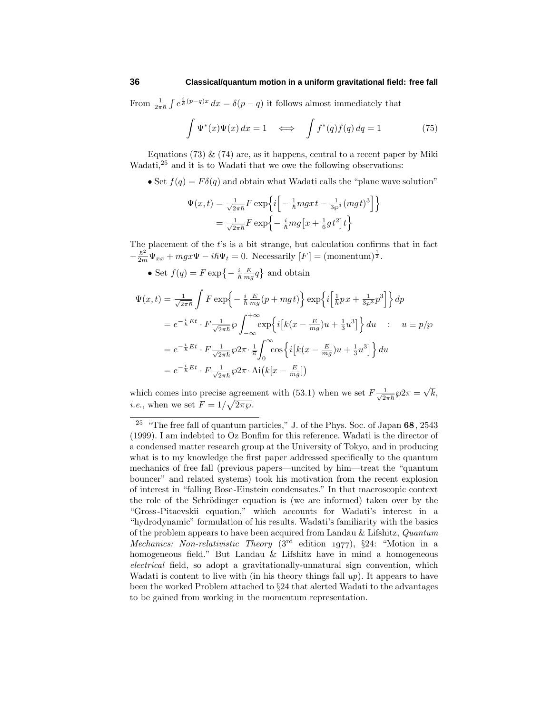From  $\frac{1}{2\pi\hbar} \int e^{\frac{i}{\hbar}(p-q)x} dx = \delta(p-q)$  it follows almost immediately that

$$
\int \Psi^*(x)\Psi(x) dx = 1 \iff \int f^*(q)f(q) dq = 1 \tag{75}
$$

Equations (73)  $\&$  (74) are, as it happens, central to a recent paper by Miki Wadati,<sup>25</sup> and it is to Wadati that we owe the following observations:

• Set  $f(q) = F\delta(q)$  and obtain what Wadati calls the "plane wave solution"

$$
\Psi(x,t) = \frac{1}{\sqrt{2\pi\hbar}} F \exp\left\{i\left[-\frac{1}{\hbar}mgx t - \frac{1}{3\wp^3}(mgt)^3\right]\right\}
$$

$$
= \frac{1}{\sqrt{2\pi\hbar}} F \exp\left\{-\frac{i}{\hbar}mg\left[x + \frac{1}{6}gt^2\right]t\right\}
$$

The placement of the *t*'s is a bit strange, but calculation confirms that in fact  $-\frac{\hbar^2}{2m}\Psi_{xx} + mgx\Psi - i\hbar\Psi_t = 0$ . Necessarily  $[F] = (\text{momentum})^{\frac{1}{2}}$ .

• Set  $f(q) = F \exp\left\{-\frac{i}{\hbar} \frac{E}{mg} q\right\}$  and obtain

$$
\Psi(x,t) = \frac{1}{\sqrt{2\pi\hbar}} \int F \exp\left\{-\frac{i}{\hbar} \frac{E}{mg}(p+mgt)\right\} \exp\left\{i\left[\frac{1}{\hbar}px + \frac{1}{3\wp^3}p^3\right]\right\} dp
$$
  
\n
$$
= e^{-\frac{i}{\hbar}Et} \cdot F \frac{1}{\sqrt{2\pi\hbar}} \wp \int_{-\infty}^{+\infty} \exp\left\{i\left[k(x - \frac{E}{mg})u + \frac{1}{3}u^3\right]\right\} du \quad : \quad u \equiv p/\wp
$$
  
\n
$$
= e^{-\frac{i}{\hbar}Et} \cdot F \frac{1}{\sqrt{2\pi\hbar}} \wp 2\pi \cdot \frac{1}{\pi} \int_0^{\infty} \cos\left\{i\left[k(x - \frac{E}{mg})u + \frac{1}{3}u^3\right]\right\} du
$$
  
\n
$$
= e^{-\frac{i}{\hbar}Et} \cdot F \frac{1}{\sqrt{2\pi\hbar}} \wp 2\pi \cdot Ai(k[x - \frac{E}{mg}])
$$

which comes into precise agreement with (53.1) when we set  $F\frac{1}{\sqrt{2\pi\hbar}}\wp 2\pi = \sqrt{k}$ , *i.e.*, when we set  $F = 1/\sqrt{2\pi\wp}$ .

<sup>25</sup> "The free fall of quantum particles,"J. of the Phys. Soc. of Japan **68**, 2543 (1999). I am indebted to Oz Bonfim for this reference. Wadati is the director of a condensed matter research group at the University of Tokyo, and in producing what is to my knowledge the first paper addressed specifically to the quantum mechanics of free fall (previous papers—uncited by him—treat the "quantum bouncer"and related systems) took his motivation from the recent explosion of interest in "falling Bose-Einstein condensates."In that macroscopic context the role of the Schrödinger equation is (we are informed) taken over by the "Gross-Pitaevskii equation,"which accounts for Wadati's interest in a "hydrodynamic" formulation of his results. Wadati's familiarity with the basics of the problem appears to have been acquired from Landau & Lifshitz, Quantum Mechanics: Non-relativistic Theory  $(3<sup>rd</sup>$  edition 1977), §24: "Motion in a homogeneous field." But Landau & Lifshitz have in mind a homogeneous electrical field, so adopt a gravitationally-unnatural sign convention, which Wadati is content to live with (in his theory things fall  $up$ ). It appears to have been the worked Problem attached to §24 that alerted Wadati to the advantages to be gained from working in the momentum representation.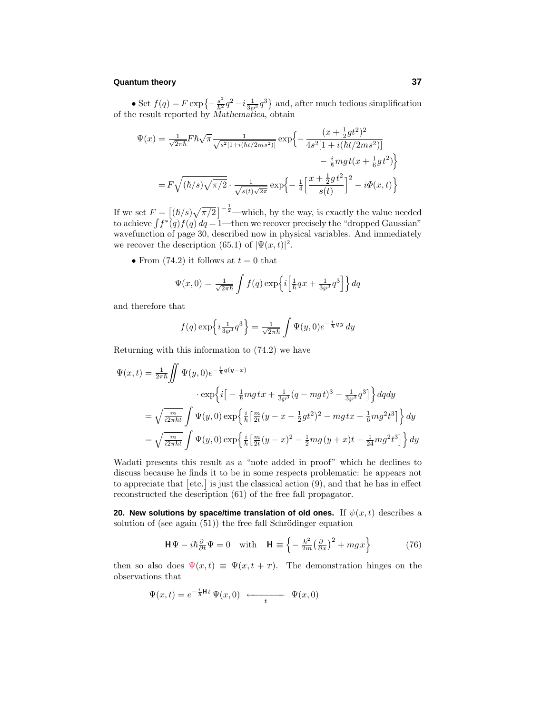• Set  $f(q) = F \exp\left\{-\frac{s^2}{\hbar^2}q^2 - i\frac{1}{3\wp^3}q^3\right\}$  and, after much tedious simplification of the result reported by *Mathematica*, obtain

$$
\Psi(x) = \frac{1}{\sqrt{2\pi\hbar}} F \hbar \sqrt{\pi} \frac{1}{\sqrt{s^2 [1 + i(\hbar t/2ms^2)]}} \exp\left\{-\frac{(x + \frac{1}{2}gt^2)^2}{4s^2 [1 + i(\hbar t/2ms^2)]} - \frac{i}{\hbar}mgt(x + \frac{1}{6}gt^2)\right\}
$$

$$
= F \sqrt{(\hbar/s)\sqrt{\pi/2}} \cdot \frac{1}{\sqrt{s(t)\sqrt{2\pi}}} \exp\left\{-\frac{1}{4} \left[\frac{x + \frac{1}{2}gt^2}{s(t)}\right]^2 - i\Phi(x, t)\right\}
$$

If we set  $F = \left[ (\hbar/s) \sqrt{\pi/2} \right]^{-\frac{1}{2}}$ —which, by the way, is exactly the value needed to achieve  $\int f^*(q)f(q) dq = 1$ —then we recover precisely the "dropped Gaussian" wavefunction of page 30, described now in physical variables. And immediately we recover the description (65.1) of  $|\Psi(x,t)|^2$ .

• From  $(74.2)$  it follows at  $t = 0$  that

$$
\Psi(x,0) = \frac{1}{\sqrt{2\pi\hbar}} \int f(q) \exp\left\{i\left[\frac{1}{\hbar}qx + \frac{1}{3\wp^3}q^3\right]\right\} dq
$$

and therefore that

$$
f(q) \exp\left\{i\frac{1}{3\wp^3}q^3\right\} = \frac{1}{\sqrt{2\pi\hbar}}\int \Psi(y,0)e^{-\frac{i}{\hbar}qy} dy
$$

Returning with this information to (74.2) we have

$$
\Psi(x,t) = \frac{1}{2\pi\hbar} \iint \Psi(y,0)e^{-\frac{i}{\hbar}q(y-x)} \cdot \exp\left\{i\left[-\frac{1}{\hbar}mg\,tx + \frac{1}{3\wp^3}(q - mg\,t)^3 - \frac{1}{3\wp^3}q^3\right]\right\} dq dy
$$
\n
$$
= \sqrt{\frac{m}{i2\pi\hbar t}} \int \Psi(y,0) \exp\left\{\frac{i}{\hbar} \left[\frac{m}{2t}(y - x - \frac{1}{2}gt^2)^2 - mg\,tx - \frac{1}{6}mg^2t^3\right]\right\} dy
$$
\n
$$
= \sqrt{\frac{m}{i2\pi\hbar t}} \int \Psi(y,0) \exp\left\{\frac{i}{\hbar} \left[\frac{m}{2t}(y - x)^2 - \frac{1}{2}mg(y + x)t - \frac{1}{24}mg^2t^3\right]\right\} dy
$$

Wadati presents this result as a "note added in proof" which he declines to discuss because he finds it to be in some respects problematic: he appears not to appreciate that  $[\text{etc.}]$  is just the classical action  $(9)$ , and that he has in effect reconstructed the description (61) of the free fall propagator.

**20. New solutions by space/time translation of old ones.** If  $\psi(x, t)$  describes a solution of (see again  $(51)$ ) the free fall Schrödinger equation

$$
\mathbf{H}\Psi - i\hbar\frac{\partial}{\partial t}\Psi = 0 \quad \text{with} \quad \mathbf{H} \equiv \left\{-\frac{\hbar^2}{2m}\left(\frac{\partial}{\partial x}\right)^2 + mgx\right\} \tag{76}
$$

then so also does  $\Psi(x,t) \equiv \Psi(x,t+\tau)$ . The demonstration hinges on the observations that

$$
\Psi(x,t) = e^{-\frac{i}{\hbar}Ht} \Psi(x,0) \longleftarrow t \qquad \Psi(x,0)
$$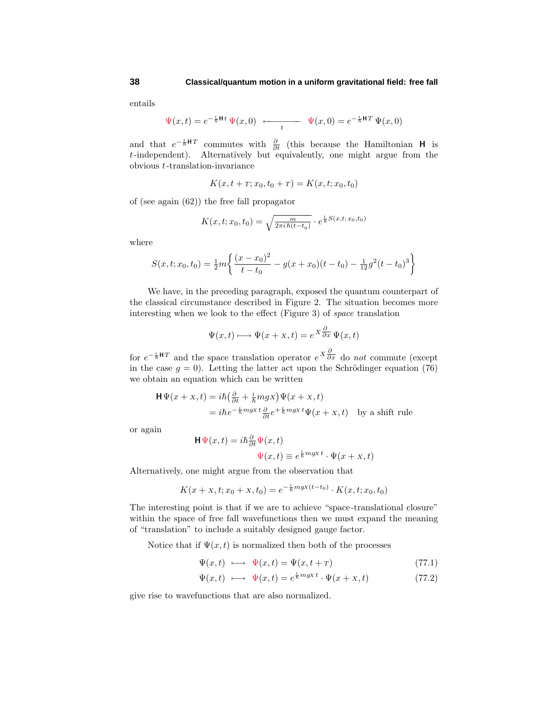entails

$$
\Psi(x,t) = e^{-\frac{i}{\hbar}\mathbf{H}t} \Psi(x,0) \longleftarrow t \qquad \Psi(x,0) = e^{-\frac{i}{\hbar}\mathbf{H}T} \Psi(x,0)
$$

and that  $e^{-\frac{i}{\hbar}H}$  commutes with  $\frac{\partial}{\partial t}$  (this because the Hamiltonian **H** is *t*-independent). Alternatively but equivalently, one might argue from the obvious *t*-translation-invariance

$$
K(x, t + T; x_0, t_0 + T) = K(x, t; x_0, t_0)
$$

of (see again (62)) the free fall propagator

$$
K(x, t; x_0, t_0) = \sqrt{\frac{m}{2\pi i \hbar (t - t_0)}} \cdot e^{\frac{i}{\hbar} S(x, t; x_0, t_0)}
$$

where

$$
S(x, t; x_0, t_0) = \frac{1}{2}m\left\{\frac{(x-x_0)^2}{t-t_0} - g(x+x_0)(t-t_0) - \frac{1}{12}g^2(t-t_0)^3\right\}
$$

We have, in the preceding paragraph, exposed the quantum counterpart of the classical circumstance described in Figure 2. The situation becomes more interesting when we look to the effect (Figure 3) of space translation

$$
\Psi(x,t) \longmapsto \Psi(x+x,t) = e^{X \frac{\partial}{\partial x}} \Psi(x,t)
$$

for  $e^{-\frac{i}{\hbar}H}$  and the space translation operator  $e^{X}\frac{\partial}{\partial x}$  do *not* commute (except in the case  $g = 0$ ). Letting the latter act upon the Schrödinger equation (76) we obtain an equation which can be written

$$
\begin{aligned} \mathbf{H}\Psi(x+x,t) &= i\hbar \left(\frac{\partial}{\partial t} + \frac{i}{\hbar} m g x\right) \Psi(x+x,t) \\ &= i\hbar e^{-\frac{i}{\hbar} m g x} \frac{t}{\partial t} e^{+\frac{i}{\hbar} m g x} \Psi(x+x,t) \quad \text{by a shift rule} \end{aligned}
$$

or again

$$
\mathbf{H}\Psi(x,t) = i\hbar \frac{\partial}{\partial t} \Psi(x,t)
$$

$$
\Psi(x,t) \equiv e^{\frac{i}{\hbar} m g x t} \cdot \Psi(x+x,t)
$$

Alternatively, one might argue from the observation that

$$
K(x + x, t; x_0 + x, t_0) = e^{-\frac{i}{\hbar}mgx(t-t_0)} \cdot K(x, t; x_0, t_0)
$$

The interesting point is that if we are to achieve "space-translational closure" within the space of free fall wavefunctions then we must expand the meaning of "translation" to include a suitably designed gauge factor.

Notice that if  $\Psi(x, t)$  is normalized then both of the processes

$$
\Psi(x,t) \longrightarrow \Psi(x,t) = \Psi(x,t+\tau) \tag{77.1}
$$

$$
\Psi(x,t) \ \longmapsto \ \Psi(x,t) = e^{\frac{i}{\hbar}mgx \, t} \cdot \Psi(x+x,t) \tag{77.2}
$$

give rise to wavefunctions that are also normalized.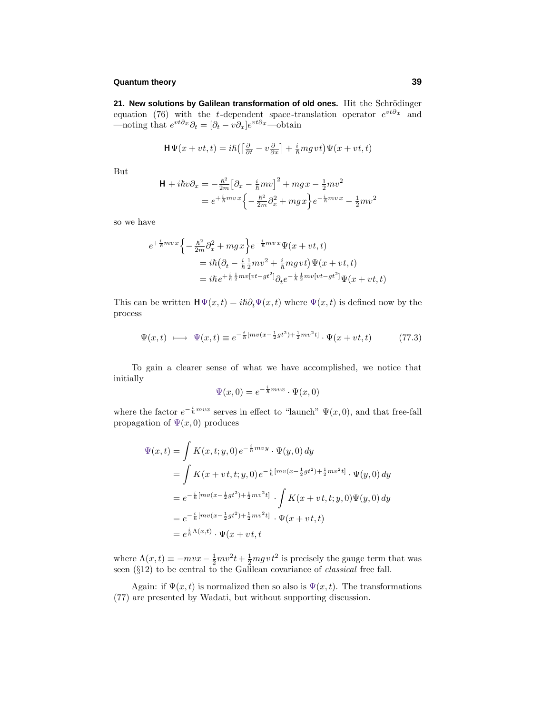21. New solutions by Galilean transformation of old ones. Hit the Schrödinger equation (76) with the *t*-dependent space-translation operator *evt∂x* and —noting that  $e^{vt\partial x}\partial_t = [\partial_t - v\partial_x]e^{vt\partial x}$ —obtain

$$
\mathbf{H}\Psi(x+vt,t) = i\hbar \left( \left[\frac{\partial}{\partial t} - v\frac{\partial}{\partial x}\right] + \frac{i}{\hbar} m g vt \right) \Psi(x+vt,t)
$$

But

$$
\mathbf{H} + i\hbar v \partial_x = -\frac{\hbar^2}{2m} \left[ \partial_x - \frac{i}{\hbar} m v \right]^2 + mgx - \frac{1}{2} m v^2
$$
  
=  $e^{+\frac{i}{\hbar} m v x} \left\{ -\frac{\hbar^2}{2m} \partial_x^2 + mgx \right\} e^{-\frac{i}{\hbar} m v x} - \frac{1}{2} m v^2$ 

so we have

$$
e^{+\frac{i}{\hbar}mvx}\left\{-\frac{\hbar^2}{2m}\partial_x^2 + mgx\right\}e^{-\frac{i}{\hbar}mvx}\Psi(x+vt,t)
$$
  
=  $i\hbar(\partial_t - \frac{i}{\hbar}\frac{1}{2}mv^2 + \frac{i}{\hbar}mgvt)\Psi(x+vt,t)$   
=  $i\hbar e^{+\frac{i}{\hbar}\frac{1}{2}mv[vt-gt^2]}\partial_t e^{-\frac{i}{\hbar}\frac{1}{2}mv[vt-gt^2]}\Psi(x+vt,t)$ 

This can be written  $\mathbf{H}\Psi(x,t) = i\hbar\partial_t\Psi(x,t)$  where  $\Psi(x,t)$  is defined now by the process

$$
\Psi(x,t) \ \longmapsto \ \Psi(x,t) \equiv e^{-\frac{i}{\hbar}[mv(x-\frac{1}{2}gt^2)+\frac{1}{2}mv^2t]} \cdot \Psi(x+vt,t) \tag{77.3}
$$

To gain a clearer sense of what we have accomplished, we notice that initially

$$
\Psi(x,0) = e^{-\frac{i}{\hbar}mvx} \cdot \Psi(x,0)
$$

where the factor  $e^{-\frac{i}{\hbar}mvx}$  serves in effect to "launch"  $\Psi(x,0)$ , and that free-fall propagation of  $\Psi(x,0)$  produces

$$
\Psi(x,t) = \int K(x,t;y,0) e^{-\frac{i}{\hbar}mvy} \cdot \Psi(y,0) dy
$$
  
\n
$$
= \int K(x + vt, t; y,0) e^{-\frac{i}{\hbar}[mv(x - \frac{1}{2}gt^2) + \frac{1}{2}mv^2t]} \cdot \Psi(y,0) dy
$$
  
\n
$$
= e^{-\frac{i}{\hbar}[mv(x - \frac{1}{2}gt^2) + \frac{1}{2}mv^2t]} \cdot \int K(x + vt, t; y,0) \Psi(y,0) dy
$$
  
\n
$$
= e^{-\frac{i}{\hbar}[mv(x - \frac{1}{2}gt^2) + \frac{1}{2}mv^2t]} \cdot \Psi(x + vt, t)
$$
  
\n
$$
= e^{\frac{i}{\hbar}\Lambda(x,t)} \cdot \Psi(x + vt, t)
$$

where  $\Lambda(x,t) \equiv -mvx - \frac{1}{2}mv^2t + \frac{1}{2}mgvt^2$  is precisely the gauge term that was seen  $(\S12)$  to be central to the Galilean covariance of *classical* free fall.

Again: if  $\Psi(x, t)$  is normalized then so also is  $\Psi(x, t)$ . The transformations (77) are presented by Wadati, but without supporting discussion.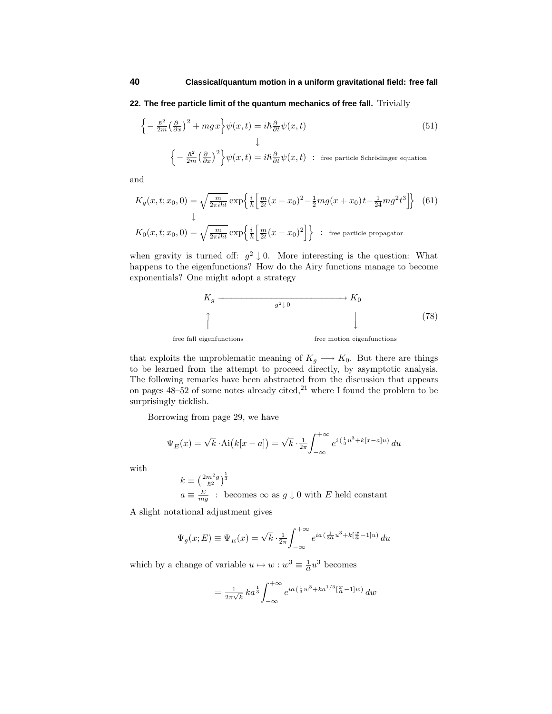## **22. The free particle limit of the quantum mechanics of free fall.** Trivially

$$
\begin{cases}\n-\frac{\hbar^2}{2m} \left(\frac{\partial}{\partial x}\right)^2 + mgx\n\end{cases} \psi(x,t) = i\hbar \frac{\partial}{\partial t} \psi(x,t)
$$
\n
$$
\downarrow
$$
\n
$$
\begin{cases}\n-\frac{\hbar^2}{2m} \left(\frac{\partial}{\partial x}\right)^2\n\end{cases} \psi(x,t) = i\hbar \frac{\partial}{\partial t} \psi(x,t) \; : \; \text{free particle Schrödinger equation}
$$
\n(51)

and

$$
K_g(x, t; x_0, 0) = \sqrt{\frac{m}{2\pi i\hbar t}} \exp\left\{\frac{i}{\hbar} \left[\frac{m}{2t}(x - x_0)^2 - \frac{1}{2}mg(x + x_0)t - \frac{1}{24}mg^2t^3\right]\right\}
$$
(61)  

$$
K_0(x, t; x_0, 0) = \sqrt{\frac{m}{2\pi i\hbar t}} \exp\left\{\frac{i}{\hbar} \left[\frac{m}{2t}(x - x_0)^2\right]\right\} \text{ : free particle propagator}
$$

when gravity is turned off:  $g^2 \downarrow 0$ . More interesting is the question: What happens to the eigenfunctions? How do the Airy functions manage to become exponentials? One might adopt a strategy



free fall eigenfunctions **free** motion eigenfunctions

that exploits the unproblematic meaning of  $K_g \longrightarrow K_0$ . But there are things to be learned from the attempt to proceed directly, by asymptotic analysis. The following remarks have been abstracted from the discussion that appears on pages  $48-52$  of some notes already cited,<sup>21</sup> where I found the problem to be surprisingly ticklish.

Borrowing from page 29, we have

$$
\Psi_E(x) = \sqrt{k} \cdot \text{Ai}\big(k[x-a]\big) = \sqrt{k} \cdot \frac{1}{2\pi} \int_{-\infty}^{+\infty} e^{i\left(\frac{1}{3}u^3 + k[x-a]u\right)} du
$$

with

$$
k \equiv \left(\frac{2m^2g}{\hbar^2}\right)^{\frac{1}{3}}
$$
  

$$
a \equiv \frac{E}{mg}
$$
: becomes  $\infty$  as  $g \downarrow 0$  with E held constant

A slight notational adjustment gives

$$
\Psi_g(x;E) \equiv \Psi_E(x) = \sqrt{k} \cdot \frac{1}{2\pi} \int_{-\infty}^{+\infty} e^{ia(\frac{1}{3a}u^3 + k[\frac{x}{a} - 1]u)} du
$$

which by a change of variable  $u \mapsto w : w^3 \equiv \frac{1}{a}u^3$  becomes

$$
= \frac{1}{2\pi\sqrt{k}} k a^{\frac{1}{3}} \int_{-\infty}^{+\infty} e^{ia(\frac{1}{3}w^3 + ka^{1/3}[\frac{x}{a}-1]w)} dw
$$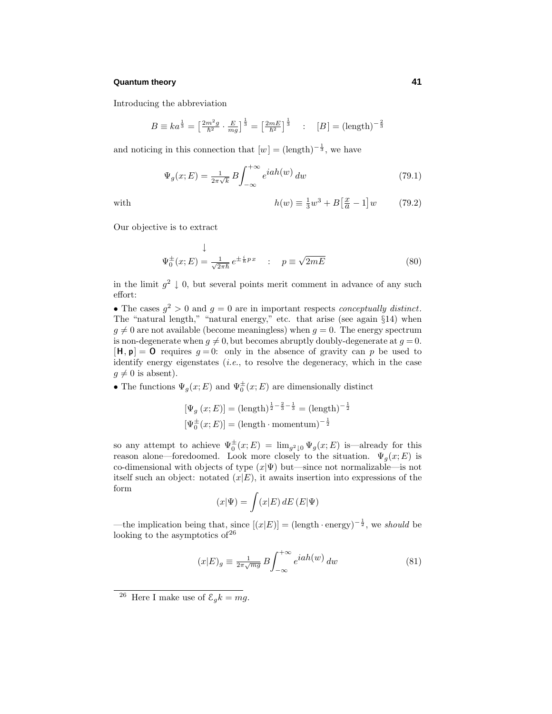Introducing the abbreviation

$$
B \equiv ka^{\frac{1}{3}} = \left[\frac{2m^2g}{\hbar^2} \cdot \frac{E}{mg}\right]^{\frac{1}{3}} = \left[\frac{2mE}{\hbar^2}\right]^{\frac{1}{3}} \quad : \quad [B] = (\text{length})^{-\frac{2}{3}}
$$

and noticing in this connection that  $[w] = (\text{length})^{-\frac{1}{3}}$ , we have

$$
\Psi_g(x;E) = \frac{1}{2\pi\sqrt{k}} B \int_{-\infty}^{+\infty} e^{iah(w)} dw \tag{79.1}
$$

with 
$$
h(w) \equiv \frac{1}{3}w^3 + B\left[\frac{x}{a} - 1\right]w \tag{79.2}
$$

Our objective is to extract

$$
\Psi_0^{\pm}(x;E) = \frac{1}{\sqrt{2\pi\hbar}} e^{\pm\frac{i}{\hbar}px} \quad : \quad p \equiv \sqrt{2mE} \tag{80}
$$

in the limit  $g^2 \downarrow 0$ , but several points merit comment in advance of any such effort:

• The cases  $g^2 > 0$  and  $g = 0$  are in important respects *conceptually distinct*. The "natural length," "natural energy," etc. that arise (see again §14) when  $g \neq 0$  are not available (become meaningless) when  $g = 0$ . The energy spectrum is non-degenerate when  $q \neq 0$ , but becomes abruptly doubly-degenerate at  $q = 0$ .  $[\mathbf{H}, \mathbf{p}] = \mathbf{0}$  requires  $g = 0$ : only in the absence of gravity can *p* be used to identify energy eigenstates  $(i.e.,$  to resolve the degeneracy, which in the case  $g \neq 0$  is absent).

• The functions  $\Psi_g(x; E)$  and  $\Psi_0^{\pm}(x; E)$  are dimensionally distinct

$$
[\Psi_g(x; E)] = (\text{length})^{\frac{1}{2} - \frac{2}{3} - \frac{1}{3}} = (\text{length})^{-\frac{1}{2}}
$$

$$
[\Psi_0^{\pm}(x; E)] = (\text{length} \cdot \text{momentum})^{-\frac{1}{2}}
$$

so any attempt to achieve  $\Psi_0^{\pm}(x;E) = \lim_{g^2 \downarrow 0} \Psi_g(x;E)$  is—already for this reason alone—foredoomed. Look more closely to the situation.  $\Psi_g(x; E)$  is co-dimensional with objects of type  $(x|\Psi)$  but—since not normalizable—is not itself such an object: notated  $(x|E)$ , it awaits insertion into expressions of the form

$$
(x|\Psi) = \int (x|E) \, dE \, (E|\Psi)
$$

—the implication being that, since  $[(x|E)] = (\text{length} \cdot \text{energy})^{-\frac{1}{2}}$ , we should be looking to the asymptotics of  $26$ 

$$
(x|E)_g \equiv \frac{1}{2\pi\sqrt{mg}} B \int_{-\infty}^{+\infty} e^{iah(w)} dw \tag{81}
$$

<sup>&</sup>lt;sup>26</sup> Here I make use of  $\mathcal{E}_g k = mg$ .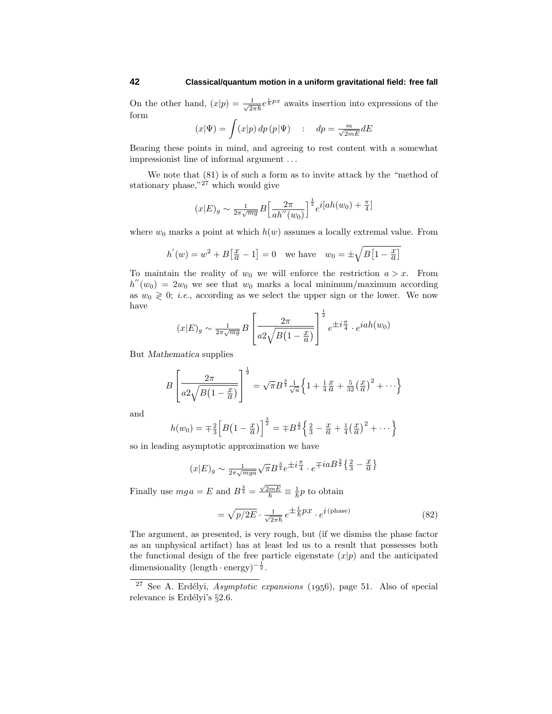On the other hand,  $(x|p) = \frac{1}{\sqrt{2\pi\hbar}}e^{\frac{i}{\hbar}px}$  awaits insertion into expressions of the form

$$
(x|\Psi) = \int (x|p) \, dp \, (p|\Psi) \quad : \quad dp = \frac{m}{\sqrt{2mE}} dE
$$

Bearing these points in mind, and agreeing to rest content with a somewhat impressionist line of informal argument *...*

We note that (81) is of such a form as to invite attack by the "method of stationary phase," $27$  which would give

$$
(x|E)_{g} \sim \frac{1}{2\pi\sqrt{mg}} B \left[ \frac{2\pi}{ah''(w_0)} \right]^{\frac{1}{2}} e^{i[ah(w_0) + \frac{\pi}{4}]}
$$

where  $w_0$  marks a point at which  $h(w)$  assumes a locally extremal value. From

$$
h'(w) = w^2 + B\left[\frac{x}{a} - 1\right] = 0
$$
 we have  $w_0 = \pm \sqrt{B\left[1 - \frac{x}{a}\right]}$ 

To maintain the reality of  $w_0$  we will enforce the restriction  $a > x$ . From  $h''(w_0)=2w_0$  we see that  $w_0$  marks a local minimum/maximum according as  $w_0 \geq 0$ ; *i.e.*, according as we select the upper sign or the lower. We now have 1

$$
(x|E)_g \sim \frac{1}{2\pi\sqrt{mg}}B\left[\frac{2\pi}{a2\sqrt{B(1-\frac{x}{a})}}\right]^{\frac{1}{2}}e^{\pm i\frac{\pi}{4}} \cdot e^{iah(w_0)}
$$

But *Mathematica* supplies

$$
B\left[\frac{2\pi}{a^2\sqrt{B(1-\frac{x}{a})}}\right]^{\frac{1}{2}} = \sqrt{\pi}B^{\frac{3}{4}}\frac{1}{\sqrt{a}}\left\{1+\frac{1}{4}\frac{x}{a}+\frac{5}{32}\left(\frac{x}{a}\right)^2+\cdots\right\}
$$

and

$$
h(w_0) = \mp \frac{2}{3} \Big[ B(1 - \frac{x}{a}) \Big]^{\frac{3}{2}} = \mp B^{\frac{3}{2}} \Big\{ \frac{2}{3} - \frac{x}{a} + \frac{1}{4} \big( \frac{x}{a} \big)^2 + \cdots \Big\}
$$

so in leading asymptotic approximation we have

$$
(x|E)_g \sim \frac{1}{2\pi\sqrt{mga}} \sqrt{\pi} B^{\frac{3}{4}} e^{\pm i \frac{\pi}{4}} \cdot e^{\mp ia B^{\frac{3}{2}} \left\{ \frac{2}{3} - \frac{x}{a} \right\}}
$$

Finally use  $mg a = E$  and  $B^{\frac{3}{2}} = \frac{\sqrt{2mE}}{\hbar} \equiv \frac{1}{\hbar}p$  to obtain

$$
= \sqrt{p/2E} \cdot \frac{1}{\sqrt{2\pi\hbar}} e^{\pm\frac{i}{\hbar}px} \cdot e^{i(\text{phase})}
$$
 (82)

The argument, as presented, is very rough, but (if we dismiss the phase factor as an unphysical artifact) has at least led us to a result that possesses both the functional design of the free particle eigenstate  $(x|p)$  and the anticipated dimensionality  $(\text{length} \cdot \text{energy})^{-\frac{1}{2}}$ .

<sup>&</sup>lt;sup>27</sup> See A. Erdélyi, *Asymptotic expansions* (1956), page 51. Also of special relevance is Erdélyi's  $\S 2.6$ .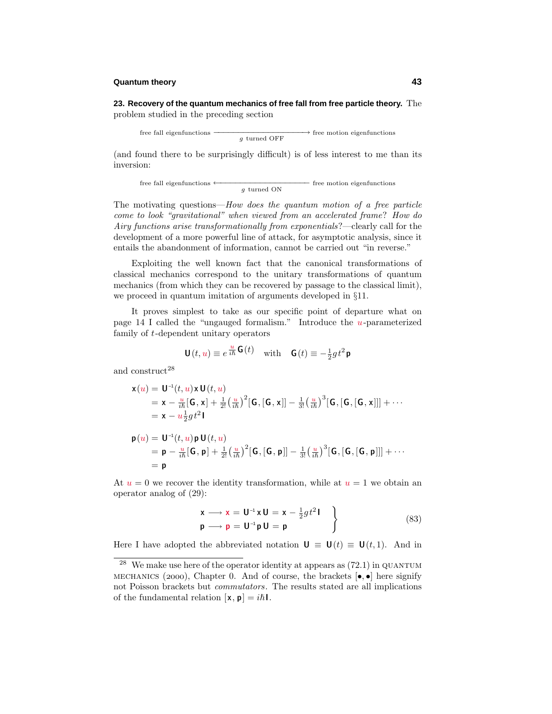**23. Recovery of the quantum mechanics of free fall from free particle theory.** The problem studied in the preceding section

free fall eigenfunctions  $\frac{q}{q}$  turned OFF  $\rightarrow$  free motion eigenfunctions

(and found there to be surprisingly difficult) is of less interest to me than its inversion:

free fall eigenfunctions 
$$
\leftarrow
$$
  $g$  turned ON

The motivating questions—How does the quantum motion of a free particle come to look "gravitational" when viewed from an accelerated frame? How do Airy functions arise transformationally from exponentials?—clearly call for the development of a more powerful line of attack, for asymptotic analysis, since it entails the abandonment of information, cannot be carried out "in reverse."

Exploiting the well known fact that the canonical transformations of classical mechanics correspond to the unitary transformations of quantum mechanics (from which they can be recovered by passage to the classical limit), we proceed in quantum imitation of arguments developed in §11.

It proves simplest to take as our specific point of departure what on page 14 I called the "ungauged formalism."Introduce the *u*-parameterized family of *t*-dependent unitary operators

$$
\mathbf{U}(t, u) \equiv e^{\frac{u}{i\hbar} \mathbf{G}(t)} \quad \text{with} \quad \mathbf{G}(t) \equiv -\frac{1}{2}gt^2 \mathbf{p}
$$

 $\mathbf{u} = \mathbf{v}$ 

and  $\rm construct^{28}$ 

= **p**

$$
\mathbf{x}(u) = \mathbf{U}^{-1}(t, u)\mathbf{x}\mathbf{U}(t, u)
$$
\n
$$
= \mathbf{x} - \frac{u}{i\hbar}[\mathbf{G}, \mathbf{x}] + \frac{1}{2!} \left(\frac{u}{i\hbar}\right)^2 [\mathbf{G}, [\mathbf{G}, \mathbf{x}]] - \frac{1}{3!} \left(\frac{u}{i\hbar}\right)^3 [\mathbf{G}, [\mathbf{G}, [\mathbf{G}, \mathbf{x}]]] + \cdots
$$
\n
$$
= \mathbf{x} - u\frac{1}{2}gt^2\mathbf{I}
$$
\n
$$
\mathbf{p}(u) = \mathbf{U}^{-1}(t, u)\mathbf{p}\mathbf{U}(t, u)
$$
\n
$$
= \mathbf{p} - \frac{u}{i\hbar}[\mathbf{G}, \mathbf{p}] + \frac{1}{2!} \left(\frac{u}{i\hbar}\right)^2 [\mathbf{G}, [\mathbf{G}, \mathbf{p}]] - \frac{1}{3!} \left(\frac{u}{i\hbar}\right)^3 [\mathbf{G}, [\mathbf{G}, [\mathbf{G}, \mathbf{p}]]] + \cdots
$$

At  $u = 0$  we recover the identity transformation, while at  $u = 1$  we obtain an operator analog of (29):

$$
\begin{aligned}\n\mathbf{x} &\longrightarrow \mathbf{x} = \mathbf{U}^{-1} \mathbf{x} \mathbf{U} = \mathbf{x} - \frac{1}{2} g t^2 \mathbf{I} \\
\mathbf{p} &\longrightarrow \mathbf{p} = \mathbf{U}^{-1} \mathbf{p} \mathbf{U} = \mathbf{p}\n\end{aligned}
$$
\n(83)

Here I have adopted the abbreviated notation  $\mathbf{U} \equiv \mathbf{U}(t) \equiv \mathbf{U}(t, 1)$ . And in

 $28$  We make use here of the operator identity at appears as (72.1) in QUANTUM MECHANICS (2000), Chapter 0. And of course, the brackets  $[\bullet, \bullet]$  here signify not Poisson brackets but *commutators*. The results stated are all implications of the fundamental relation  $[\mathbf{x}, \mathbf{p}] = i\hbar \mathbf{l}$ .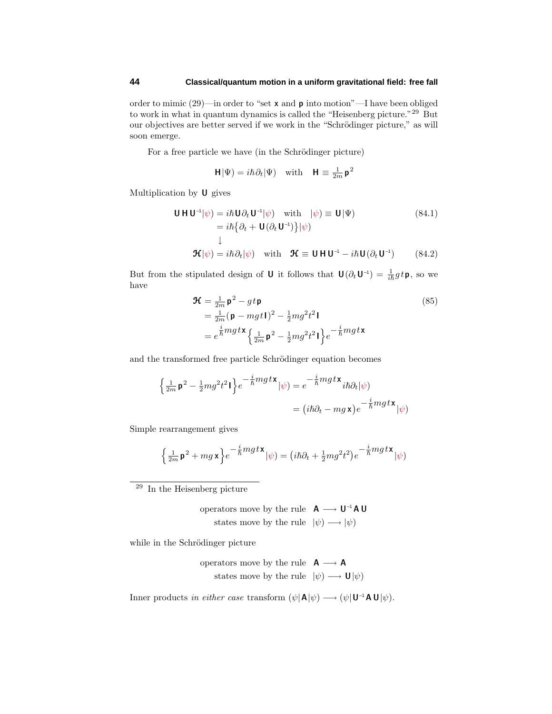order to mimic (29)—in order to "set **x** and **p** into motion"—I have been obliged to work in what in quantum dynamics is called the "Heisenberg picture."<sup>29</sup> But our objectives are better served if we work in the "Schrödinger picture," as will soon emerge.

For a free particle we have (in the Schrödinger picture)

$$
\mathbf{H}|\Psi) = i\hbar\partial_t|\Psi) \quad\text{with}\quad \mathbf{H} \equiv \tfrac{1}{2m}\mathbf{p}^2
$$

Multiplication by **U** gives

$$
\mathbf{U} \mathbf{H} \mathbf{U}^{-1} |\psi\rangle = i\hbar \mathbf{U} \partial_t \mathbf{U}^{-1} |\psi\rangle \quad \text{with} \quad |\psi\rangle \equiv \mathbf{U} |\Psi\rangle \tag{84.1}
$$
\n
$$
= i\hbar \{\partial_t + \mathbf{U} (\partial_t \mathbf{U}^{-1})\} |\psi\rangle
$$
\n
$$
\downarrow
$$
\n
$$
\mathbf{\mathcal{H}} |\psi\rangle = i\hbar \partial_t |\psi\rangle \quad \text{with} \quad \mathbf{\mathcal{H}} \equiv \mathbf{U} \mathbf{H} \mathbf{U}^{-1} - i\hbar \mathbf{U} (\partial_t \mathbf{U}^{-1}) \tag{84.2}
$$

But from the stipulated design of **U** it follows that  $\mathbf{U}(\partial_t \mathbf{U}^{-1}) = \frac{1}{i\hbar}gt\mathbf{p}$ , so we have

$$
\mathbf{\mathcal{H}} = \frac{1}{2m} \mathbf{p}^2 - gt \mathbf{p}
$$
\n
$$
= \frac{1}{2m} (\mathbf{p} - mgt\mathbf{1})^2 - \frac{1}{2}mg^2t^2 \mathbf{I}
$$
\n
$$
= e^{\frac{i}{\hbar}mgt\mathbf{X}} \left\{ \frac{1}{2m} \mathbf{p}^2 - \frac{1}{2}mg^2t^2 \mathbf{I} \right\} e^{-\frac{i}{\hbar}mgt\mathbf{X}}
$$
\n(85)

and the transformed free particle Schrödinger equation becomes

$$
\begin{aligned} \left\{\tfrac{1}{2m}\mathbf{p}^2 - \tfrac{1}{2}mg^2t^2\mathbf{I}\right\} e^{-\tfrac{i}{\hbar}mgt\mathbf{x}}|\psi) &= e^{-\tfrac{i}{\hbar}mgt\mathbf{x}}i\hbar\partial_t|\psi) \\ &= (i\hbar\partial_t - mg\mathbf{x})e^{-\tfrac{i}{\hbar}mgt\mathbf{x}}|\psi) \end{aligned}
$$

Simple rearrangement gives

$$
\left\{\tfrac{1}{2m}\mathbf{p}^2 + mg\mathbf{x}\right\}e^{-\tfrac{i}{\hbar}mgt\mathbf{x}}|\psi) = \left(i\hbar\partial_t + \tfrac{1}{2}mg^2t^2\right)e^{-\tfrac{i}{\hbar}mgt\mathbf{x}}|\psi)
$$

 $^{29}$  In the Heisenberg picture

operators move by the rule **A** −→ **U**–1**A U** states move by the rule  $|\psi\rangle \longrightarrow |\psi\rangle$ 

while in the Schrödinger picture

operators move by the rule 
$$
\mathbf{A} \longrightarrow \mathbf{A}
$$
  
states move by the rule  $|\psi\rangle \longrightarrow \mathbf{U}|\psi\rangle$ 

 $\text{Inner products } \textit{in either case transform } (\psi | \mathbf{A} | \psi) \longrightarrow (\psi | \mathbf{U}^{-1} \mathbf{A} \mathbf{U} | \psi).$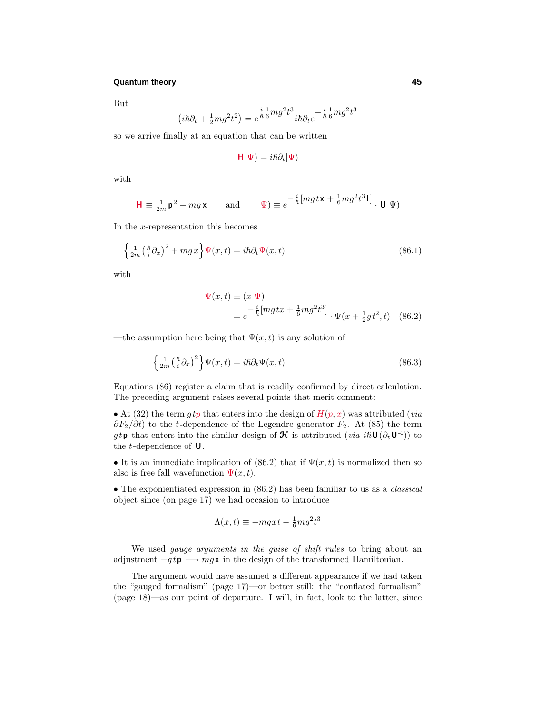But

$$
\left(i\hbar\partial_t + \frac{1}{2}mg^2t^2\right) = e^{\frac{i}{\hbar}\frac{1}{6}mg^2t^3}i\hbar\partial_t e^{-\frac{i}{\hbar}\frac{1}{6}mg^2t^3}
$$

so we arrive finally at an equation that can be written

$$
\mathsf{H}|\Psi) = i\hbar\partial_t|\Psi)
$$

with

$$
\mathbf{H} \equiv \frac{1}{2m} \mathbf{p}^2 + mg \mathbf{x} \quad \text{and} \quad |\Psi\rangle \equiv e^{-\frac{i}{\hbar} \left[mgt \mathbf{x} + \frac{1}{6} mg^2 t^3 \mathbf{I}\right]} \cdot \mathbf{U}|\Psi\rangle
$$

In the *x*-representation this becomes

$$
\left\{\frac{1}{2m}\left(\frac{\hbar}{i}\partial_x\right)^2 + mgx\right\}\Psi(x,t) = i\hbar\partial_t\Psi(x,t)
$$
\n(86.1)

with

$$
\Psi(x,t) \equiv (x|\Psi) \n= e^{-\frac{i}{\hbar} [mgtx + \frac{1}{6}mg^2t^3]} \cdot \Psi(x + \frac{1}{2}gt^2, t) \quad (86.2)
$$

—the assumption here being that  $\Psi(x, t)$  is any solution of

$$
\left\{\frac{1}{2m}\left(\frac{\hbar}{i}\partial_x\right)^2\right\}\Psi(x,t) = i\hbar\partial_t\Psi(x,t)
$$
\n(86.3)

Equations (86) register a claim that is readily confirmed by direct calculation. The preceding argument raises several points that merit comment:

• At (32) the term  $gtp$  that enters into the design of  $H(p, x)$  was attributed (*via*) *∂F*<sub>2</sub>/∂t) to the *t*-dependence of the Legendre generator *F*<sub>2</sub>. At (85) the term  $g t \mathbf{p}$  that enters into the similar design of  $\mathcal{H}$  is attributed (via *ih* $\mathbf{U}(\partial_t \mathbf{U}^{-1})$ ) to the *t*-dependence of **U**.

• It is an immediate implication of (86.2) that if  $\Psi(x,t)$  is normalized then so also is free fall wavefunction  $\Psi(x,t)$ .

• The exponientiated expression in  $(86.2)$  has been familiar to us as a *classical* object since (on page 17) we had occasion to introduce

$$
\Lambda(x,t) \equiv -mgxt - \frac{1}{6}mg^2t^3
$$

We used *gauge arguments in the guise of shift rules* to bring about an adjustment  $-g t \mathbf{p} \longrightarrow mg \mathbf{x}$  in the design of the transformed Hamiltonian.

The argument would have assumed a different appearance if we had taken the "gauged formalism"(page 17)—or better still: the "conflated formalism" (page 18)—as our point of departure. I will, in fact, look to the latter, since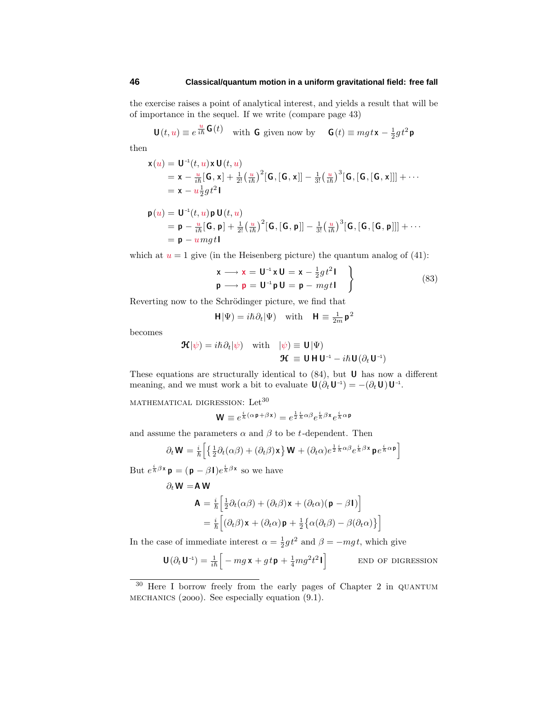the exercise raises a point of analytical interest, and yields a result that will be of importance in the sequel. If we write (compare page 43)

 $U(t, u) \equiv e^{\frac{u}{i\hbar}G(t)}$  with G given now by  $G(t) \equiv mg t \mathbf{x} - \frac{1}{2}gt^2 \mathbf{p}$ 

then

$$
\mathbf{x}(u) = \mathbf{U}^{-1}(t, u)\mathbf{x}\mathbf{U}(t, u)
$$
  
=  $\mathbf{x} - \frac{u}{i\hbar}[\mathbf{G}, \mathbf{x}] + \frac{1}{2!}(\frac{u}{i\hbar})^2[\mathbf{G}, [\mathbf{G}, \mathbf{x}]] - \frac{1}{3!}(\frac{u}{i\hbar})^3[\mathbf{G}, [\mathbf{G}, [\mathbf{G}, \mathbf{x}]]] + \cdots$   
=  $\mathbf{x} - u\frac{1}{2}gt^2\mathbf{I}$ 

$$
\begin{array}{llll} \mathbf{p}(u) = \mathbf{U}^{-1}(t,u)\mathbf{p}\,\mathbf{U}(t,u) \\ = \mathbf{p} - \frac{u}{i\hbar}[\mathbf{G},\mathbf{p}] + \frac{1}{2!}\left(\frac{u}{i\hbar}\right)^2[\mathbf{G},[\mathbf{G},\mathbf{p}]] - \frac{1}{3!}\left(\frac{u}{i\hbar}\right)^3[\mathbf{G},[\mathbf{G},[\mathbf{G},\mathbf{p}]]] + \cdots \\ = \mathbf{p} - umgt\mathbf{1} \end{array}
$$

which at  $u = 1$  give (in the Heisenberg picture) the quantum analog of  $(41)$ :

$$
\begin{aligned}\n\mathbf{x} &\longrightarrow \mathbf{x} = \mathbf{U}^{-1} \mathbf{x} \mathbf{U} = \mathbf{x} - \frac{1}{2} g t^2 \mathbf{I} \\
\mathbf{p} &\longrightarrow \mathbf{p} = \mathbf{U}^{-1} \mathbf{p} \mathbf{U} = \mathbf{p} - m g t \mathbf{I}\n\end{aligned}
$$
\n(83)

Reverting now to the Schrödinger picture, we find that

$$
\mathbf{H}|\Psi) = i\hbar \partial_t |\Psi) \quad \text{with} \quad \mathbf{H} \equiv \frac{1}{2m} \mathbf{p}^2
$$

becomes

$$
\mathbf{\mathcal{H}}|\psi) = i\hbar \partial_t |\psi\rangle \quad \text{with} \quad |\psi\rangle \equiv \mathbf{U}|\Psi\rangle \mathbf{\mathcal{H}} \equiv \mathbf{U} \mathbf{H} \mathbf{U}^{-1} - i\hbar \mathbf{U} (\partial_t \mathbf{U}^{-1})
$$

These equations are structurally identical to (84), but **U** has now a different meaning, and we must work a bit to evaluate  $\mathbf{U}(\partial_t \mathbf{U}^{-1}) = -(\partial_t \mathbf{U})\mathbf{U}^{-1}$ .

 $MATHEMATICAL$  DIGRESSION:  $\mbox{Let}^{30}$ 

$$
\mathbf{W} \equiv e^{\frac{i}{\hbar}(\alpha \mathbf{p} + \beta \mathbf{x})} = e^{\frac{1}{2}\frac{i}{\hbar}\alpha\beta}e^{\frac{i}{\hbar}\beta\mathbf{x}}e^{\frac{i}{\hbar}\alpha\mathbf{p}}
$$

and assume the parameters  $\alpha$  and  $\beta$  to be *t*-dependent. Then

$$
\partial_t \mathbf{W} = \frac{i}{\hbar} \left[ \left\{ \frac{1}{2} \partial_t (\alpha \beta) + (\partial_t \beta) \mathbf{x} \right\} \mathbf{W} + (\partial_t \alpha) e^{\frac{1}{2} \frac{i}{\hbar} \alpha \beta} e^{\frac{i}{\hbar} \beta \mathbf{x}} \mathbf{p} e^{\frac{i}{\hbar} \alpha \mathbf{p}} \right]
$$

But  $e^{\frac{i}{\hbar}\beta x}$  **p** =  $(\mathbf{p} - \beta \mathbf{I})e^{\frac{i}{\hbar}\beta x}$  so we have

$$
\partial_t \mathbf{W} = \mathbf{A} \mathbf{W}
$$
  
\n
$$
\mathbf{A} = \frac{i}{\hbar} \Big[ \frac{1}{2} \partial_t (\alpha \beta) + (\partial_t \beta) \mathbf{x} + (\partial_t \alpha) (\mathbf{p} - \beta \mathbf{I}) \Big]
$$
  
\n
$$
= \frac{i}{\hbar} \Big[ (\partial_t \beta) \mathbf{x} + (\partial_t \alpha) \mathbf{p} + \frac{1}{2} \{ \alpha (\partial_t \beta) - \beta (\partial_t \alpha) \} \Big]
$$

In the case of immediate interest  $\alpha = \frac{1}{2}gt^2$  and  $\beta = -mgt$ , which give

 $U(\partial_t U^{-1}) = \frac{1}{i\hbar} \left[ -mg \times + gt \mathbf{p} + \frac{1}{4}mg^2 t^2 \mathbf{I} \right]$ end of digression

<sup>&</sup>lt;sup>30</sup> Here I borrow freely from the early pages of Chapter 2 in QUANTUM MECHANICS (2000). See especially equation  $(9.1)$ .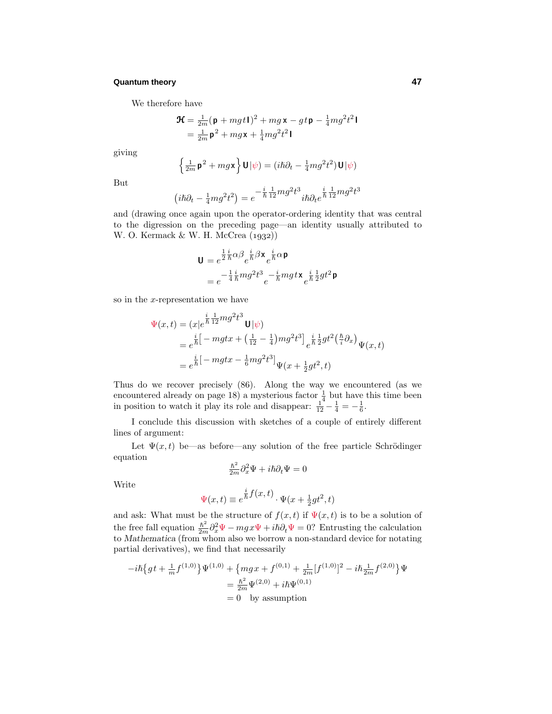We therefore have

$$
\mathbf{\mathcal{H}} = \frac{1}{2m}(\mathbf{p} + mgt\mathbf{I})^2 + mg\mathbf{x} - gt\mathbf{p} - \frac{1}{4}mg^2t^2\mathbf{I}
$$

$$
= \frac{1}{2m}\mathbf{p}^2 + mg\mathbf{x} + \frac{1}{4}mg^2t^2\mathbf{I}
$$

giving

$$
\left\{\frac{1}{2m}\mathbf{p}^2 + mg\mathbf{x}\right\}\mathbf{U}|\psi) = (i\hbar\partial_t - \frac{1}{4}mg^2t^2)\mathbf{U}|\psi)
$$

But

$$
i\hbar\partial_t - \frac{1}{4}mg^2t^2\big) = e^{-\frac{i}{\hbar}\frac{1}{12}mg^2t^3}i\hbar\partial_t e^{\frac{i}{\hbar}\frac{1}{12}mg^2t^3}
$$

and (drawing once again upon the operator-ordering identity that was central to the digression on the preceding page—an identity usually attributed to W. O. Kermack  $&$  W. H. McCrea  $(1932)$ 

$$
\mathbf{U} = e^{\frac{1}{2}\frac{i}{\hbar}\alpha\beta} e^{\frac{i}{\hbar}\beta \mathbf{x}} e^{\frac{i}{\hbar}\alpha \mathbf{p}}
$$
  
=  $e^{-\frac{1}{4}\frac{i}{\hbar}mg^2t^3} e^{-\frac{i}{\hbar}mgt\mathbf{x}} e^{\frac{i}{\hbar}\frac{1}{2}gt^2 \mathbf{p}}$ 

so in the *x*-representation we have

 $\overline{(}$ 

$$
\Psi(x,t) = (x|e^{\frac{i}{\hbar} \frac{1}{12} m g^2 t^3} \mathbf{U}|\psi)
$$
  
\n
$$
= e^{\frac{i}{\hbar} \left[-m g t x + \left(\frac{1}{12} - \frac{1}{4}\right) m g^2 t^3\right]} e^{\frac{i}{\hbar} \frac{1}{2} g t^2 \left(\frac{\hbar}{i} \partial_x\right)} \Psi(x,t)
$$
  
\n
$$
= e^{\frac{i}{\hbar} \left[-m g t x - \frac{1}{6} m g^2 t^3\right]} \Psi(x + \frac{1}{2} g t^2, t)
$$

Thus do we recover precisely (86). Along the way we encountered (as we encountered already on page 18) a mysterious factor  $\frac{1}{4}$  but have this time been in position to watch it play its role and disappear:  $\frac{1}{12} - \frac{1}{4} = -\frac{1}{6}$ .

I conclude this discussion with sketches of a couple of entirely different lines of argument:

Let  $\Psi(x,t)$  be—as before—any solution of the free particle Schrödinger equation

$$
\frac{\hbar^2}{2m}\partial_x^2\Psi + i\hbar\partial_t\Psi = 0
$$

Write

$$
\Psi(x,t) \equiv e^{\frac{i}{\hbar}f(x,t)} \cdot \Psi(x + \frac{1}{2}gt^2, t)
$$

and ask: What must be the structure of  $f(x,t)$  if  $\Psi(x,t)$  is to be a solution of the free fall equation  $\frac{\hbar^2}{2m}\partial_x^2\Psi - mgx\Psi + i\hbar\partial_t\Psi = 0$ ? Entrusting the calculation to *Mathematica* (from whom also we borrow a non-standard device for notating partial derivatives), we find that necessarily

$$
-i\hbar\{gt + \frac{1}{m}f^{(1,0)}\}\Psi^{(1,0)} + \{mgx + f^{(0,1)} + \frac{1}{2m}[f^{(1,0)}]^2 - i\hbar\frac{1}{2m}f^{(2,0)}\}\Psi
$$
  
=  $\frac{\hbar^2}{2m}\Psi^{(2,0)} + i\hbar\Psi^{(0,1)}$   
= 0 by assumption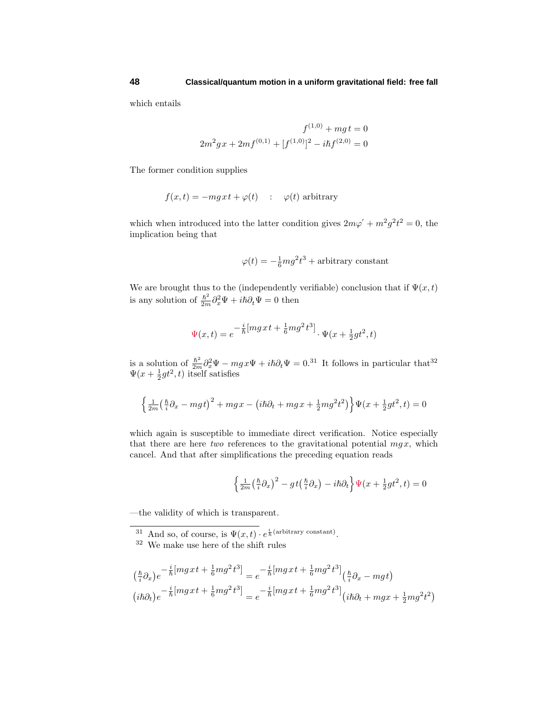which entails

$$
f^{(1,0)} + mgt = 0
$$
  

$$
2m^{2}gx + 2mf^{(0,1)} + [f^{(1,0)}]^{2} - i\hbar f^{(2,0)} = 0
$$

The former condition supplies

$$
f(x,t) = -mgx t + \varphi(t)
$$
 :  $\varphi(t)$  arbitrary

which when introduced into the latter condition gives  $2m\varphi' + m^2 g^2 t^2 = 0$ , the implication being that

$$
\varphi(t) = -\frac{1}{6}mg^2t^3 + \text{arbitrary constant}
$$

We are brought thus to the (independently verifiable) conclusion that if  $\Psi(x,t)$ is any solution of  $\frac{\hbar^2}{2m}\partial_x^2\Psi + i\hbar\partial_t\Psi = 0$  then

$$
\Psi(x,t)=e^{-\frac{i}{\hbar} \left[m g x\,t+\frac{1}{6}mg^2\,t^3\right]}\cdot \Psi(x+\tfrac{1}{2}gt^2,t)
$$

is a solution of  $\frac{\hbar^2}{2m}\partial_x^2\Psi - mgx\Psi + i\hbar\partial_t\Psi = 0.31$  It follows in particular that<sup>32</sup>  $\Psi(x + \frac{1}{2}gt^2, t)$  itself satisfies

$$
\left\{\tfrac{1}{2m}\big(\tfrac{\hslash}{i}\partial_x-mgt\big)^2+mgx-\big(i\hslash\partial_t+mgx+\tfrac{1}{2}mg^2t^2\big)\right\}\Psi\big(x+\tfrac{1}{2}gt^2,t\big)=0
$$

which again is susceptible to immediate direct verification. Notice especially that there are here two references to the gravitational potential  $mgx$ , which cancel. And that after simplifications the preceding equation reads

$$
\left\{\frac{1}{2m}\left(\frac{\hbar}{i}\partial_x\right)^2 - gt\left(\frac{\hbar}{i}\partial_x\right) - i\hbar\partial_t\right\}\Psi(x + \frac{1}{2}gt^2, t) = 0
$$

—the validity of which is transparent.

<sup>31</sup> And so, of course, is  $\Psi(x,t) \cdot e^{\frac{i}{\hbar}(\text{arbitrary constant})}$ .

$$
\begin{aligned} &\left(\tfrac{\hbar}{i}\partial_x\right)e^{-\tfrac{i}{\hbar}\left[mg\,x\,t+\tfrac{1}{6}mg^2\,t^3\right]}=e^{-\tfrac{i}{\hbar}\left[mg\,x\,t+\tfrac{1}{6}mg^2\,t^3\right]}\left(\tfrac{\hbar}{i}\partial_x-mg\,t\right)\\ &\left(i\hbar\partial_t\right)e^{-\tfrac{i}{\hbar}\left[mg\,x\,t+\tfrac{1}{6}mg^2\,t^3\right]}=e^{-\tfrac{i}{\hbar}\left[mg\,x\,t+\tfrac{1}{6}mg^2\,t^3\right]}\left(i\hbar\partial_t+mgx+\tfrac{1}{2}mg^2t^2\right) \end{aligned}
$$

<sup>32</sup> We make use here of the shift rules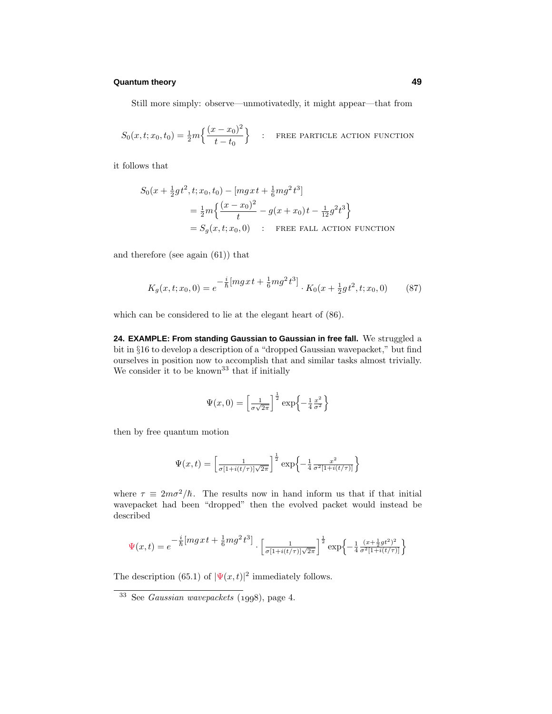Still more simply: observe—unmotivatedly, it might appear—that from

$$
S_0(x, t; x_0, t_0) = \frac{1}{2} m \left\{ \frac{(x - x_0)^2}{t - t_0} \right\} \quad : \quad \text{FREE ACTION FUNCTION}
$$

it follows that

$$
S_0(x + \frac{1}{2}gt^2, t; x_0, t_0) - [mgxt + \frac{1}{6}mg^2t^3]
$$
  
=  $\frac{1}{2}m\left\{\frac{(x - x_0)^2}{t} - g(x + x_0)t - \frac{1}{12}g^2t^3\right\}$   
=  $S_g(x, t; x_0, 0)$  : **FREE FALL ACTION FUNCTION**

and therefore (see again (61)) that

$$
K_g(x, t; x_0, 0) = e^{-\frac{i}{\hbar} [m g x t + \frac{1}{6} m g^2 t^3]} \cdot K_0(x + \frac{1}{2} g t^2, t; x_0, 0)
$$
(87)

which can be considered to lie at the elegant heart of (86).

**24. EXAMPLE: From standing Gaussian to Gaussian in free fall.** We struggled a bit in §16 to develop a description of a "dropped Gaussian wavepacket," but find ourselves in position now to accomplish that and similar tasks almost trivially. We consider it to be known<sup>33</sup> that if initially

$$
\Psi(x,0) = \left[\frac{1}{\sigma\sqrt{2\pi}}\right]^{\frac{1}{2}} \exp\left\{-\frac{1}{4}\frac{x^2}{\sigma^2}\right\}
$$

then by free quantum motion

$$
\Psi(x,t) = \left[\frac{1}{\sigma[1+i(t/\tau)]\sqrt{2\pi}}\right]^{\frac{1}{2}} \exp\left\{-\frac{1}{4}\frac{x^2}{\sigma^2[1+i(t/\tau)]}\right\}
$$

where  $\tau \equiv 2m\sigma^2/\hbar$ . The results now in hand inform us that if that initial wavepacket had been "dropped" then the evolved packet would instead be described

$$
\Psi(x,t) = e^{-\frac{i}{\hbar} \left[ mgx t + \frac{1}{6} mg^2 t^3 \right]} \cdot \left[ \frac{1}{\sigma[1 + i(t/\tau)]\sqrt{2\pi}} \right]^{\frac{1}{2}} \exp \left\{ -\frac{1}{4} \frac{(x + \frac{1}{2}gt^2)^2}{\sigma^2[1 + i(t/\tau)]} \right\}
$$

The description (65.1) of  $|\Psi(x,t)|^2$  immediately follows.

 $33$  See *Gaussian wavepackets* (1998), page 4.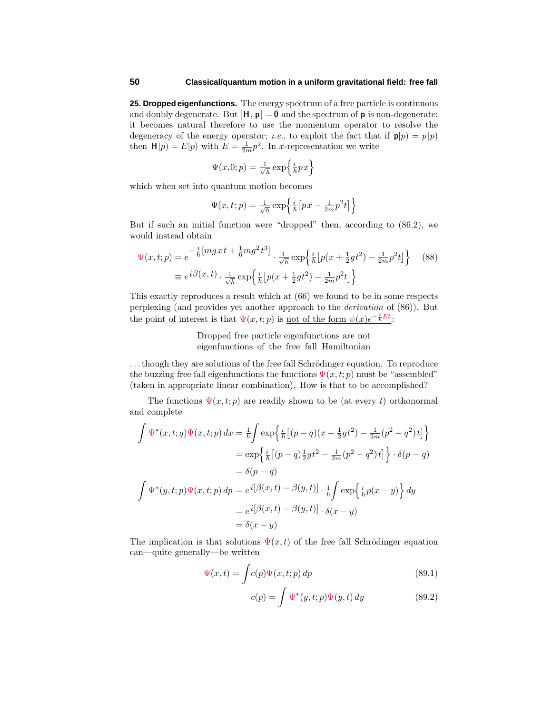**25. Dropped eigenfunctions.** The energy spectrum of a free particle is continuous and doubly degenerate. But  $[H, p] = 0$  and the spectrum of **p** is non-degenerate: it becomes natural therefore to use the momentum operator to resolve the degeneracy of the energy operator; *i.e.*, to exploit the fact that if  $p|p| = p|p|$ then  $\mathbf{H}|p) = E|p|$  with  $E = \frac{1}{2m}p^2$ . In *x*-representation we write

$$
\Psi(x,0;p) = \frac{1}{\sqrt{h}} \exp\left\{\frac{i}{\hbar}px\right\}
$$

which when set into quantum motion becomes

$$
\Psi(x,t;p) = \frac{1}{\sqrt{h}} \exp\left\{\frac{i}{\hbar} \left[ px - \frac{1}{2m} p^2 t \right] \right\}
$$

But if such an initial function were "dropped" then, according to  $(86.2)$ , we would instead obtain

$$
\Psi(x,t;p) = e^{-\frac{i}{\hbar} [mgxt + \frac{1}{6}mg^2t^3]} \cdot \frac{1}{\sqrt{\hbar}} \exp\left\{\frac{i}{\hbar} [p(x + \frac{1}{2}gt^2) - \frac{1}{2m}p^2t] \right\} \tag{88}
$$
\n
$$
\equiv e^{i\beta(x,t)} \cdot \frac{1}{\sqrt{\hbar}} \exp\left\{\frac{i}{\hbar} [p(x + \frac{1}{2}gt^2) - \frac{1}{2m}p^2t] \right\}
$$

This exactly reproduces a result which at (66) we found to be in some respects perplexing (and provides yet another approach to the derivation of (86)). But the point of interest is that  $\Psi(x, t; p)$  is <u>not of the form  $\psi(x)e^{-\frac{i}{\hbar}Et}$ </u>:

> Dropped free particle eigenfunctions are not eigenfunctions of the free fall Hamiltonian

 $\dots$  though they are solutions of the free fall Schrödinger equation. To reproduce the buzzing free fall eigenfunctions the functions  $\Psi(x, t; p)$  must be "assembled" (taken in appropriate linear combination). How is that to be accomplished?

The functions  $\Psi(x, t; p)$  are readily shown to be (at every *t*) orthonormal and complete

$$
\int \Psi^*(x,t;q)\Psi(x,t;p) dx = \frac{1}{h} \int \exp\left\{\frac{i}{h} \left[(p-q)(x+\frac{1}{2}gt^2) - \frac{1}{2m}(p^2-q^2)t\right]\right\}
$$

$$
= \exp\left\{\frac{i}{h} \left[(p-q)\frac{1}{2}gt^2 - \frac{1}{2m}(p^2-q^2)t\right]\right\} \cdot \delta(p-q)
$$

$$
= \delta(p-q)
$$

$$
\int \Psi^*(y,t;p)\Psi(x,t;p) dp = e^{i[\beta(x,t) - \beta(y,t)]} \cdot \frac{1}{h} \int \exp\left\{\frac{i}{h}p(x-y)\right\} dy
$$

$$
= e^{i[\beta(x,t) - \beta(y,t)]} \cdot \delta(x-y)
$$

$$
= \delta(x-y)
$$

The implication is that solutions  $\Psi(x, t)$  of the free fall Schrödinger equation can—quite generally—be written

$$
\Psi(x,t) = \int c(p)\Psi(x,t;p) \, dp \tag{89.1}
$$

$$
c(p) = \int \Psi^*(y, t; p)\Psi(y, t) dy
$$
 (89.2)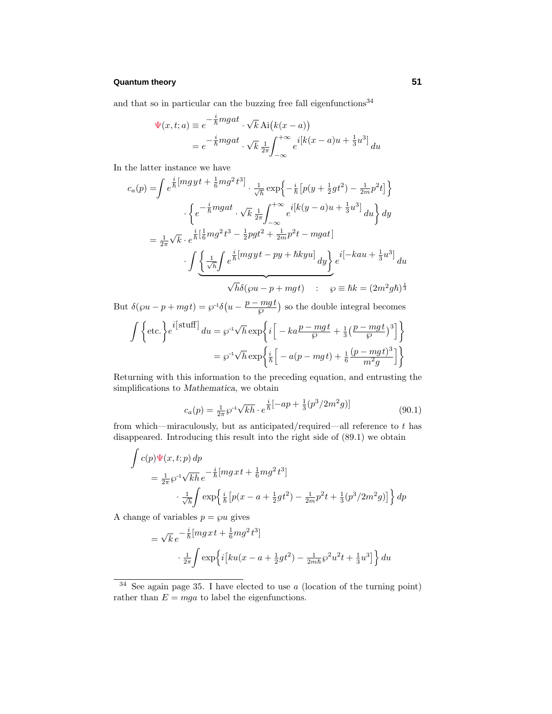and that so in particular can the buzzing free fall eigenfunctions  $34\,$ 

$$
\Psi(x,t;a) \equiv e^{-\frac{i}{\hbar}mgat} \cdot \sqrt{k} \text{ Ai}(k(x-a))
$$
  
=  $e^{-\frac{i}{\hbar}mgat} \cdot \sqrt{k} \frac{1}{2\pi} \int_{-\infty}^{+\infty} e^{-ik(x-a)x + \frac{1}{3}u^3} du$ 

In the latter instance we have

$$
c_a(p) = \int e^{\frac{i}{\hbar} \left[ mgyt + \frac{1}{6}mg^2t^3 \right]} \cdot \frac{1}{\sqrt{\hbar}} \exp\left\{-\frac{i}{\hbar} \left[ p(y + \frac{1}{2}gt^2) - \frac{1}{2m}p^2t \right] \right\}
$$

$$
\cdot \left\{ e^{-\frac{i}{\hbar}mgat} \cdot \sqrt{k} \frac{1}{2\pi} \int_{-\infty}^{+\infty} e^{i\left[k(y - a)u + \frac{1}{3}u^3\right]} du \right\} dy
$$

$$
= \frac{1}{2\pi} \sqrt{k} \cdot e^{\frac{i}{\hbar} \left[ \frac{1}{6}mg^2t^3 - \frac{1}{2}pgt^2 + \frac{1}{2m}p^2t - mgat \right]}
$$

$$
\cdot \int \underbrace{\left\{ \frac{1}{\sqrt{h}} \int e^{\frac{i}{\hbar} \left[ mgyt - py + \hbar kyu \right]} dy \right\}}_{\sqrt{h}\delta\left(\wp u - p + mgt\right)} e^{i\left[-kau + \frac{1}{3}u^3\right]} du
$$

But  $\delta(\wp u - p + mgt) = \wp^{-1}\delta\left(u - \frac{p - mgt}{\wp}\right)$  so the double integral becomes

$$
\int \left\{ \text{etc.} \right\} e^{i\left[\text{stuff}\right]} du = \wp^{-1} \sqrt{h} \exp\left\{ i \left[ -ka \frac{p-mgt}{\wp} + \frac{1}{3} \left( \frac{p-mgt}{\wp} \right)^3 \right] \right\}
$$

$$
= \wp^{-1} \sqrt{h} \exp\left\{ \frac{i}{\hbar} \left[ -a(p-mgt) + \frac{1}{6} \frac{(p-mgt)^3}{m^2 g} \right] \right\}
$$

Returning with this information to the preceding equation, and entrusting the simplifications to *Mathematica*, we obtain

$$
c_a(p) = \frac{1}{2\pi} \wp^{-1} \sqrt{k h} \cdot e^{\frac{i}{\hbar} \left[ -ap + \frac{1}{3} (p^3 / 2m^2 g) \right]}
$$
(90.1)

from which—miraculously, but as anticipated/required—all reference to *t* has disappeared. Introducing this result into the right side of (89.1) we obtain

$$
\int c(p)\Psi(x,t;p) dp
$$
\n
$$
= \frac{1}{2\pi} \wp^{-1} \sqrt{kh} e^{-\frac{i}{\hbar} [mgxt + \frac{1}{6}mg^{2}t^{3}]}
$$
\n
$$
\frac{1}{\sqrt{h}} \int \exp\left{\frac{i}{\hbar} [p(x - a + \frac{1}{2}gt^{2}) - \frac{1}{2m}p^{2}t + \frac{1}{3}(p^{3}/2m^{2}g)]\right} dp
$$

A change of variables  $p = \wp u$  gives

$$
= \sqrt{k} e^{-\frac{i}{\hbar} [mgxt + \frac{1}{6}mg^2t^3]} \cdot \frac{1}{2\pi} \int \exp\left\{i \left[ku(x - a + \frac{1}{2}gt^2) - \frac{1}{2m\hbar}\wp^2 u^2t + \frac{1}{3}u^3\right]\right\} du
$$

<sup>34</sup> See again page 35. I have elected to use *a* (location of the turning point) rather than  $E = mga$  to label the eigenfunctions.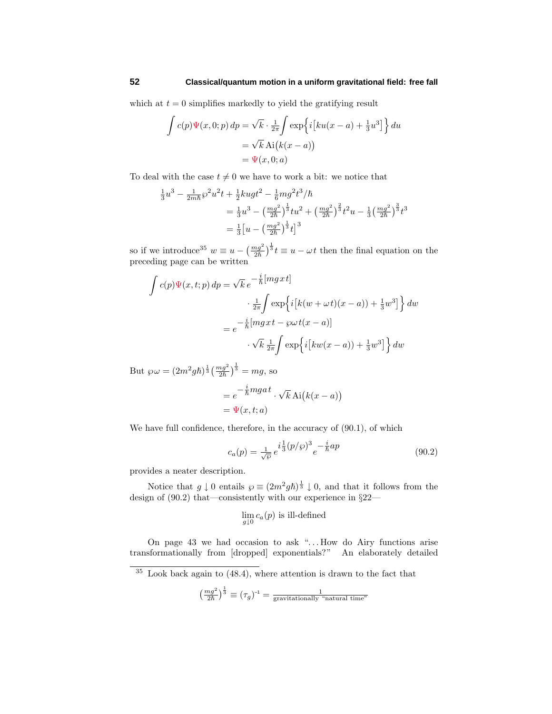which at  $t = 0$  simplifies markedly to yield the gratifying result

$$
\int c(p)\Psi(x,0;p) dp = \sqrt{k} \cdot \frac{1}{2\pi} \int \exp\left\{i\left[ku(x-a) + \frac{1}{3}u^3\right]\right\} du
$$
  
=  $\sqrt{k} \text{ Ai}(k(x-a))$   
=  $\Psi(x,0;a)$ 

To deal with the case  $t \neq 0$  we have to work a bit: we notice that

$$
\frac{1}{3}u^3 - \frac{1}{2m\hbar}\wp^2 u^2 t + \frac{1}{2}kugt^2 - \frac{1}{6}mg^2t^3/\hbar
$$
  
=  $\frac{1}{3}u^3 - \left(\frac{mg^2}{2\hbar}\right)^{\frac{1}{3}}tu^2 + \left(\frac{mg^2}{2\hbar}\right)^{\frac{2}{3}}t^2u - \frac{1}{3}\left(\frac{mg^2}{2\hbar}\right)^{\frac{3}{3}}t^3$   
=  $\frac{1}{3}\left[u - \left(\frac{mg^2}{2\hbar}\right)^{\frac{1}{3}}t\right]^3$ 

so if we introduce<sup>35</sup>  $w \equiv u - \left(\frac{mg^2}{2\hbar}\right)^{\frac{1}{3}} t \equiv u - \omega t$  then the final equation on the preceding page can be written

$$
\int c(p)\Psi(x,t;p) dp = \sqrt{k} e^{-\frac{i}{\hbar} [mgxt]}
$$

$$
\cdot \frac{1}{2\pi} \int \exp\left\{i[k(w+\omega t)(x-a)) + \frac{1}{3}w^3]\right\} dw
$$

$$
= e^{-\frac{i}{\hbar} [mgxt - \wp\omega t(x-a)]}
$$

$$
\cdot \sqrt{k} \frac{1}{2\pi} \int \exp\left\{i[kw(x-a)) + \frac{1}{3}w^3]\right\} dw
$$

But  $\wp \omega = (2m^2 g \hbar)^{\frac{1}{3}} \left(\frac{mg^2}{2\hbar}\right)^{\frac{1}{3}} = mg$ , so

$$
= e^{-\frac{i}{\hbar}mgat} \cdot \sqrt{k} \operatorname{Ai}(k(x-a))
$$
  
=  $\Psi(x,t;a)$ 

We have full confidence, therefore, in the accuracy of (90.1), of which

$$
c_a(p) = \frac{1}{\sqrt{\wp}} e^{i\frac{1}{3}(p/\wp)^3} e^{-\frac{i}{\hbar}ap}
$$
\n(90.2)

provides a neater description.

Notice that  $g \downarrow 0$  entails  $\wp \equiv (2m^2gh)^{\frac{1}{3}} \downarrow 0$ , and that it follows from the design of (90.2) that—consistently with our experience in §22—

$$
\lim_{g \downarrow 0} c_a(p)
$$
 is ill-defined

On page 43 we had occasion to ask "*...* How do Airy functions arise transformationally from [dropped] exponentials?" An elaborately detailed

 $35$  Look back again to  $(48.4)$ , where attention is drawn to the fact that

$$
\left(\frac{mg^2}{2\hbar}\right)^{\frac{1}{3}} \equiv (\tau_g)^{-1} = \frac{1}{\text{gravitationally "natural time"}}
$$